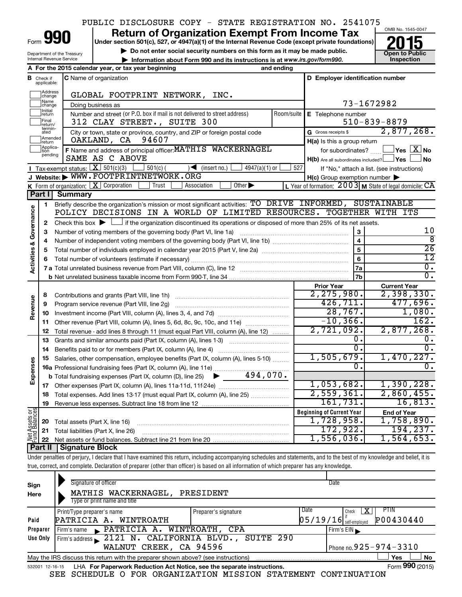## PUBLIC DISCLOSURE COPY - STATE REGISTRATION NO. 2541075

Form

Department of the Treasury Internal Revenue Service

## **Under section 501(c), 527, or 4947(a)(1) of the Internal Revenue Code (except private foundations) Return of Organization Exempt From Income Tax**<br>Under section 501(c), 527, or 4947(a)(1) of the Internal Revenue Code (except private foundations)<br> **2015**

**and Struction 501(c), 527, or 4947(a)(1) of the internal Revenue Code (except private foundations)<br>
■ Do not enter social security numbers on this form as it may be made public.<br>
■ Information about Form 990 and its inst • Information about Form 990 and its instructions is at www.irs.gov/form990. and inspection** 



|                                    |                         | A For the 2015 calendar year, or tax year beginning                                                                                         | and ending         |                                                     |                                                           |
|------------------------------------|-------------------------|---------------------------------------------------------------------------------------------------------------------------------------------|--------------------|-----------------------------------------------------|-----------------------------------------------------------|
| В                                  | Check if<br>applicable: | C Name of organization                                                                                                                      |                    | D Employer identification number                    |                                                           |
|                                    | Address<br> change      | GLOBAL FOOTPRINT NETWORK, INC.                                                                                                              |                    |                                                     |                                                           |
|                                    | Name<br>change          | Doing business as                                                                                                                           |                    |                                                     | 73-1672982                                                |
|                                    | Initial<br>return       | Number and street (or P.O. box if mail is not delivered to street address)<br>Room/suite                                                    | E Telephone number |                                                     |                                                           |
|                                    | Final<br>return/        | 312 CLAY STREET., SUITE 300                                                                                                                 |                    |                                                     | $510 - 839 - 8879$                                        |
|                                    | termin-<br>ated         | City or town, state or province, country, and ZIP or foreign postal code                                                                    |                    | G Gross receipts \$                                 | 2,877,268.                                                |
|                                    | Amended<br>return       | OAKLAND, CA 94607                                                                                                                           |                    | $H(a)$ is this a group return                       |                                                           |
|                                    | Applica-<br>pending     | F Name and address of principal officer: MATHIS WACKERNAGEL                                                                                 |                    | for subordinates?                                   | $\sqrt{}$ Yes $\sqrt{}$ $\overline{\rm X}$ No             |
|                                    |                         | SAME AS C ABOVE                                                                                                                             |                    | $H(b)$ Are all subordinates included? $\Box$ Yes    | No                                                        |
|                                    |                         | Tax-exempt status: $X \overline{301(c)(3)}$<br>$501(c)$ (<br>$\sqrt{\frac{1}{1}}$ (insert no.)<br>$4947(a)(1)$ or                           | 527                |                                                     | If "No," attach a list. (see instructions)                |
|                                    |                         | J Website: WWW.FOOTPRINTNETWORK.ORG                                                                                                         |                    | $H(c)$ Group exemption number $\blacktriangleright$ |                                                           |
|                                    |                         | K Form of organization: $X$ Corporation<br>Other $\blacktriangleright$<br>Trust<br>Association                                              |                    |                                                     | L Year of formation: $2003$ M State of legal domicile: CA |
|                                    | Part II                 | Summary                                                                                                                                     |                    |                                                     |                                                           |
|                                    | 1                       | Briefly describe the organization's mission or most significant activities: TO DRIVE INFORMED, SUSTAINABLE                                  |                    |                                                     |                                                           |
| <b>Activities &amp; Governance</b> |                         | POLICY DECISIONS IN A WORLD OF LIMITED RESOURCES. TOGETHER WITH ITS                                                                         |                    |                                                     |                                                           |
|                                    | $\mathbf{2}$            | Check this box $\blacktriangleright$ $\Box$ if the organization discontinued its operations or disposed of more than 25% of its net assets. |                    |                                                     | 10                                                        |
|                                    | З                       | Number of voting members of the governing body (Part VI, line 1a)                                                                           |                    | 3<br>$\overline{\mathbf{4}}$                        | ह                                                         |
|                                    | 4                       |                                                                                                                                             |                    | 5                                                   | $\overline{26}$                                           |
|                                    | 5<br>6                  |                                                                                                                                             |                    | 6                                                   | $\overline{12}$                                           |
|                                    |                         |                                                                                                                                             |                    | 7a                                                  | $\overline{0}$ .                                          |
|                                    |                         |                                                                                                                                             |                    | 7b                                                  | $\overline{0}$ .                                          |
|                                    |                         |                                                                                                                                             |                    | <b>Prior Year</b>                                   | <b>Current Year</b>                                       |
|                                    | 8                       |                                                                                                                                             |                    | 2, 275, 980.                                        | 2,398,330.                                                |
| Revenue                            | 9                       | Program service revenue (Part VIII, line 2g)                                                                                                |                    | 426, 711.                                           | 477,696.                                                  |
|                                    | 10                      |                                                                                                                                             |                    | 28,767.                                             | 1,080.                                                    |
|                                    | 11                      | Other revenue (Part VIII, column (A), lines 5, 6d, 8c, 9c, 10c, and 11e)                                                                    |                    | $-10, 366.$                                         | 162.                                                      |
|                                    | 12                      | Total revenue - add lines 8 through 11 (must equal Part VIII, column (A), line 12)                                                          |                    | 2,721,092.                                          | 2,877,268.                                                |
|                                    | 13                      | Grants and similar amounts paid (Part IX, column (A), lines 1-3)                                                                            |                    | 0.                                                  | 0.                                                        |
|                                    | 14                      | Benefits paid to or for members (Part IX, column (A), line 4)                                                                               |                    | $\overline{0}$ .                                    | $\overline{0}$ .                                          |
|                                    | 15                      | Salaries, other compensation, employee benefits (Part IX, column (A), lines 5-10)                                                           |                    | 1,505,679.                                          | 1,470,227.                                                |
| Expenses                           |                         | 16a Professional fundraising fees (Part IX, column (A), line 11e)                                                                           |                    | 0.                                                  | $\overline{0}$ .                                          |
|                                    |                         | 494,070.<br><b>b</b> Total fundraising expenses (Part IX, column (D), line 25)<br>▶                                                         |                    |                                                     |                                                           |
|                                    |                         |                                                                                                                                             |                    | 1,053,682.                                          | 1,390,228.                                                |
|                                    | 18                      | Total expenses. Add lines 13-17 (must equal Part IX, column (A), line 25)                                                                   |                    | 2,559,361.                                          | 2,860,455.                                                |
|                                    | 19                      |                                                                                                                                             |                    | 161,731.                                            | 16,813.                                                   |
| <b>Assets or</b><br>Balances       |                         |                                                                                                                                             |                    | <b>Beginning of Current Year</b>                    | <b>End of Year</b>                                        |
|                                    | 20                      | Total assets (Part X, line 16)                                                                                                              |                    | 1,728,958.                                          | 1,758,890.                                                |
| Net As<br>Pund<br>L                | 21                      | Total liabilities (Part X, line 26)                                                                                                         |                    | 172,922.                                            | 194, 237.                                                 |
|                                    |                         |                                                                                                                                             |                    | 1,556,036.                                          | 1,564,653.                                                |
|                                    |                         | Part II   Signature Block                                                                                                                   |                    |                                                     |                                                           |

Under penalties of perjury, I declare that I have examined this return, including accompanying schedules and statements, and to the best of my knowledge and belief, it is true, correct, and complete. Declaration of preparer (other than officer) is based on all information of which preparer has any knowledge.

| Sign<br>Here | Signature of officer<br>MATHIS WACKERNAGEL,<br>Type or print name and title                                                                                                  | PRESIDENT            | Date                     |                              |  |  |  |  |
|--------------|------------------------------------------------------------------------------------------------------------------------------------------------------------------------------|----------------------|--------------------------|------------------------------|--|--|--|--|
|              | Print/Type preparer's name                                                                                                                                                   | Preparer's signature | Date                     | <b>PTIN</b><br>х<br>Check    |  |  |  |  |
| Paid         | PATRICIA A. WINTROATH                                                                                                                                                        |                      | $05/19/16$ self-employed | P00430440                    |  |  |  |  |
| Preparer     | Firm's name PATRICIA A. WINTROATH, CPA                                                                                                                                       |                      |                          | Firm's EIN                   |  |  |  |  |
| Use Only     | Firm's address 2121 N. CALIFORNIA BLVD., SUITE 290                                                                                                                           |                      |                          |                              |  |  |  |  |
|              | WALNUT CREEK, CA 94596                                                                                                                                                       |                      |                          | Phone no. $925 - 974 - 3310$ |  |  |  |  |
|              | May the IRS discuss this return with the preparer shown above? (see instructions)                                                                                            |                      |                          | <b>No</b><br>Yes             |  |  |  |  |
|              | Form 990 (2015)<br>LHA For Paperwork Reduction Act Notice, see the separate instructions.<br>532001 12-16-15<br>$CDD$ coupourd a non-anguireverous vroctou cevenitum<br>2227 |                      |                          |                              |  |  |  |  |

SEE SCHEDULE O FOR ORGANIZATION MISSION STATEMENT CONTINUATION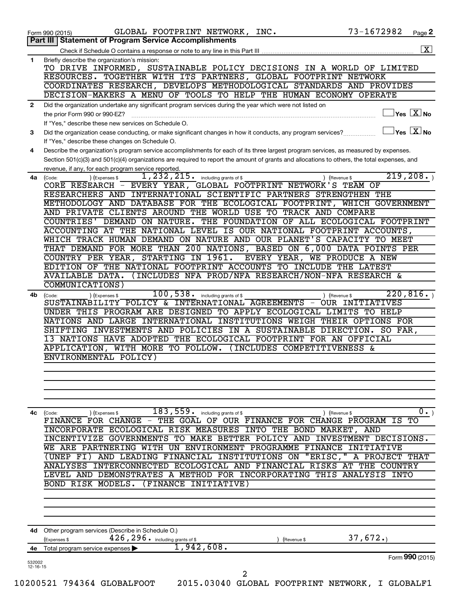|                          | GLOBAL FOOTPRINT NETWORK, INC.<br>Form 990 (2015)                                                                                            | 73-1672982                              | Page 2            |
|--------------------------|----------------------------------------------------------------------------------------------------------------------------------------------|-----------------------------------------|-------------------|
|                          | <b>Part III   Statement of Program Service Accomplishments</b>                                                                               |                                         |                   |
|                          |                                                                                                                                              |                                         | $\mathbf{X}$      |
| 1                        | Briefly describe the organization's mission:                                                                                                 |                                         |                   |
|                          | TO DRIVE INFORMED, SUSTAINABLE POLICY DECISIONS IN A WORLD OF LIMITED                                                                        |                                         |                   |
|                          | RESOURCES. TOGETHER WITH ITS PARTNERS, GLOBAL FOOTPRINT NETWORK                                                                              |                                         |                   |
|                          | COORDINATES RESEARCH, DEVELOPS METHODOLOGICAL STANDARDS AND PROVIDES                                                                         |                                         |                   |
|                          | DECISION-MAKERS A MENU OF TOOLS TO HELP THE HUMAN ECONOMY OPERATE                                                                            |                                         |                   |
| 2                        | Did the organization undertake any significant program services during the year which were not listed on                                     |                                         |                   |
|                          | the prior Form 990 or 990-EZ?                                                                                                                | $\exists$ Yes $\boxed{\text{X}}$ No     |                   |
|                          | If "Yes," describe these new services on Schedule O.                                                                                         |                                         |                   |
| 3                        | Did the organization cease conducting, or make significant changes in how it conducts, any program services?                                 | $\Box$ Yes $[\overline{\mathrm{X}}]$ No |                   |
|                          | If "Yes," describe these changes on Schedule O.                                                                                              |                                         |                   |
| 4                        | Describe the organization's program service accomplishments for each of its three largest program services, as measured by expenses.         |                                         |                   |
|                          | Section 501(c)(3) and 501(c)(4) organizations are required to report the amount of grants and allocations to others, the total expenses, and |                                         |                   |
|                          | revenue, if any, for each program service reported.                                                                                          |                                         |                   |
| 4a                       | $1,232,215$ $\cdot$ including grants of \$<br>) (Expenses \$<br>) (Revenue \$<br>(Code:                                                      | 219, 208.                               |                   |
|                          | CORE RESEARCH - EVERY YEAR, GLOBAL FOOTPRINT NETWORK'S TEAM OF                                                                               |                                         |                   |
|                          | RESEARCHERS AND INTERNATIONAL SCIENTIFIC PARTNERS STRENGTHEN THE                                                                             |                                         |                   |
|                          | METHODOLOGY AND DATABASE FOR THE ECOLOGICAL FOOTPRINT, WHICH GOVERNMENT                                                                      |                                         |                   |
|                          | AND PRIVATE CLIENTS AROUND THE WORLD USE TO TRACK AND COMPARE                                                                                |                                         |                   |
|                          | COUNTRIES' DEMAND ON NATURE. THE FOUNDATION OF ALL ECOLOGICAL FOOTPRINT                                                                      |                                         |                   |
|                          | ACCOUNTING AT THE NATIONAL LEVEL IS OUR NATIONAL FOOTPRINT ACCOUNTS,                                                                         |                                         |                   |
|                          | WHICH TRACK HUMAN DEMAND ON NATURE AND OUR PLANET'S CAPACITY TO MEET                                                                         |                                         |                   |
|                          | THAT DEMAND FOR MORE THAN 200 NATIONS, BASED ON 6,000 DATA POINTS PER                                                                        |                                         |                   |
|                          | COUNTRY PER YEAR, STARTING IN 1961. EVERY YEAR, WE PRODUCE A NEW                                                                             |                                         |                   |
|                          | EDITION OF THE NATIONAL FOOTPRINT ACCOUNTS TO INCLUDE THE LATEST                                                                             |                                         |                   |
|                          | AVAILABLE DATA. (INCLUDES NFA PROD/NFA RESEARCH/NON-NFA RESEARCH &                                                                           |                                         |                   |
|                          | COMMUNICATIONS)                                                                                                                              |                                         |                   |
| 4b                       | 100, 538 . including grants of \$<br>(Expenses \$<br>) (Revenue \$<br>(Code:                                                                 | 220, 816.                               |                   |
|                          | SUSTAINABILITY POLICY & INTERNATIONAL AGREEMENTS - OUR INITIATIVES                                                                           |                                         |                   |
|                          | UNDER THIS PROGRAM ARE DESIGNED TO APPLY ECOLOGICAL LIMITS TO HELP                                                                           |                                         |                   |
|                          | NATIONS AND LARGE INTERNATIONAL INSTITUTIONS WEIGH THEIR OPTIONS FOR                                                                         |                                         |                   |
|                          | SHIFTING INVESTMENTS AND POLICIES IN A SUSTAINABLE DIRECTION.                                                                                | SO FAR,                                 |                   |
|                          | 13 NATIONS HAVE ADOPTED THE ECOLOGICAL FOOTPRINT FOR AN OFFICIAL                                                                             |                                         |                   |
|                          | APPLICATION, WITH MORE TO FOLLOW. (INCLUDES COMPETITIVENESS &                                                                                |                                         |                   |
|                          | ENVIRONMENTAL POLICY)                                                                                                                        |                                         |                   |
|                          |                                                                                                                                              |                                         |                   |
|                          |                                                                                                                                              |                                         |                   |
|                          |                                                                                                                                              |                                         |                   |
|                          |                                                                                                                                              |                                         |                   |
|                          |                                                                                                                                              |                                         |                   |
| 4с                       | $\overline{183,559}$ . including grants of \$<br>) (Revenue \$<br>(Code:<br>) (Expenses \$                                                   |                                         | $\overline{0}$ .) |
|                          | FINANCE FOR CHANGE - THE GOAL OF OUR FINANCE FOR CHANGE PROGRAM IS                                                                           |                                         | TО                |
|                          | INCORPORATE ECOLOGICAL RISK MEASURES INTO THE BOND MARKET, AND                                                                               |                                         |                   |
|                          | TO MAKE BETTER POLICY AND INVESTMENT DECISIONS.<br>INCENTIVIZE GOVERNMENTS                                                                   |                                         |                   |
|                          | WE ARE<br>PARTNERING WITH UN ENVIRONMENT PROGRAMME<br>FINANCE INITIATIVE                                                                     |                                         |                   |
|                          |                                                                                                                                              |                                         |                   |
|                          | "ERISC,"<br>AND LEADING FINANCIAL INSTITUTIONS ON<br>(UNEP FI)                                                                               | A PROJECT THAT                          |                   |
|                          | INTERCONNECTED ECOLOGICAL AND FINANCIAL RISKS AT THE COUNTRY<br>ANALYSES                                                                     |                                         |                   |
|                          | LEVEL AND DEMONSTRATES A METHOD FOR INCORPORATING<br>THIS                                                                                    | ANALYSIS<br>INTO                        |                   |
|                          | BOND RISK MODELS.<br>(FINANCE<br>INITIATIVE)                                                                                                 |                                         |                   |
|                          |                                                                                                                                              |                                         |                   |
|                          |                                                                                                                                              |                                         |                   |
|                          |                                                                                                                                              |                                         |                   |
|                          |                                                                                                                                              |                                         |                   |
|                          |                                                                                                                                              |                                         |                   |
|                          | Other program services (Describe in Schedule O.)<br>(Expenses \$<br>(Revenue \$                                                              | 37,672.                                 |                   |
|                          | 426, 296. including grants of \$<br>1,942,608.                                                                                               |                                         |                   |
| 4d<br>4e                 | Total program service expenses                                                                                                               |                                         |                   |
| 532002<br>$12 - 16 - 15$ |                                                                                                                                              | Form 990 (2015)                         |                   |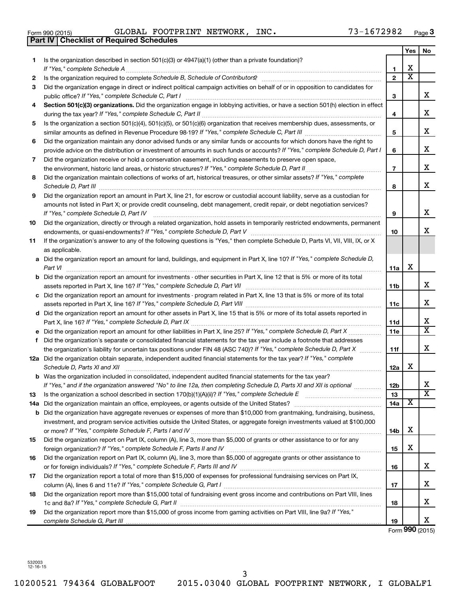| Form 990 (201 |  |  |
|---------------|--|--|
|---------------|--|--|

 $\frac{1}{3}$  Form 990 (2015) GLOBAL FOOTPRINT NETWORK, INC. The state of  $13$  – 16 / 2982 Page GLOBAL FOOTPRINT NETWORK, INC. 73-1672982

|    | Part IV   Checklist of Required Schedules                                                                                            |                |                         |                       |
|----|--------------------------------------------------------------------------------------------------------------------------------------|----------------|-------------------------|-----------------------|
|    |                                                                                                                                      |                | Yes                     | No.                   |
| 1  | Is the organization described in section 501(c)(3) or $4947(a)(1)$ (other than a private foundation)?                                |                |                         |                       |
|    |                                                                                                                                      | 1              | х                       |                       |
| 2  |                                                                                                                                      | $\overline{2}$ | $\overline{\textbf{x}}$ |                       |
| 3  | Did the organization engage in direct or indirect political campaign activities on behalf of or in opposition to candidates for      |                |                         |                       |
|    |                                                                                                                                      | З              |                         | x                     |
| 4  | Section 501(c)(3) organizations. Did the organization engage in lobbying activities, or have a section 501(h) election in effect     |                |                         |                       |
|    |                                                                                                                                      | 4              |                         | X                     |
| 5  | Is the organization a section 501(c)(4), 501(c)(5), or 501(c)(6) organization that receives membership dues, assessments, or         |                |                         |                       |
|    |                                                                                                                                      | 5              |                         | X                     |
| 6  | Did the organization maintain any donor advised funds or any similar funds or accounts for which donors have the right to            |                |                         |                       |
|    | provide advice on the distribution or investment of amounts in such funds or accounts? If "Yes," complete Schedule D, Part I         | 6              |                         | x                     |
| 7  |                                                                                                                                      |                |                         |                       |
|    | Did the organization receive or hold a conservation easement, including easements to preserve open space,                            |                |                         | X                     |
|    | the environment, historic land areas, or historic structures? If "Yes," complete Schedule D, Part II                                 | 7              |                         |                       |
| 8  | Did the organization maintain collections of works of art, historical treasures, or other similar assets? If "Yes," complete         |                |                         | x                     |
|    |                                                                                                                                      | 8              |                         |                       |
| 9  | Did the organization report an amount in Part X, line 21, for escrow or custodial account liability, serve as a custodian for        |                |                         |                       |
|    | amounts not listed in Part X; or provide credit counseling, debt management, credit repair, or debt negotiation services?            |                |                         |                       |
|    | If "Yes." complete Schedule D. Part IV                                                                                               | 9              |                         | x                     |
| 10 | Did the organization, directly or through a related organization, hold assets in temporarily restricted endowments, permanent        |                |                         |                       |
|    |                                                                                                                                      | 10             |                         | x                     |
| 11 | If the organization's answer to any of the following questions is "Yes," then complete Schedule D, Parts VI, VII, VIII, IX, or X     |                |                         |                       |
|    | as applicable.                                                                                                                       |                |                         |                       |
|    | a Did the organization report an amount for land, buildings, and equipment in Part X, line 10? If "Yes," complete Schedule D,        |                |                         |                       |
|    | Part VI                                                                                                                              | 11a            | х                       |                       |
|    | <b>b</b> Did the organization report an amount for investments - other securities in Part X, line 12 that is 5% or more of its total |                |                         |                       |
|    |                                                                                                                                      | 11b            |                         | x                     |
|    | c Did the organization report an amount for investments - program related in Part X, line 13 that is 5% or more of its total         |                |                         |                       |
|    |                                                                                                                                      | 11c            |                         | х                     |
|    | d Did the organization report an amount for other assets in Part X, line 15 that is 5% or more of its total assets reported in       |                |                         |                       |
|    |                                                                                                                                      | 11d            |                         | x                     |
|    | e Did the organization report an amount for other liabilities in Part X, line 25? If "Yes," complete Schedule D, Part X              | 11e            |                         | $\overline{\text{X}}$ |
| f  | Did the organization's separate or consolidated financial statements for the tax year include a footnote that addresses              |                |                         |                       |
|    | the organization's liability for uncertain tax positions under FIN 48 (ASC 740)? If "Yes," complete Schedule D, Part X               | 11f            |                         | x                     |
|    | 12a Did the organization obtain separate, independent audited financial statements for the tax year? If "Yes," complete              |                |                         |                       |
|    | Schedule D, Parts XI and XII                                                                                                         | 12a            | х                       |                       |
|    | b Was the organization included in consolidated, independent audited financial statements for the tax year?                          |                |                         |                       |
|    | If "Yes," and if the organization answered "No" to line 12a, then completing Schedule D, Parts XI and XII is optional                | 12b            |                         | х                     |
| 13 | Is the organization a school described in section 170(b)(1)(A)(ii)? If "Yes," complete Schedule E [[[[[[[[[[[[                       | 13             |                         | X                     |
|    | 14a Did the organization maintain an office, employees, or agents outside of the United States?                                      | 14a            | X                       |                       |
|    | <b>b</b> Did the organization have aggregate revenues or expenses of more than \$10,000 from grantmaking, fundraising, business,     |                |                         |                       |
|    | investment, and program service activities outside the United States, or aggregate foreign investments valued at \$100,000           |                |                         |                       |
|    |                                                                                                                                      | 14b            | х                       |                       |
| 15 | Did the organization report on Part IX, column (A), line 3, more than \$5,000 of grants or other assistance to or for any            |                |                         |                       |
|    |                                                                                                                                      | 15             | х                       |                       |
| 16 | Did the organization report on Part IX, column (A), line 3, more than \$5,000 of aggregate grants or other assistance to             |                |                         |                       |
|    |                                                                                                                                      | 16             |                         | x                     |
| 17 | Did the organization report a total of more than \$15,000 of expenses for professional fundraising services on Part IX,              |                |                         |                       |
|    |                                                                                                                                      | 17             |                         | x                     |
| 18 | Did the organization report more than \$15,000 total of fundraising event gross income and contributions on Part VIII, lines         |                |                         |                       |
|    |                                                                                                                                      | 18             |                         | х                     |
| 19 | Did the organization report more than \$15,000 of gross income from gaming activities on Part VIII, line 9a? If "Yes,"               |                |                         |                       |
|    |                                                                                                                                      | 19             |                         | X                     |

Form **990** (2015)

532003 12-16-15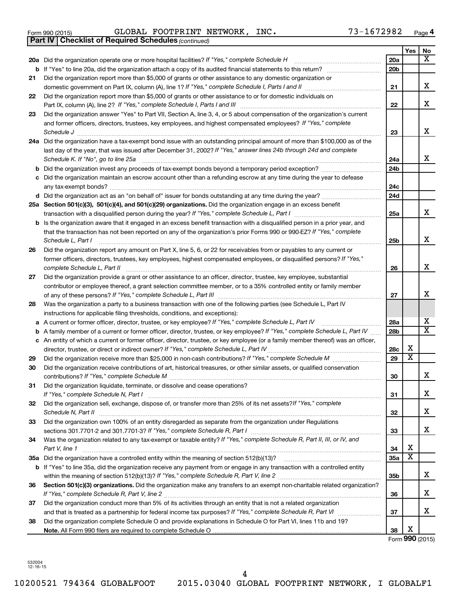|  | Form 990 (2015) |
|--|-----------------|
|  |                 |

Form 990 (2015) Page GLOBAL FOOTPRINT NETWORK, INC. 73-1672982

*(continued)* **Part IV Checklist of Required Schedules**

|    |                                                                                                                                                                                                                                                 |                 | Yes                          | No                      |
|----|-------------------------------------------------------------------------------------------------------------------------------------------------------------------------------------------------------------------------------------------------|-----------------|------------------------------|-------------------------|
|    | 20a Did the organization operate one or more hospital facilities? If "Yes," complete Schedule H                                                                                                                                                 | 20a             |                              | X                       |
|    | <b>b</b> If "Yes" to line 20a, did the organization attach a copy of its audited financial statements to this return?                                                                                                                           | 20 <sub>b</sub> |                              |                         |
| 21 | Did the organization report more than \$5,000 of grants or other assistance to any domestic organization or                                                                                                                                     |                 |                              |                         |
|    | domestic government on Part IX, column (A), line 1? If "Yes," complete Schedule I, Parts I and II                                                                                                                                               | 21              |                              | x                       |
| 22 | Did the organization report more than \$5,000 of grants or other assistance to or for domestic individuals on                                                                                                                                   |                 |                              |                         |
|    |                                                                                                                                                                                                                                                 | 22              |                              | x                       |
| 23 | Did the organization answer "Yes" to Part VII, Section A, line 3, 4, or 5 about compensation of the organization's current                                                                                                                      |                 |                              |                         |
|    | and former officers, directors, trustees, key employees, and highest compensated employees? If "Yes," complete                                                                                                                                  |                 |                              |                         |
|    |                                                                                                                                                                                                                                                 | 23              |                              | x                       |
|    | 24a Did the organization have a tax-exempt bond issue with an outstanding principal amount of more than \$100,000 as of the                                                                                                                     |                 |                              |                         |
|    | last day of the year, that was issued after December 31, 2002? If "Yes," answer lines 24b through 24d and complete<br>Schedule K. If "No", go to line 25a                                                                                       | 24a             |                              | x                       |
| b  | Did the organization invest any proceeds of tax-exempt bonds beyond a temporary period exception?                                                                                                                                               | 24b             |                              |                         |
| c  | Did the organization maintain an escrow account other than a refunding escrow at any time during the year to defease                                                                                                                            |                 |                              |                         |
|    |                                                                                                                                                                                                                                                 | 24 <sub>c</sub> |                              |                         |
|    |                                                                                                                                                                                                                                                 | 24d             |                              |                         |
|    | 25a Section 501(c)(3), 501(c)(4), and 501(c)(29) organizations. Did the organization engage in an excess benefit                                                                                                                                |                 |                              |                         |
|    | transaction with a disqualified person during the year? If "Yes," complete Schedule L, Part I manual manual manual manual manual manual manual manual manual manual manual manual manual manual manual manual manual manual ma                  | 25a             |                              | x                       |
|    | <b>b</b> Is the organization aware that it engaged in an excess benefit transaction with a disqualified person in a prior year, and                                                                                                             |                 |                              |                         |
|    | that the transaction has not been reported on any of the organization's prior Forms 990 or 990-EZ? If "Yes," complete                                                                                                                           |                 |                              | x                       |
|    | Schedule L, Part I                                                                                                                                                                                                                              | 25b             |                              |                         |
| 26 | Did the organization report any amount on Part X, line 5, 6, or 22 for receivables from or payables to any current or<br>former officers, directors, trustees, key employees, highest compensated employees, or disqualified persons? If "Yes," |                 |                              |                         |
|    | complete Schedule L, Part II                                                                                                                                                                                                                    | 26              |                              | x                       |
| 27 | Did the organization provide a grant or other assistance to an officer, director, trustee, key employee, substantial                                                                                                                            |                 |                              |                         |
|    | contributor or employee thereof, a grant selection committee member, or to a 35% controlled entity or family member                                                                                                                             |                 |                              |                         |
|    |                                                                                                                                                                                                                                                 | 27              |                              | x                       |
| 28 | Was the organization a party to a business transaction with one of the following parties (see Schedule L, Part IV                                                                                                                               |                 |                              |                         |
|    | instructions for applicable filing thresholds, conditions, and exceptions):                                                                                                                                                                     |                 |                              |                         |
|    | a A current or former officer, director, trustee, or key employee? If "Yes," complete Schedule L, Part IV                                                                                                                                       | 28a             |                              | х                       |
| b  | A family member of a current or former officer, director, trustee, or key employee? If "Yes," complete Schedule L, Part IV                                                                                                                      | 28 <sub>b</sub> |                              | $\overline{\texttt{x}}$ |
|    | c An entity of which a current or former officer, director, trustee, or key employee (or a family member thereof) was an officer,                                                                                                               |                 |                              |                         |
|    |                                                                                                                                                                                                                                                 | 28c             | х<br>$\overline{\textbf{X}}$ |                         |
| 29 | Did the organization receive more than \$25,000 in non-cash contributions? If "Yes," complete Schedule M                                                                                                                                        | 29              |                              |                         |
| 30 | Did the organization receive contributions of art, historical treasures, or other similar assets, or qualified conservation                                                                                                                     | 30              |                              | x                       |
| 31 | Did the organization liquidate, terminate, or dissolve and cease operations?                                                                                                                                                                    |                 |                              |                         |
|    |                                                                                                                                                                                                                                                 | 31              |                              | x                       |
| 32 | Did the organization sell, exchange, dispose of, or transfer more than 25% of its net assets? If "Yes," complete                                                                                                                                |                 |                              |                         |
|    | Schedule N, Part II                                                                                                                                                                                                                             | 32              |                              | x                       |
| 33 | Did the organization own 100% of an entity disregarded as separate from the organization under Regulations                                                                                                                                      |                 |                              |                         |
|    |                                                                                                                                                                                                                                                 | 33              |                              | x                       |
| 34 | Was the organization related to any tax-exempt or taxable entity? If "Yes," complete Schedule R, Part II, III, or IV, and                                                                                                                       |                 |                              |                         |
|    | Part V, line 1                                                                                                                                                                                                                                  | 34              | х<br>$\overline{\textbf{x}}$ |                         |
|    |                                                                                                                                                                                                                                                 | <b>35a</b>      |                              |                         |
|    | b If "Yes" to line 35a, did the organization receive any payment from or engage in any transaction with a controlled entity                                                                                                                     |                 |                              | x                       |
| 36 | Section 501(c)(3) organizations. Did the organization make any transfers to an exempt non-charitable related organization?                                                                                                                      | 35b             |                              |                         |
|    |                                                                                                                                                                                                                                                 | 36              |                              | x                       |
| 37 | Did the organization conduct more than 5% of its activities through an entity that is not a related organization                                                                                                                                |                 |                              |                         |
|    |                                                                                                                                                                                                                                                 | 37              |                              | x                       |
| 38 | Did the organization complete Schedule O and provide explanations in Schedule O for Part VI, lines 11b and 19?                                                                                                                                  |                 |                              |                         |
|    |                                                                                                                                                                                                                                                 | 38              | х                            |                         |

Form **990** (2015)

532004 12-16-15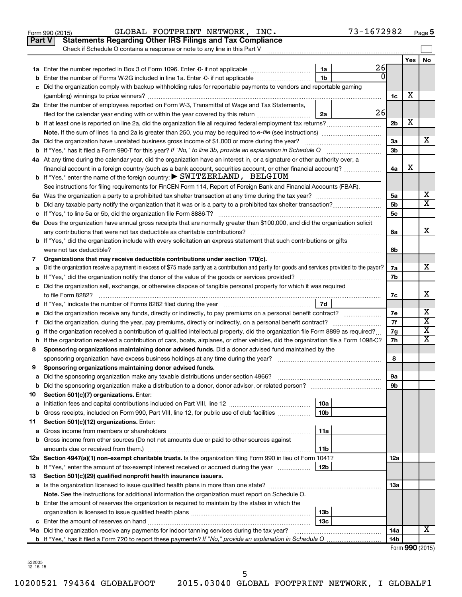|        | Part V<br><b>Statements Regarding Other IRS Filings and Tax Compliance</b><br>Check if Schedule O contains a response or note to any line in this Part V                                                                         |                 |                 |                         |
|--------|----------------------------------------------------------------------------------------------------------------------------------------------------------------------------------------------------------------------------------|-----------------|-----------------|-------------------------|
|        |                                                                                                                                                                                                                                  |                 | Yes             | No                      |
|        | 26<br>1a                                                                                                                                                                                                                         |                 |                 |                         |
| b      | N<br>Enter the number of Forms W-2G included in line 1a. Enter -0- if not applicable<br>1b                                                                                                                                       |                 |                 |                         |
| с      | Did the organization comply with backup withholding rules for reportable payments to vendors and reportable gaming                                                                                                               |                 |                 |                         |
|        |                                                                                                                                                                                                                                  | 1c              | X               |                         |
|        | 2a Enter the number of employees reported on Form W-3, Transmittal of Wage and Tax Statements,                                                                                                                                   |                 |                 |                         |
|        | 26<br>filed for the calendar year ending with or within the year covered by this return <i>[[[[[[[[[[[[[[]]]</i> ]]<br>2a                                                                                                        |                 |                 |                         |
|        | b If at least one is reported on line 2a, did the organization file all required federal employment tax returns?                                                                                                                 | 2 <sub>b</sub>  | х               |                         |
|        | Note. If the sum of lines 1a and 2a is greater than 250, you may be required to e-file (see instructions) <i></i>                                                                                                                |                 |                 |                         |
|        | 3a Did the organization have unrelated business gross income of \$1,000 or more during the year?                                                                                                                                 | За              |                 | х                       |
|        | If "Yes," has it filed a Form 990 T for this year? If "No," to line 3b, provide an explanation in Schedule O manumerrous                                                                                                         | 3b              |                 |                         |
|        | 4a At any time during the calendar year, did the organization have an interest in, or a signature or other authority over, a                                                                                                     |                 |                 |                         |
|        | financial account in a foreign country (such as a bank account, securities account, or other financial account)?                                                                                                                 | 4a              | х               |                         |
|        | <b>b</b> If "Yes," enter the name of the foreign country: $\triangleright$ SWITZERLAND, BELGIUM                                                                                                                                  |                 |                 |                         |
|        | See instructions for filing requirements for FinCEN Form 114, Report of Foreign Bank and Financial Accounts (FBAR).                                                                                                              |                 |                 |                         |
|        |                                                                                                                                                                                                                                  | 5a              |                 | х                       |
| b      |                                                                                                                                                                                                                                  | 5b              |                 | X                       |
| с      |                                                                                                                                                                                                                                  | <b>5c</b>       |                 |                         |
|        | 6a Does the organization have annual gross receipts that are normally greater than \$100,000, and did the organization solicit                                                                                                   |                 |                 |                         |
|        |                                                                                                                                                                                                                                  | 6a              |                 | х                       |
|        | <b>b</b> If "Yes," did the organization include with every solicitation an express statement that such contributions or gifts                                                                                                    |                 |                 |                         |
|        |                                                                                                                                                                                                                                  | 6b              |                 |                         |
| 7      | Organizations that may receive deductible contributions under section 170(c).<br>Did the organization receive a payment in excess of \$75 made partly as a contribution and partly for goods and services provided to the payor? | 7a              |                 | х                       |
| а<br>b |                                                                                                                                                                                                                                  | 7b              |                 |                         |
|        | c Did the organization sell, exchange, or otherwise dispose of tangible personal property for which it was required                                                                                                              |                 |                 |                         |
|        |                                                                                                                                                                                                                                  | 7c              |                 | x                       |
|        | 7d                                                                                                                                                                                                                               |                 |                 |                         |
| е      |                                                                                                                                                                                                                                  | 7е              |                 | х                       |
| f.     | Did the organization, during the year, pay premiums, directly or indirectly, on a personal benefit contract?                                                                                                                     | 7f              |                 | $\overline{\mathbf{X}}$ |
| g      | If the organization received a contribution of qualified intellectual property, did the organization file Form 8899 as required?                                                                                                 | 7g              |                 | X                       |
| h      | If the organization received a contribution of cars, boats, airplanes, or other vehicles, did the organization file a Form 1098-C?                                                                                               | 7h              |                 | х                       |
| 8      | Sponsoring organizations maintaining donor advised funds. Did a donor advised fund maintained by the                                                                                                                             |                 |                 |                         |
|        |                                                                                                                                                                                                                                  | 8               |                 |                         |
| 9      | Sponsoring organizations maintaining donor advised funds.                                                                                                                                                                        |                 |                 |                         |
|        |                                                                                                                                                                                                                                  | эа              |                 |                         |
| b      | Did the sponsoring organization make a distribution to a donor, donor advisor, or related person?                                                                                                                                | 9b              |                 |                         |
| 10     | Section 501(c)(7) organizations. Enter:                                                                                                                                                                                          |                 |                 |                         |
| а      | 10a                                                                                                                                                                                                                              |                 |                 |                         |
| b      | 10 <sub>b</sub><br>Gross receipts, included on Form 990, Part VIII, line 12, for public use of club facilities                                                                                                                   |                 |                 |                         |
| 11     | Section 501(c)(12) organizations. Enter:                                                                                                                                                                                         |                 |                 |                         |
| а      | 11a                                                                                                                                                                                                                              |                 |                 |                         |
| b      | Gross income from other sources (Do not net amounts due or paid to other sources against                                                                                                                                         |                 |                 |                         |
|        | amounts due or received from them.)<br>11b                                                                                                                                                                                       |                 |                 |                         |
|        | 12a Section 4947(a)(1) non-exempt charitable trusts. Is the organization filing Form 990 in lieu of Form 1041?                                                                                                                   | 12a             |                 |                         |
| b      | If "Yes," enter the amount of tax-exempt interest received or accrued during the year<br>12b                                                                                                                                     |                 |                 |                         |
| 13     | Section 501(c)(29) qualified nonprofit health insurance issuers.                                                                                                                                                                 |                 |                 |                         |
|        | a Is the organization licensed to issue qualified health plans in more than one state?<br>Note. See the instructions for additional information the organization must report on Schedule O.                                      | 13a             |                 |                         |
|        | <b>b</b> Enter the amount of reserves the organization is required to maintain by the states in which the                                                                                                                        |                 |                 |                         |
|        | 13b                                                                                                                                                                                                                              |                 |                 |                         |
| c      | 13c                                                                                                                                                                                                                              |                 |                 |                         |
|        | 14a Did the organization receive any payments for indoor tanning services during the tax year?                                                                                                                                   | 14a             |                 | х                       |
|        |                                                                                                                                                                                                                                  | 14 <sub>b</sub> |                 |                         |
|        |                                                                                                                                                                                                                                  |                 | Form 990 (2015) |                         |

Form 990 (2015) GLOBAL FOOTPRINT NETWORK , INC **.** 73–1672982 <sub>Page</sub> 5

| 32005 |  |
|-------|--|
|       |  |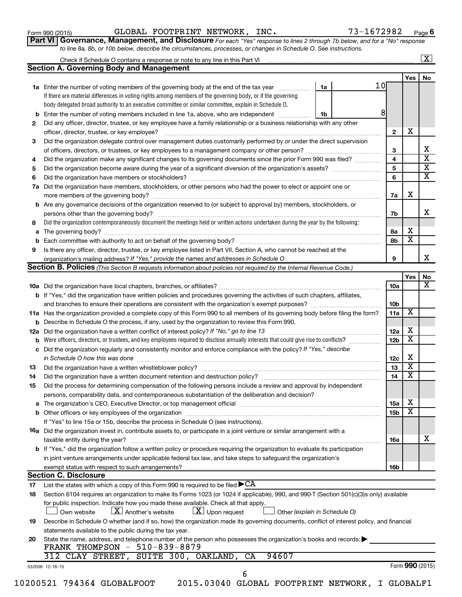Form 990 (2015) Page GLOBAL FOOTPRINT NETWORK, INC. 73-1672982

Check if Schedule O contains a response or note to any line in this Part VI

**6**

 $\boxed{\text{X}}$ 

| Part VI   Governance, Management, and Disclosure For each "Yes" response to lines 2 through 7b below, and for a "No" response |  |
|-------------------------------------------------------------------------------------------------------------------------------|--|
| to line 8a, 8b, or 10b below, describe the circumstances, processes, or changes in Schedule O. See instructions.              |  |

|     | <b>Section A. Governing Body and Management</b>                                                                                                                                                                                |    |    |                 |                         |                               |
|-----|--------------------------------------------------------------------------------------------------------------------------------------------------------------------------------------------------------------------------------|----|----|-----------------|-------------------------|-------------------------------|
|     |                                                                                                                                                                                                                                |    |    |                 | Yes                     | No                            |
|     | 1a Enter the number of voting members of the governing body at the end of the tax year                                                                                                                                         | 1a | 10 |                 |                         |                               |
|     | If there are material differences in voting rights among members of the governing body, or if the governing                                                                                                                    |    |    |                 |                         |                               |
|     | body delegated broad authority to an executive committee or similar committee, explain in Schedule O.                                                                                                                          |    |    | 8               |                         |                               |
| b   | Enter the number of voting members included in line 1a, above, who are independent                                                                                                                                             | 1b |    |                 |                         |                               |
| 2   | Did any officer, director, trustee, or key employee have a family relationship or a business relationship with any other                                                                                                       |    |    | $\mathbf{2}$    | х                       |                               |
|     | officer, director, trustee, or key employee?<br>Did the organization delegate control over management duties customarily performed by or under the direct supervision                                                          |    |    |                 |                         |                               |
| 3   |                                                                                                                                                                                                                                |    |    | 3               |                         | х                             |
| 4   | Did the organization make any significant changes to its governing documents since the prior Form 990 was filed?                                                                                                               |    |    | 4               |                         | $\overline{\textbf{x}}$       |
| 5   |                                                                                                                                                                                                                                |    |    | 5               |                         | $\overline{\textbf{X}}$       |
| 6   | Did the organization have members or stockholders?                                                                                                                                                                             |    |    | 6               |                         | $\overline{\mathtt{x}}$       |
| 7a  | Did the organization have members, stockholders, or other persons who had the power to elect or appoint one or                                                                                                                 |    |    |                 |                         |                               |
|     |                                                                                                                                                                                                                                |    |    | 7a              | х                       |                               |
|     | <b>b</b> Are any governance decisions of the organization reserved to (or subject to approval by) members, stockholders, or                                                                                                    |    |    |                 |                         |                               |
|     | persons other than the governing body?                                                                                                                                                                                         |    |    | 7b              |                         | x                             |
| 8   | Did the organization contemporaneously document the meetings held or written actions undertaken during the year by the following:                                                                                              |    |    |                 |                         |                               |
| a   |                                                                                                                                                                                                                                |    |    | 8а              | х                       |                               |
| b   | Each committee with authority to act on behalf of the governing body?                                                                                                                                                          |    |    | 8b              | $\overline{\textbf{x}}$ |                               |
| 9   | Is there any officer, director, trustee, or key employee listed in Part VII, Section A, who cannot be reached at the                                                                                                           |    |    |                 |                         |                               |
|     |                                                                                                                                                                                                                                |    |    | 9               |                         | x                             |
|     | Section B. Policies (This Section B requests information about policies not required by the Internal Revenue Code.)                                                                                                            |    |    |                 |                         |                               |
|     |                                                                                                                                                                                                                                |    |    |                 | Yes                     | No<br>$\overline{\mathbf{X}}$ |
|     |                                                                                                                                                                                                                                |    |    | <b>10a</b>      |                         |                               |
|     | <b>b</b> If "Yes," did the organization have written policies and procedures governing the activities of such chapters, affiliates,                                                                                            |    |    | 10 <sub>b</sub> |                         |                               |
|     | 11a Has the organization provided a complete copy of this Form 990 to all members of its governing body before filing the form?                                                                                                |    |    | 11a             | х                       |                               |
| b   | Describe in Schedule O the process, if any, used by the organization to review this Form 990.                                                                                                                                  |    |    |                 |                         |                               |
| 12a | Did the organization have a written conflict of interest policy? If "No," go to line 13                                                                                                                                        |    |    | 12a             | х                       |                               |
| b   | Were officers, directors, or trustees, and key employees required to disclose annually interests that could give rise to conflicts?                                                                                            |    |    | 12 <sub>b</sub> | $\overline{\textbf{x}}$ |                               |
| с   | Did the organization regularly and consistently monitor and enforce compliance with the policy? If "Yes," describe                                                                                                             |    |    |                 |                         |                               |
|     | in Schedule O how this was done                                                                                                                                                                                                |    |    | 12c             | х                       |                               |
| 13  | Did the organization have a written whistleblower policy?                                                                                                                                                                      |    |    | 13              | $\overline{\textbf{x}}$ |                               |
| 14  |                                                                                                                                                                                                                                |    |    | 14              | $\overline{\textbf{x}}$ |                               |
| 15  | Did the process for determining compensation of the following persons include a review and approval by independent                                                                                                             |    |    |                 |                         |                               |
|     | persons, comparability data, and contemporaneous substantiation of the deliberation and decision?                                                                                                                              |    |    |                 |                         |                               |
|     | The organization's CEO, Executive Director, or top management official [111] [12] manument contains an according to the organization's CEO, Executive Director, or top management official [12] manument contains and the orig |    |    | 15a             | Χ                       |                               |
|     |                                                                                                                                                                                                                                |    |    | 15b             | $\overline{\texttt{x}}$ |                               |
|     | If "Yes" to line 15a or 15b, describe the process in Schedule O (see instructions).                                                                                                                                            |    |    |                 |                         |                               |
|     | <b>16a</b> Did the organization invest in, contribute assets to, or participate in a joint venture or similar arrangement with a                                                                                               |    |    |                 |                         |                               |
|     | taxable entity during the year?                                                                                                                                                                                                |    |    | 16a             |                         | х                             |
|     | <b>b</b> If "Yes," did the organization follow a written policy or procedure requiring the organization to evaluate its participation                                                                                          |    |    |                 |                         |                               |
|     | in joint venture arrangements under applicable federal tax law, and take steps to safeguard the organization's                                                                                                                 |    |    |                 |                         |                               |
|     | exempt status with respect to such arrangements?<br><b>Section C. Disclosure</b>                                                                                                                                               |    |    | 16b             |                         |                               |
| 17  | List the states with which a copy of this Form 990 is required to be filed $\blacktriangleright$ CA                                                                                                                            |    |    |                 |                         |                               |
| 18  | Section 6104 requires an organization to make its Forms 1023 (or 1024 if applicable), 990, and 990-T (Section 501(c)(3)s only) available                                                                                       |    |    |                 |                         |                               |
|     | for public inspection. Indicate how you made these available. Check all that apply.                                                                                                                                            |    |    |                 |                         |                               |
|     | $\lfloor X \rfloor$ Another's website<br>$\lfloor \underline{X} \rfloor$ Upon request<br>Own website<br>Other (explain in Schedule O)                                                                                          |    |    |                 |                         |                               |
| 19  | Describe in Schedule O whether (and if so, how) the organization made its governing documents, conflict of interest policy, and financial                                                                                      |    |    |                 |                         |                               |
|     | statements available to the public during the tax year.                                                                                                                                                                        |    |    |                 |                         |                               |
| 20  | State the name, address, and telephone number of the person who possesses the organization's books and records:                                                                                                                |    |    |                 |                         |                               |
|     | FRANK THOMPSON - 510-839-8879                                                                                                                                                                                                  |    |    |                 |                         |                               |
|     | SUITE 300, OAKLAND,<br>94607<br>312 CLAY STREET,<br>CA                                                                                                                                                                         |    |    |                 |                         |                               |
|     | 532006 12-16-15                                                                                                                                                                                                                |    |    |                 |                         | Form 990 (2015)               |
|     | 6                                                                                                                                                                                                                              |    |    |                 |                         |                               |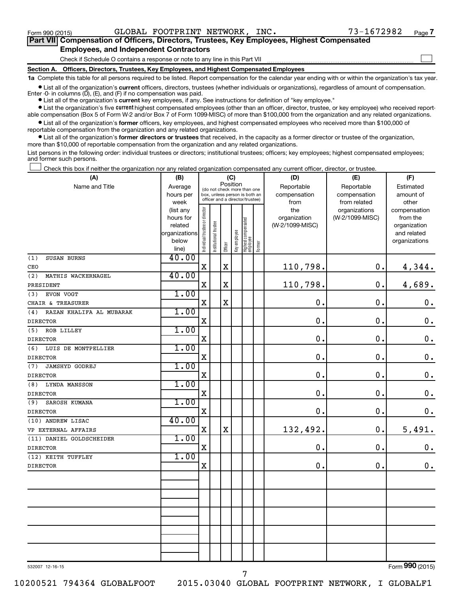$\Box$ 

| Part VII Compensation of Officers, Directors, Trustees, Key Employees, Highest Compensated |  |  |  |  |
|--------------------------------------------------------------------------------------------|--|--|--|--|
| <b>Employees, and Independent Contractors</b>                                              |  |  |  |  |

Check if Schedule O contains a response or note to any line in this Part VII

**Section A. Officers, Directors, Trustees, Key Employees, and Highest Compensated Employees**

**1a**  Complete this table for all persons required to be listed. Report compensation for the calendar year ending with or within the organization's tax year.

**•** List all of the organization's current officers, directors, trustees (whether individuals or organizations), regardless of amount of compensation. Enter -0- in columns  $(D)$ ,  $(E)$ , and  $(F)$  if no compensation was paid.

**•** List all of the organization's **current** key employees, if any. See instructions for definition of "key employee."

**•** List the organization's five current highest compensated employees (other than an officer, director, trustee, or key employee) who received reportable compensation (Box 5 of Form W-2 and/or Box 7 of Form 1099-MISC) of more than \$100,000 from the organization and any related organizations.

**•** List all of the organization's former officers, key employees, and highest compensated employees who received more than \$100,000 of reportable compensation from the organization and any related organizations.

**•** List all of the organization's former directors or trustees that received, in the capacity as a former director or trustee of the organization, more than \$10,000 of reportable compensation from the organization and any related organizations.

List persons in the following order: individual trustees or directors; institutional trustees; officers; key employees; highest compensated employees; and former such persons.

Check this box if neither the organization nor any related organization compensated any current officer, director, or trustee.  $\Box$ 

| (A)                             | (B)               |                                |                                                                  | (C)         |              |                                  |        | (D)             | (E)                          | (F)                |
|---------------------------------|-------------------|--------------------------------|------------------------------------------------------------------|-------------|--------------|----------------------------------|--------|-----------------|------------------------------|--------------------|
| Name and Title                  | Average           |                                | (do not check more than one                                      |             | Position     |                                  |        | Reportable      | Reportable                   | Estimated          |
|                                 | hours per<br>week |                                | box, unless person is both an<br>officer and a director/trustee) |             |              |                                  |        | compensation    | compensation<br>from related | amount of<br>other |
|                                 | (list any         |                                |                                                                  |             |              |                                  |        | from<br>the     | organizations                | compensation       |
|                                 | hours for         |                                |                                                                  |             |              |                                  |        | organization    | (W-2/1099-MISC)              | from the           |
|                                 | related           |                                |                                                                  |             |              |                                  |        | (W-2/1099-MISC) |                              | organization       |
|                                 | organizations     |                                |                                                                  |             |              |                                  |        |                 |                              | and related        |
|                                 | below             | Individual trustee or director | Institutional trustee                                            | Officer     | Key employee | Highest compensated<br> employee | Former |                 |                              | organizations      |
| (1)<br>SUSAN BURNS              | line)<br>40.00    |                                |                                                                  |             |              |                                  |        |                 |                              |                    |
| CEO                             |                   | $\mathbf X$                    |                                                                  | $\mathbf X$ |              |                                  |        | 110,798.        | 0.                           | 4,344.             |
| (2)<br>MATHIS WACKERNAGEL       | 40.00             |                                |                                                                  |             |              |                                  |        |                 |                              |                    |
| PRESIDENT                       |                   | $\mathbf X$                    |                                                                  | $\mathbf X$ |              |                                  |        | 110,798.        | 0.                           | 4,689.             |
| EVON VOGT<br>(3)                | 1.00              |                                |                                                                  |             |              |                                  |        |                 |                              |                    |
| CHAIR & TREASURER               |                   | $\mathbf X$                    |                                                                  | $\mathbf X$ |              |                                  |        | $\mathbf 0$ .   | $\mathbf 0$ .                | $\mathbf 0$ .      |
| RAZAN KHALIFA AL MUBARAK<br>(4) | 1.00              |                                |                                                                  |             |              |                                  |        |                 |                              |                    |
| <b>DIRECTOR</b>                 |                   | $\mathbf X$                    |                                                                  |             |              |                                  |        | $\mathbf 0$ .   | $\mathbf 0$ .                | $\mathbf 0$ .      |
| (5)<br>ROB LILLEY               | 1.00              |                                |                                                                  |             |              |                                  |        |                 |                              |                    |
| <b>DIRECTOR</b>                 |                   | X                              |                                                                  |             |              |                                  |        | $\mathbf 0$ .   | $\mathbf 0$ .                | $\mathbf 0$ .      |
| LUIS DE MONTPELLIER<br>(6)      | 1.00              |                                |                                                                  |             |              |                                  |        |                 |                              |                    |
| <b>DIRECTOR</b>                 |                   | $\mathbf X$                    |                                                                  |             |              |                                  |        | 0               | $\mathbf 0$ .                | $\mathbf 0$ .      |
| (7)<br><b>JAMSHYD GODREJ</b>    | 1.00              |                                |                                                                  |             |              |                                  |        |                 |                              |                    |
| <b>DIRECTOR</b>                 |                   | X                              |                                                                  |             |              |                                  |        | $\mathbf 0$ .   | $\mathbf 0$ .                | $\mathbf 0$ .      |
| LYNDA MANSSON<br>(8)            | 1.00              |                                |                                                                  |             |              |                                  |        |                 |                              |                    |
| <b>DIRECTOR</b>                 |                   | $\mathbf X$                    |                                                                  |             |              |                                  |        | $\mathbf 0$     | $\mathbf 0$ .                | $\mathbf 0$ .      |
| (9)<br>SAROSH KUMANA            | 1.00              |                                |                                                                  |             |              |                                  |        |                 |                              |                    |
| <b>DIRECTOR</b>                 |                   | $\mathbf X$                    |                                                                  |             |              |                                  |        | $\mathbf 0$ .   | $\mathbf 0$ .                | 0.                 |
| (10) ANDREW LISAC               | 40.00             |                                |                                                                  |             |              |                                  |        |                 |                              |                    |
| VP EXTERNAL AFFAIRS             |                   | $\mathbf X$                    |                                                                  | $\mathbf X$ |              |                                  |        | 132,492.        | $\mathbf 0$ .                | 5,491.             |
| (11) DANIEL GOLDSCHEIDER        | 1.00              |                                |                                                                  |             |              |                                  |        |                 |                              |                    |
| <b>DIRECTOR</b>                 |                   | $\mathbf X$                    |                                                                  |             |              |                                  |        | 0.              | $\mathbf 0$ .                | $\boldsymbol{0}$ . |
| (12) KEITH TUFFLEY              | 1.00              |                                |                                                                  |             |              |                                  |        |                 |                              |                    |
| <b>DIRECTOR</b>                 |                   | $\mathbf X$                    |                                                                  |             |              |                                  |        | $\mathbf 0$ .   | $\mathbf 0$ .                | $0$ .              |
|                                 |                   |                                |                                                                  |             |              |                                  |        |                 |                              |                    |
|                                 |                   |                                |                                                                  |             |              |                                  |        |                 |                              |                    |
|                                 |                   |                                |                                                                  |             |              |                                  |        |                 |                              |                    |
|                                 |                   |                                |                                                                  |             |              |                                  |        |                 |                              |                    |
|                                 |                   |                                |                                                                  |             |              |                                  |        |                 |                              |                    |
|                                 |                   |                                |                                                                  |             |              |                                  |        |                 |                              |                    |
|                                 |                   |                                |                                                                  |             |              |                                  |        |                 |                              |                    |
|                                 |                   |                                |                                                                  |             |              |                                  |        |                 |                              |                    |
|                                 |                   |                                |                                                                  |             |              |                                  |        |                 |                              |                    |
|                                 |                   |                                |                                                                  |             |              |                                  |        |                 |                              |                    |

532007 12-16-15

10200521 794364 GLOBALFOOT 2015.03040 GLOBAL FOOTPRINT NETWORK, I GLOBALF1

7

Form (2015) **990**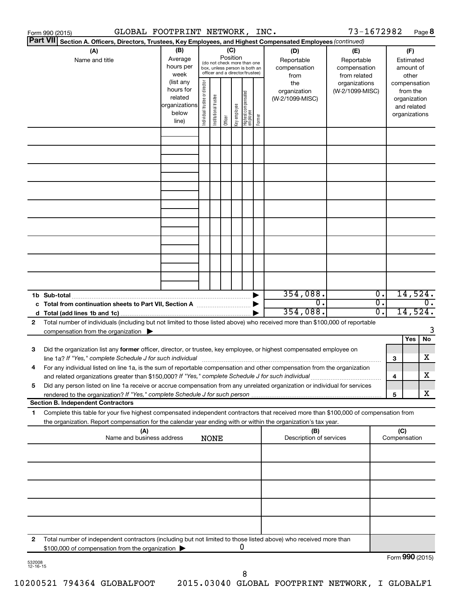|                    | GLOBAL FOOTPRINT NETWORK, INC.<br>Form 990 (2015)                                                                                                                                                                                                                                                                                                             |                                                                      |                                                                                                                    |                       |         |              |                                   |        |                                           | 73-1672982                                        |                             |     |                                                                          | Page 8           |
|--------------------|---------------------------------------------------------------------------------------------------------------------------------------------------------------------------------------------------------------------------------------------------------------------------------------------------------------------------------------------------------------|----------------------------------------------------------------------|--------------------------------------------------------------------------------------------------------------------|-----------------------|---------|--------------|-----------------------------------|--------|-------------------------------------------|---------------------------------------------------|-----------------------------|-----|--------------------------------------------------------------------------|------------------|
|                    | <b>Part VII</b><br>Section A. Officers, Directors, Trustees, Key Employees, and Highest Compensated Employees (continued)                                                                                                                                                                                                                                     |                                                                      |                                                                                                                    |                       |         |              |                                   |        |                                           |                                                   |                             |     |                                                                          |                  |
|                    | (A)<br>Name and title                                                                                                                                                                                                                                                                                                                                         | (B)<br>Average<br>hours per<br>week                                  | (C)<br>Position<br>(do not check more than one<br>box, unless person is both an<br>officer and a director/trustee) |                       |         |              |                                   |        | (D)<br>Reportable<br>compensation<br>from | (E)<br>Reportable<br>compensation<br>from related |                             |     | (F)<br>Estimated<br>amount of<br>other                                   |                  |
|                    |                                                                                                                                                                                                                                                                                                                                                               | (list any<br>hours for<br>related<br>organizations<br>below<br>line) | Individual trustee or director                                                                                     | Institutional trustee | Officer | Key employee | Highest compensated<br>  employee | Former | the<br>organization<br>(W-2/1099-MISC)    | organizations<br>(W-2/1099-MISC)                  |                             |     | compensation<br>from the<br>organization<br>and related<br>organizations |                  |
|                    |                                                                                                                                                                                                                                                                                                                                                               |                                                                      |                                                                                                                    |                       |         |              |                                   |        |                                           |                                                   |                             |     |                                                                          |                  |
|                    |                                                                                                                                                                                                                                                                                                                                                               |                                                                      |                                                                                                                    |                       |         |              |                                   |        |                                           |                                                   |                             |     |                                                                          |                  |
|                    |                                                                                                                                                                                                                                                                                                                                                               |                                                                      |                                                                                                                    |                       |         |              |                                   |        |                                           |                                                   |                             |     |                                                                          |                  |
|                    |                                                                                                                                                                                                                                                                                                                                                               |                                                                      |                                                                                                                    |                       |         |              |                                   |        |                                           |                                                   |                             |     |                                                                          |                  |
|                    |                                                                                                                                                                                                                                                                                                                                                               |                                                                      |                                                                                                                    |                       |         |              |                                   |        |                                           |                                                   |                             |     |                                                                          |                  |
|                    |                                                                                                                                                                                                                                                                                                                                                               |                                                                      |                                                                                                                    |                       |         |              |                                   |        | 354,088.                                  |                                                   | $\overline{\mathfrak{o}}$ . |     | 14,524.                                                                  |                  |
|                    |                                                                                                                                                                                                                                                                                                                                                               |                                                                      |                                                                                                                    |                       |         |              |                                   |        | $\overline{0}$ .<br>354,088.              |                                                   | σ.<br>$\overline{0}$ .      |     | 14,524.                                                                  | $\overline{0}$ . |
| 2                  | Total number of individuals (including but not limited to those listed above) who received more than \$100,000 of reportable<br>compensation from the organization $\blacktriangleright$                                                                                                                                                                      |                                                                      |                                                                                                                    |                       |         |              |                                   |        |                                           |                                                   |                             |     |                                                                          | 3                |
| 3                  | Did the organization list any former officer, director, or trustee, key employee, or highest compensated employee on<br>line 1a? If "Yes," complete Schedule J for such individual [11] manufacture manufacture in the set of the set o                                                                                                                       |                                                                      |                                                                                                                    |                       |         |              |                                   |        |                                           |                                                   |                             | 3   | Yes                                                                      | No<br>х          |
| 5                  | For any individual listed on line 1a, is the sum of reportable compensation and other compensation from the organization<br>and related organizations greater than \$150,000? If "Yes," complete Schedule J for such individual<br>Did any person listed on line 1a receive or accrue compensation from any unrelated organization or individual for services |                                                                      |                                                                                                                    |                       |         |              |                                   |        |                                           |                                                   |                             | 4   |                                                                          | х                |
|                    | <b>Section B. Independent Contractors</b>                                                                                                                                                                                                                                                                                                                     |                                                                      |                                                                                                                    |                       |         |              |                                   |        |                                           |                                                   |                             | 5   |                                                                          | X                |
| 1                  | Complete this table for your five highest compensated independent contractors that received more than \$100,000 of compensation from<br>the organization. Report compensation for the calendar year ending with or within the organization's tax year.                                                                                                        |                                                                      |                                                                                                                    |                       |         |              |                                   |        |                                           |                                                   |                             |     |                                                                          |                  |
|                    | (A)<br>Name and business address                                                                                                                                                                                                                                                                                                                              |                                                                      |                                                                                                                    | <b>NONE</b>           |         |              |                                   |        | (B)<br>Description of services            |                                                   |                             | (C) | Compensation                                                             |                  |
|                    |                                                                                                                                                                                                                                                                                                                                                               |                                                                      |                                                                                                                    |                       |         |              |                                   |        |                                           |                                                   |                             |     |                                                                          |                  |
|                    |                                                                                                                                                                                                                                                                                                                                                               |                                                                      |                                                                                                                    |                       |         |              |                                   |        |                                           |                                                   |                             |     |                                                                          |                  |
|                    |                                                                                                                                                                                                                                                                                                                                                               |                                                                      |                                                                                                                    |                       |         |              |                                   |        |                                           |                                                   |                             |     |                                                                          |                  |
| 2                  | Total number of independent contractors (including but not limited to those listed above) who received more than                                                                                                                                                                                                                                              |                                                                      |                                                                                                                    |                       |         |              |                                   |        |                                           |                                                   |                             |     |                                                                          |                  |
| 532008<br>12-16-15 | \$100,000 of compensation from the organization                                                                                                                                                                                                                                                                                                               |                                                                      |                                                                                                                    |                       |         | 0            |                                   |        |                                           |                                                   |                             |     | Form 990 (2015)                                                          |                  |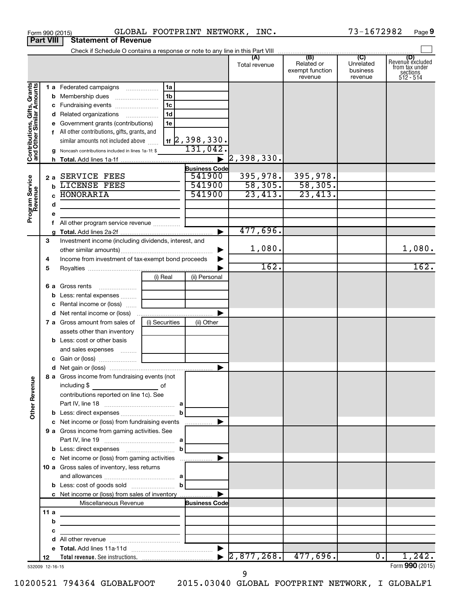|                                                           |                  |   | Form 990 (2015)                                                                                                                     |                                                                       |                              | GLOBAL FOOTPRINT NETWORK, INC.   |                                          | 73-1672982                       | Page 9                                                             |
|-----------------------------------------------------------|------------------|---|-------------------------------------------------------------------------------------------------------------------------------------|-----------------------------------------------------------------------|------------------------------|----------------------------------|------------------------------------------|----------------------------------|--------------------------------------------------------------------|
|                                                           | <b>Part VIII</b> |   | <b>Statement of Revenue</b>                                                                                                         |                                                                       |                              |                                  |                                          |                                  |                                                                    |
|                                                           |                  |   |                                                                                                                                     |                                                                       |                              |                                  |                                          |                                  |                                                                    |
|                                                           |                  |   |                                                                                                                                     |                                                                       |                              | Total revenue                    | Related or<br>exempt function<br>revenue | Unrelated<br>business<br>revenue | (D)<br>Revenue excluded<br>trom tax under<br>sections<br>512 - 514 |
|                                                           |                  |   | 1 a Federated campaigns                                                                                                             | 1a                                                                    |                              |                                  |                                          |                                  |                                                                    |
| Contributions, Gifts, Grants<br>and Other Similar Amounts |                  |   | <b>b</b> Membership dues                                                                                                            | 1b                                                                    |                              |                                  |                                          |                                  |                                                                    |
|                                                           |                  |   | c Fundraising events                                                                                                                | 1 <sub>c</sub>                                                        |                              |                                  |                                          |                                  |                                                                    |
|                                                           |                  |   | d Related organizations                                                                                                             | 1d                                                                    |                              |                                  |                                          |                                  |                                                                    |
|                                                           |                  |   | e Government grants (contributions)                                                                                                 | 1e                                                                    |                              |                                  |                                          |                                  |                                                                    |
|                                                           |                  |   | f All other contributions, gifts, grants, and                                                                                       |                                                                       |                              |                                  |                                          |                                  |                                                                    |
|                                                           |                  |   | similar amounts not included above                                                                                                  |                                                                       | $1$ f $\sqrt{2}$ , 398, 330. |                                  |                                          |                                  |                                                                    |
|                                                           |                  |   | <b>g</b> Noncash contributions included in lines 1a-1f: \$                                                                          |                                                                       | 131,042.                     |                                  |                                          |                                  |                                                                    |
|                                                           |                  |   |                                                                                                                                     |                                                                       |                              | 2,398,330.                       |                                          |                                  |                                                                    |
|                                                           |                  |   |                                                                                                                                     |                                                                       | <b>Business Code</b>         |                                  |                                          |                                  |                                                                    |
|                                                           |                  |   | 2 a SERVICE FEES                                                                                                                    |                                                                       | 541900                       | 395,978.                         | 395,978.                                 |                                  |                                                                    |
|                                                           |                  |   | LICENSE FEES                                                                                                                        |                                                                       | 541900<br>541900             | 58,305.                          | 58,305.                                  |                                  |                                                                    |
|                                                           |                  |   | <b>HONORARIA</b>                                                                                                                    |                                                                       |                              | 23,413.                          | 23,413.                                  |                                  |                                                                    |
| Program Service<br>Revenue                                |                  | d |                                                                                                                                     |                                                                       |                              |                                  |                                          |                                  |                                                                    |
|                                                           |                  | е |                                                                                                                                     |                                                                       |                              |                                  |                                          |                                  |                                                                    |
|                                                           |                  |   |                                                                                                                                     |                                                                       |                              | 477,696.                         |                                          |                                  |                                                                    |
|                                                           | З                |   | Investment income (including dividends, interest, and                                                                               |                                                                       |                              |                                  |                                          |                                  |                                                                    |
|                                                           |                  |   |                                                                                                                                     |                                                                       |                              | 1,080.                           |                                          |                                  | 1,080.                                                             |
|                                                           | 4                |   | Income from investment of tax-exempt bond proceeds                                                                                  |                                                                       |                              |                                  |                                          |                                  |                                                                    |
|                                                           | 5                |   |                                                                                                                                     |                                                                       |                              | 162.                             |                                          |                                  | 162.                                                               |
|                                                           |                  |   |                                                                                                                                     | (i) Real                                                              | (ii) Personal                |                                  |                                          |                                  |                                                                    |
|                                                           |                  |   | <b>6 a</b> Gross rents<br>$\ldots \ldots \ldots \ldots \ldots$                                                                      |                                                                       |                              |                                  |                                          |                                  |                                                                    |
|                                                           |                  |   | <b>b</b> Less: rental expenses                                                                                                      |                                                                       |                              |                                  |                                          |                                  |                                                                    |
|                                                           |                  |   | <b>c</b> Rental income or (loss) $\ldots$                                                                                           |                                                                       |                              |                                  |                                          |                                  |                                                                    |
|                                                           |                  |   |                                                                                                                                     |                                                                       |                              |                                  |                                          |                                  |                                                                    |
|                                                           |                  |   | <b>7 a</b> Gross amount from sales of                                                                                               | (i) Securities                                                        | (ii) Other                   |                                  |                                          |                                  |                                                                    |
|                                                           |                  |   | assets other than inventory<br><b>b</b> Less: cost or other basis                                                                   |                                                                       |                              |                                  |                                          |                                  |                                                                    |
|                                                           |                  |   | and sales expenses                                                                                                                  |                                                                       |                              |                                  |                                          |                                  |                                                                    |
|                                                           |                  |   |                                                                                                                                     |                                                                       |                              |                                  |                                          |                                  |                                                                    |
|                                                           |                  |   |                                                                                                                                     |                                                                       |                              |                                  |                                          |                                  |                                                                    |
|                                                           |                  |   | 8 a Gross income from fundraising events (not                                                                                       |                                                                       |                              |                                  |                                          |                                  |                                                                    |
| <b>Other Revenue</b>                                      |                  |   | including \$<br>and the contract of the contract of the contract of the contract of the contract of the contract of the contract of |                                                                       |                              |                                  |                                          |                                  |                                                                    |
|                                                           |                  |   | contributions reported on line 1c). See                                                                                             |                                                                       |                              |                                  |                                          |                                  |                                                                    |
|                                                           |                  |   |                                                                                                                                     |                                                                       |                              |                                  |                                          |                                  |                                                                    |
|                                                           |                  |   |                                                                                                                                     |                                                                       |                              |                                  |                                          |                                  |                                                                    |
|                                                           |                  |   | c Net income or (loss) from fundraising events                                                                                      |                                                                       |                              |                                  |                                          |                                  |                                                                    |
|                                                           |                  |   | 9 a Gross income from gaming activities. See                                                                                        |                                                                       |                              |                                  |                                          |                                  |                                                                    |
|                                                           |                  |   |                                                                                                                                     |                                                                       |                              |                                  |                                          |                                  |                                                                    |
|                                                           |                  |   | c Net income or (loss) from gaming activities                                                                                       |                                                                       |                              |                                  |                                          |                                  |                                                                    |
|                                                           |                  |   | 10 a Gross sales of inventory, less returns                                                                                         |                                                                       |                              |                                  |                                          |                                  |                                                                    |
|                                                           |                  |   |                                                                                                                                     |                                                                       |                              |                                  |                                          |                                  |                                                                    |
|                                                           |                  |   | <b>b</b> Less: cost of goods sold $\ldots$ <b>b</b>                                                                                 |                                                                       |                              |                                  |                                          |                                  |                                                                    |
|                                                           |                  |   | c Net income or (loss) from sales of inventory                                                                                      |                                                                       |                              |                                  |                                          |                                  |                                                                    |
|                                                           |                  |   | Miscellaneous Revenue                                                                                                               |                                                                       | <b>Business Code</b>         |                                  |                                          |                                  |                                                                    |
|                                                           | 11 a             |   |                                                                                                                                     |                                                                       |                              |                                  |                                          |                                  |                                                                    |
|                                                           |                  | b |                                                                                                                                     |                                                                       |                              |                                  |                                          |                                  |                                                                    |
|                                                           |                  | с |                                                                                                                                     | <u> 1989 - Johann Harry Barn, mars ar breist fan de Fryske kommer</u> |                              |                                  |                                          |                                  |                                                                    |
|                                                           |                  |   |                                                                                                                                     |                                                                       |                              |                                  |                                          |                                  |                                                                    |
|                                                           |                  |   |                                                                                                                                     |                                                                       |                              | $\blacktriangleright$ 2,877,268. | 477,696.                                 | 0.                               | 1,242。                                                             |
|                                                           | 12               |   |                                                                                                                                     |                                                                       |                              |                                  |                                          |                                  |                                                                    |

532009 12-16-15

9

Form (2015) **990**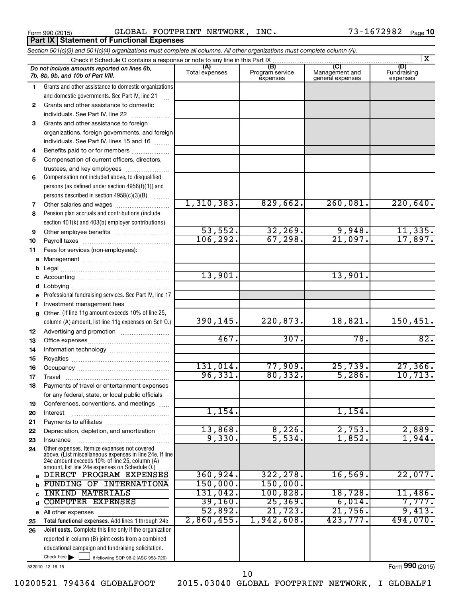**Part IX | Statement of Functional Expenses** 

Form 990 (2015) Page GLOBAL FOOTPRINT NETWORK, INC. 73-1672982

|    | Section 501(c)(3) and 501(c)(4) organizations must complete all columns. All other organizations must complete column (A). |                |                             |                                    | $\overline{\mathbf{x}}$ |  |  |
|----|----------------------------------------------------------------------------------------------------------------------------|----------------|-----------------------------|------------------------------------|-------------------------|--|--|
|    | Check if Schedule O contains a response or note to any line in this Part IX                                                | (A)            | (B)                         | (C)                                | (D)                     |  |  |
|    | Do not include amounts reported on lines 6b,<br>7b, 8b, 9b, and 10b of Part VIII.                                          | Total expenses | Program service<br>expenses | Management and<br>general expenses | Fundraising<br>expenses |  |  |
| 1  | Grants and other assistance to domestic organizations                                                                      |                |                             |                                    |                         |  |  |
|    | and domestic governments. See Part IV, line 21                                                                             |                |                             |                                    |                         |  |  |
| 2  | Grants and other assistance to domestic                                                                                    |                |                             |                                    |                         |  |  |
|    | individuals. See Part IV, line 22                                                                                          |                |                             |                                    |                         |  |  |
| 3  | Grants and other assistance to foreign                                                                                     |                |                             |                                    |                         |  |  |
|    | organizations, foreign governments, and foreign                                                                            |                |                             |                                    |                         |  |  |
|    | individuals. See Part IV, lines 15 and 16                                                                                  |                |                             |                                    |                         |  |  |
| 4  | Benefits paid to or for members                                                                                            |                |                             |                                    |                         |  |  |
| 5  | Compensation of current officers, directors,                                                                               |                |                             |                                    |                         |  |  |
| 6  | trustees, and key employees<br>Compensation not included above, to disqualified                                            |                |                             |                                    |                         |  |  |
|    | persons (as defined under section 4958(f)(1)) and                                                                          |                |                             |                                    |                         |  |  |
|    | persons described in section 4958(c)(3)(B)                                                                                 |                |                             |                                    |                         |  |  |
| 7  | $\overline{\phantom{a}}$                                                                                                   | 1,310,383.     | 829,662.                    | 260,081.                           | 220,640.                |  |  |
| 8  | Pension plan accruals and contributions (include                                                                           |                |                             |                                    |                         |  |  |
|    | section 401(k) and 403(b) employer contributions)                                                                          |                |                             |                                    |                         |  |  |
| 9  |                                                                                                                            | 53,552.        | 32, 269.                    | 9,948.                             | 11,335.                 |  |  |
| 10 |                                                                                                                            | 106, 292.      | 67,298.                     | 21,097.                            | 17,897.                 |  |  |
| 11 | Fees for services (non-employees):                                                                                         |                |                             |                                    |                         |  |  |
|    |                                                                                                                            |                |                             |                                    |                         |  |  |
| b  |                                                                                                                            |                |                             |                                    |                         |  |  |
| с  |                                                                                                                            | 13,901.        |                             | 13,901.                            |                         |  |  |
| d  |                                                                                                                            |                |                             |                                    |                         |  |  |
|    | Professional fundraising services. See Part IV, line 17                                                                    |                |                             |                                    |                         |  |  |
| f  | Investment management fees                                                                                                 |                |                             |                                    |                         |  |  |
| g  | Other. (If line 11g amount exceeds 10% of line 25,                                                                         |                |                             |                                    |                         |  |  |
|    | column (A) amount, list line 11g expenses on Sch O.)                                                                       | 390,145.       | 220,873.                    | 18,821.                            | 150,451.                |  |  |
| 12 |                                                                                                                            |                |                             |                                    |                         |  |  |
| 13 |                                                                                                                            | 467.           | 307.                        | $\overline{78}$ .                  | 82.                     |  |  |
| 14 |                                                                                                                            |                |                             |                                    |                         |  |  |
| 15 |                                                                                                                            | 131,014.       | 77,909.                     | 25,739.                            | 27,366.                 |  |  |
| 16 |                                                                                                                            | 96,331.        | 80, 332.                    | 5,286.                             | 10, 713.                |  |  |
| 17 |                                                                                                                            |                |                             |                                    |                         |  |  |
| 18 | Payments of travel or entertainment expenses                                                                               |                |                             |                                    |                         |  |  |
| 19 | for any federal, state, or local public officials<br>Conferences, conventions, and meetings                                |                |                             |                                    |                         |  |  |
| 20 | Interest                                                                                                                   | 1,154.         |                             | 1,154.                             |                         |  |  |
| 21 |                                                                                                                            |                |                             |                                    |                         |  |  |
| 22 | Depreciation, depletion, and amortization                                                                                  | 13,868.        | 8,226.                      | 2,753.                             | 2,889.                  |  |  |
| 23 | Insurance                                                                                                                  | 9,330.         | 5,534.                      | 1,852.                             | 1,944.                  |  |  |
| 24 | Other expenses. Itemize expenses not covered                                                                               |                |                             |                                    |                         |  |  |
|    | above. (List miscellaneous expenses in line 24e. If line<br>24e amount exceeds 10% of line 25, column (A)                  |                |                             |                                    |                         |  |  |
|    | amount, list line 24e expenses on Schedule O.) [                                                                           |                |                             |                                    |                         |  |  |
| a  | DIRECT PROGRAM EXPENSES                                                                                                    | 360, 924.      | 322, 278.                   | 16,569.                            | 22,077.                 |  |  |
| b  | FUNDING OF INTERNATIONA                                                                                                    | 150,000.       | 150,000.                    |                                    |                         |  |  |
|    | INKIND MATERIALS                                                                                                           | 131,042.       | 100, 828.                   | 18,728.                            | 11,486.                 |  |  |
|    | COMPUTER EXPENSES                                                                                                          | 39,160.        | 25, 369.                    | 6,014.                             | 7,777.                  |  |  |
|    | e All other expenses                                                                                                       | 52,892.        | 21,723.                     | 21,756.                            | 9,413.                  |  |  |
| 25 | Total functional expenses. Add lines 1 through 24e                                                                         | 2,860,455.     | 1,942,608.                  | 423,777.                           | 494,070.                |  |  |
| 26 | Joint costs. Complete this line only if the organization                                                                   |                |                             |                                    |                         |  |  |
|    | reported in column (B) joint costs from a combined                                                                         |                |                             |                                    |                         |  |  |
|    | educational campaign and fundraising solicitation.                                                                         |                |                             |                                    |                         |  |  |
|    | Check here<br>if following SOP 98-2 (ASC 958-720)                                                                          |                |                             |                                    |                         |  |  |

532010 12-16-15

Form (2015) **990**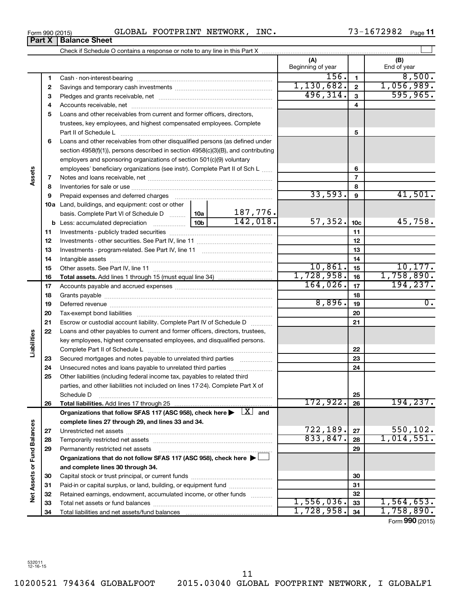## Form 990 (2015) Page GLOBAL FOOTPRINT NETWORK, INC. 73-1672982

**Part X Balance Sheet**

73-1672982 Page 11

|                             |    |                                                                                                                                                                                                                               |          |                      | (A)<br>Beginning of year |                         | (B)<br>End of year                          |
|-----------------------------|----|-------------------------------------------------------------------------------------------------------------------------------------------------------------------------------------------------------------------------------|----------|----------------------|--------------------------|-------------------------|---------------------------------------------|
|                             | 1  |                                                                                                                                                                                                                               |          |                      | 156.                     | $\mathbf{1}$            | 8,500.                                      |
|                             | 2  |                                                                                                                                                                                                                               |          |                      | 1, 130, 682.             | $\mathbf{2}$            | 1,056,989.                                  |
|                             | З  |                                                                                                                                                                                                                               |          |                      | 496, 314.                | $\overline{\mathbf{3}}$ | 595, 965.                                   |
|                             | 4  |                                                                                                                                                                                                                               |          |                      | 4                        |                         |                                             |
|                             | 5  | Loans and other receivables from current and former officers, directors,                                                                                                                                                      |          |                      |                          |                         |                                             |
|                             |    | trustees, key employees, and highest compensated employees. Complete                                                                                                                                                          |          |                      |                          |                         |                                             |
|                             |    |                                                                                                                                                                                                                               |          |                      |                          | 5                       |                                             |
|                             | 6  | Loans and other receivables from other disqualified persons (as defined under                                                                                                                                                 |          |                      |                          |                         |                                             |
|                             |    | section 4958(f)(1)), persons described in section 4958(c)(3)(B), and contributing                                                                                                                                             |          |                      |                          |                         |                                             |
|                             |    | employers and sponsoring organizations of section 501(c)(9) voluntary                                                                                                                                                         |          |                      |                          |                         |                                             |
|                             |    | employees' beneficiary organizations (see instr). Complete Part II of Sch L                                                                                                                                                   |          |                      |                          | 6                       |                                             |
| Assets                      | 7  |                                                                                                                                                                                                                               |          |                      |                          | $\overline{7}$          |                                             |
|                             | 8  |                                                                                                                                                                                                                               |          |                      |                          | 8                       |                                             |
|                             | 9  | Prepaid expenses and deferred charges [11] [11] Prepaid expenses and deferred charges [11] [11] Martin Martin Martin Martin Martin Martin Martin Martin Martin Martin Martin Martin Martin Martin Martin Martin Martin Martin |          |                      | 33,593.                  | 9                       | 41,501.                                     |
|                             |    | <b>10a</b> Land, buildings, and equipment: cost or other                                                                                                                                                                      |          |                      |                          |                         |                                             |
|                             |    | basis. Complete Part VI of Schedule D  10a                                                                                                                                                                                    |          | 187,776.<br>142,018. |                          |                         |                                             |
|                             |    | <b>b</b> Less: accumulated depreciation                                                                                                                                                                                       | 57, 352. | 10 <sub>c</sub>      | 45,758.                  |                         |                                             |
|                             | 11 |                                                                                                                                                                                                                               |          | 11                   |                          |                         |                                             |
|                             | 12 |                                                                                                                                                                                                                               |          | 12                   |                          |                         |                                             |
|                             | 13 |                                                                                                                                                                                                                               |          | 13                   |                          |                         |                                             |
|                             | 14 |                                                                                                                                                                                                                               |          | 14                   |                          |                         |                                             |
|                             | 15 |                                                                                                                                                                                                                               |          | 10,861.              | 15                       | 10, 177.                |                                             |
|                             | 16 |                                                                                                                                                                                                                               |          |                      | 1,728,958.               | 16                      | 1,758,890.                                  |
|                             | 17 |                                                                                                                                                                                                                               | 164,026. | 17                   | 194, 237.                |                         |                                             |
|                             | 18 |                                                                                                                                                                                                                               |          | 18                   |                          |                         |                                             |
|                             | 19 |                                                                                                                                                                                                                               |          |                      | 8,896.                   | 19                      | $\overline{0}$ .                            |
|                             | 20 |                                                                                                                                                                                                                               |          |                      |                          | 20                      |                                             |
|                             | 21 | Escrow or custodial account liability. Complete Part IV of Schedule D                                                                                                                                                         |          |                      |                          | 21                      |                                             |
|                             | 22 | Loans and other payables to current and former officers, directors, trustees,                                                                                                                                                 |          |                      |                          |                         |                                             |
| Liabilities                 |    | key employees, highest compensated employees, and disqualified persons.                                                                                                                                                       |          |                      |                          |                         |                                             |
|                             |    |                                                                                                                                                                                                                               |          |                      |                          | 22                      |                                             |
|                             | 23 | Secured mortgages and notes payable to unrelated third parties                                                                                                                                                                |          |                      |                          | 23                      |                                             |
|                             | 24 | Unsecured notes and loans payable to unrelated third parties                                                                                                                                                                  |          |                      |                          | 24                      |                                             |
|                             | 25 | Other liabilities (including federal income tax, payables to related third                                                                                                                                                    |          |                      |                          |                         |                                             |
|                             |    | parties, and other liabilities not included on lines 17-24). Complete Part X of                                                                                                                                               |          |                      |                          |                         |                                             |
|                             |    | Schedule D                                                                                                                                                                                                                    |          |                      |                          | 25                      |                                             |
|                             | 26 |                                                                                                                                                                                                                               |          |                      | 172,922.                 | 26                      | 194, 237.                                   |
|                             |    | Organizations that follow SFAS 117 (ASC 958), check here $\blacktriangleright \begin{array}{c} \perp X \end{array}$ and                                                                                                       |          |                      |                          |                         |                                             |
|                             |    | complete lines 27 through 29, and lines 33 and 34.                                                                                                                                                                            |          |                      |                          |                         |                                             |
|                             | 27 |                                                                                                                                                                                                                               |          |                      | 722,189.                 | 27                      | 550, 102.                                   |
|                             | 28 |                                                                                                                                                                                                                               |          |                      | 833,847.                 | 28                      | 1,014,551.                                  |
|                             | 29 | Permanently restricted net assets                                                                                                                                                                                             |          |                      |                          | 29                      |                                             |
|                             |    | Organizations that do not follow SFAS 117 (ASC 958), check here ▶                                                                                                                                                             |          |                      |                          |                         |                                             |
|                             |    | and complete lines 30 through 34.                                                                                                                                                                                             |          |                      |                          |                         |                                             |
|                             | 30 |                                                                                                                                                                                                                               |          |                      | 30                       |                         |                                             |
|                             | 31 | Paid-in or capital surplus, or land, building, or equipment fund                                                                                                                                                              |          |                      |                          | 31                      |                                             |
| Net Assets or Fund Balances | 32 | Retained earnings, endowment, accumulated income, or other funds                                                                                                                                                              |          |                      |                          | 32                      |                                             |
|                             | 33 |                                                                                                                                                                                                                               |          |                      | 1,556,036.<br>1,728,958. | 33                      | 1,564,653.                                  |
|                             | 34 |                                                                                                                                                                                                                               |          |                      |                          | 34                      | 1,758,890.<br>$T_{\text{max}}$ 000 $(0.25)$ |

Form (2015) **990**

10200521 794364 GLOBALFOOT 2015.03040 GLOBAL FOOTPRINT NETWORK, I GLOBALF1

11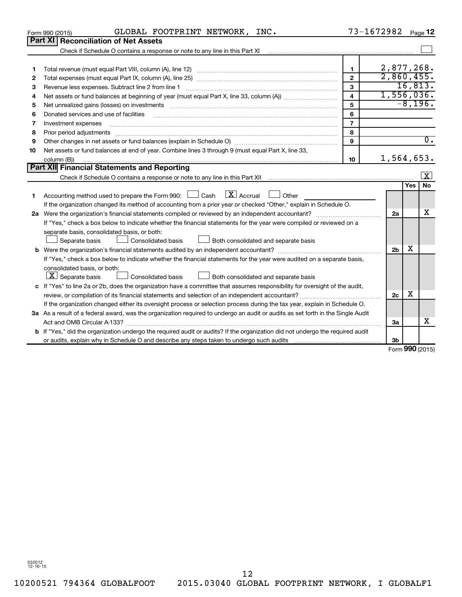|    | GLOBAL FOOTPRINT NETWORK, INC.<br>Form 990 (2015)                                                                                                                                                                                                                                                                                                                                                                                                                         | 73-1672982              |                |            | Page 12                 |
|----|---------------------------------------------------------------------------------------------------------------------------------------------------------------------------------------------------------------------------------------------------------------------------------------------------------------------------------------------------------------------------------------------------------------------------------------------------------------------------|-------------------------|----------------|------------|-------------------------|
|    | <b>Part XI Reconciliation of Net Assets</b>                                                                                                                                                                                                                                                                                                                                                                                                                               |                         |                |            |                         |
|    | Check if Schedule O contains a response or note to any line in this Part XI [11] [12] Check if Schedule O contains a response or note to any line in this Part XI                                                                                                                                                                                                                                                                                                         |                         |                |            |                         |
|    |                                                                                                                                                                                                                                                                                                                                                                                                                                                                           |                         |                |            |                         |
| 1  |                                                                                                                                                                                                                                                                                                                                                                                                                                                                           | $\mathbf{1}$            | 2,877,268.     |            |                         |
| 2  |                                                                                                                                                                                                                                                                                                                                                                                                                                                                           | $\overline{2}$          | 2,860,455.     |            |                         |
| З  |                                                                                                                                                                                                                                                                                                                                                                                                                                                                           | 3                       |                | 16,813.    |                         |
| 4  |                                                                                                                                                                                                                                                                                                                                                                                                                                                                           | $\overline{\mathbf{4}}$ | 1,556,036.     |            |                         |
| 5  | Net unrealized gains (losses) on investments [111] www.martime.community.community.community.community.communi                                                                                                                                                                                                                                                                                                                                                            | 5                       |                |            | $-8,196.$               |
| 6  |                                                                                                                                                                                                                                                                                                                                                                                                                                                                           | 6                       |                |            |                         |
| 7  | Investment expenses                                                                                                                                                                                                                                                                                                                                                                                                                                                       | $\overline{7}$          |                |            |                         |
| 8  | Prior period adjustments<br>$\begin{minipage}{0.5\textwidth} \begin{tabular}{ l l l } \hline \multicolumn{1}{ l l l } \hline \multicolumn{1}{ l l } \hline \multicolumn{1}{ l } \multicolumn{1}{ l } \hline \multicolumn{1}{ l } \multicolumn{1}{ l } \multicolumn{1}{ l } \multicolumn{1}{ l } \hline \multicolumn{1}{ l } \multicolumn{1}{ l } \multicolumn{1}{ l } \multicolumn{1}{ l } \multicolumn{1}{ l } \hline \multicolumn{1}{ l } \multicolumn{1}{ l } \multic$ | 8                       |                |            |                         |
| 9  |                                                                                                                                                                                                                                                                                                                                                                                                                                                                           | $\mathbf{Q}$            |                |            | $\overline{0}$ .        |
| 10 | Net assets or fund balances at end of year. Combine lines 3 through 9 (must equal Part X, line 33,                                                                                                                                                                                                                                                                                                                                                                        |                         |                |            |                         |
|    | column (B))                                                                                                                                                                                                                                                                                                                                                                                                                                                               | 10                      | 1,564,653.     |            |                         |
|    | Part XII Financial Statements and Reporting                                                                                                                                                                                                                                                                                                                                                                                                                               |                         |                |            |                         |
|    |                                                                                                                                                                                                                                                                                                                                                                                                                                                                           |                         |                |            | $\overline{\mathbf{X}}$ |
|    |                                                                                                                                                                                                                                                                                                                                                                                                                                                                           |                         |                | <b>Yes</b> | <b>No</b>               |
| 1  | $X$ Accrual<br>Accounting method used to prepare the Form 990: [16] Cash<br>Other                                                                                                                                                                                                                                                                                                                                                                                         |                         |                |            |                         |
|    | If the organization changed its method of accounting from a prior year or checked "Other," explain in Schedule O.                                                                                                                                                                                                                                                                                                                                                         |                         |                |            |                         |
|    | 2a Were the organization's financial statements compiled or reviewed by an independent accountant?                                                                                                                                                                                                                                                                                                                                                                        |                         | 2a             |            | x                       |
|    | If "Yes," check a box below to indicate whether the financial statements for the year were compiled or reviewed on a                                                                                                                                                                                                                                                                                                                                                      |                         |                |            |                         |
|    | separate basis, consolidated basis, or both:                                                                                                                                                                                                                                                                                                                                                                                                                              |                         |                |            |                         |
|    | Consolidated basis<br>Separate basis<br>Both consolidated and separate basis                                                                                                                                                                                                                                                                                                                                                                                              |                         |                |            |                         |
|    |                                                                                                                                                                                                                                                                                                                                                                                                                                                                           |                         | 2 <sub>b</sub> | X          |                         |
|    | If "Yes," check a box below to indicate whether the financial statements for the year were audited on a separate basis,                                                                                                                                                                                                                                                                                                                                                   |                         |                |            |                         |
|    | consolidated basis, or both:                                                                                                                                                                                                                                                                                                                                                                                                                                              |                         |                |            |                         |
|    | $ \mathbf{X} $ Separate basis<br>Consolidated basis<br>Both consolidated and separate basis                                                                                                                                                                                                                                                                                                                                                                               |                         |                |            |                         |
|    | c If "Yes" to line 2a or 2b, does the organization have a committee that assumes responsibility for oversight of the audit,                                                                                                                                                                                                                                                                                                                                               |                         |                |            |                         |
|    |                                                                                                                                                                                                                                                                                                                                                                                                                                                                           |                         | 2c             | X          |                         |
|    | If the organization changed either its oversight process or selection process during the tax year, explain in Schedule O.                                                                                                                                                                                                                                                                                                                                                 |                         |                |            |                         |
|    | 3a As a result of a federal award, was the organization required to undergo an audit or audits as set forth in the Single Audit                                                                                                                                                                                                                                                                                                                                           |                         |                |            |                         |
|    |                                                                                                                                                                                                                                                                                                                                                                                                                                                                           |                         | За             |            | х                       |
|    | <b>b</b> If "Yes," did the organization undergo the required audit or audits? If the organization did not undergo the required audit                                                                                                                                                                                                                                                                                                                                      |                         |                |            |                         |
|    |                                                                                                                                                                                                                                                                                                                                                                                                                                                                           |                         | 3b             |            |                         |
|    |                                                                                                                                                                                                                                                                                                                                                                                                                                                                           |                         |                |            | Form 990 (2015)         |

532012 12-16-15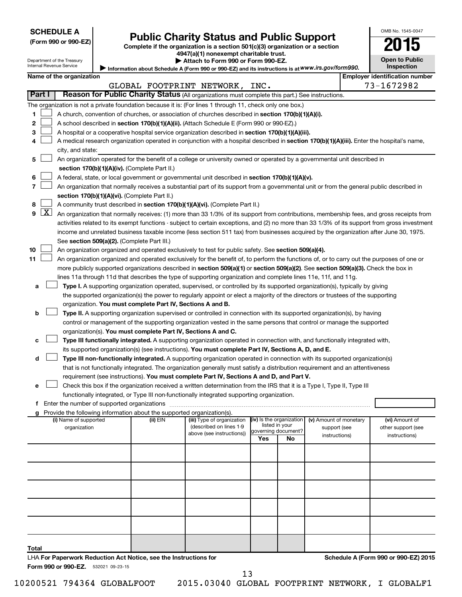| <b>SCHEDULE A</b> |  |
|-------------------|--|
|-------------------|--|

|  |  | (Form 990 or 990-EZ |
|--|--|---------------------|
|--|--|---------------------|

# Form 990 or 990-EZ) **Public Charity Status and Public Support**<br>
Complete if the organization is a section 501(c)(3) organization or a section<br> **2015**

**4947(a)(1) nonexempt charitable trust. | Attach to Form 990 or Form 990-EZ.** 

| Open to Public<br>Inspection |
|------------------------------|

OMB No. 1545-0047

Department of the Treasury Internal Revenue Service

| Information about Schedule A (Form 990 or 990-EZ) and its instructions is at WWW.irs.gov/form990. |         |
|---------------------------------------------------------------------------------------------------|---------|
|                                                                                                   | l Emplo |

|                         | Name of the organization                                                                                                                      |          |                                                       |                          |    |                                        | <b>Employer identification number</b> |
|-------------------------|-----------------------------------------------------------------------------------------------------------------------------------------------|----------|-------------------------------------------------------|--------------------------|----|----------------------------------------|---------------------------------------|
|                         |                                                                                                                                               |          | GLOBAL FOOTPRINT NETWORK, INC.                        |                          |    |                                        | 73-1672982                            |
| Part I                  | Reason for Public Charity Status (All organizations must complete this part.) See instructions.                                               |          |                                                       |                          |    |                                        |                                       |
|                         | The organization is not a private foundation because it is: (For lines 1 through 11, check only one box.)                                     |          |                                                       |                          |    |                                        |                                       |
| 1                       | A church, convention of churches, or association of churches described in section 170(b)(1)(A)(i).                                            |          |                                                       |                          |    |                                        |                                       |
| 2                       | A school described in section 170(b)(1)(A)(ii). (Attach Schedule E (Form 990 or 990-EZ).)                                                     |          |                                                       |                          |    |                                        |                                       |
| 3                       | A hospital or a cooperative hospital service organization described in section 170(b)(1)(A)(iii).                                             |          |                                                       |                          |    |                                        |                                       |
| 4                       | A medical research organization operated in conjunction with a hospital described in section 170(b)(1)(A)(iii). Enter the hospital's name,    |          |                                                       |                          |    |                                        |                                       |
|                         | city, and state:                                                                                                                              |          |                                                       |                          |    |                                        |                                       |
| 5                       | An organization operated for the benefit of a college or university owned or operated by a governmental unit described in                     |          |                                                       |                          |    |                                        |                                       |
|                         | section 170(b)(1)(A)(iv). (Complete Part II.)                                                                                                 |          |                                                       |                          |    |                                        |                                       |
| 6                       | A federal, state, or local government or governmental unit described in section 170(b)(1)(A)(v).                                              |          |                                                       |                          |    |                                        |                                       |
| 7                       | An organization that normally receives a substantial part of its support from a governmental unit or from the general public described in     |          |                                                       |                          |    |                                        |                                       |
|                         | section 170(b)(1)(A)(vi). (Complete Part II.)                                                                                                 |          |                                                       |                          |    |                                        |                                       |
| 8                       | A community trust described in section 170(b)(1)(A)(vi). (Complete Part II.)                                                                  |          |                                                       |                          |    |                                        |                                       |
| $\boxed{\text{X}}$<br>9 | An organization that normally receives: (1) more than 33 1/3% of its support from contributions, membership fees, and gross receipts from     |          |                                                       |                          |    |                                        |                                       |
|                         | activities related to its exempt functions - subject to certain exceptions, and (2) no more than 33 1/3% of its support from gross investment |          |                                                       |                          |    |                                        |                                       |
|                         | income and unrelated business taxable income (less section 511 tax) from businesses acquired by the organization after June 30, 1975.         |          |                                                       |                          |    |                                        |                                       |
|                         | See section 509(a)(2). (Complete Part III.)                                                                                                   |          |                                                       |                          |    |                                        |                                       |
| 10                      | An organization organized and operated exclusively to test for public safety. See section 509(a)(4).                                          |          |                                                       |                          |    |                                        |                                       |
| 11                      | An organization organized and operated exclusively for the benefit of, to perform the functions of, or to carry out the purposes of one or    |          |                                                       |                          |    |                                        |                                       |
|                         | more publicly supported organizations described in section 509(a)(1) or section 509(a)(2). See section 509(a)(3). Check the box in            |          |                                                       |                          |    |                                        |                                       |
|                         | lines 11a through 11d that describes the type of supporting organization and complete lines 11e, 11f, and 11g.                                |          |                                                       |                          |    |                                        |                                       |
| а                       | Type I. A supporting organization operated, supervised, or controlled by its supported organization(s), typically by giving                   |          |                                                       |                          |    |                                        |                                       |
|                         | the supported organization(s) the power to regularly appoint or elect a majority of the directors or trustees of the supporting               |          |                                                       |                          |    |                                        |                                       |
|                         | organization. You must complete Part IV, Sections A and B.                                                                                    |          |                                                       |                          |    |                                        |                                       |
| b                       | Type II. A supporting organization supervised or controlled in connection with its supported organization(s), by having                       |          |                                                       |                          |    |                                        |                                       |
|                         | control or management of the supporting organization vested in the same persons that control or manage the supported                          |          |                                                       |                          |    |                                        |                                       |
|                         | organization(s). You must complete Part IV, Sections A and C.                                                                                 |          |                                                       |                          |    |                                        |                                       |
| с                       | Type III functionally integrated. A supporting organization operated in connection with, and functionally integrated with,                    |          |                                                       |                          |    |                                        |                                       |
|                         | its supported organization(s) (see instructions). You must complete Part IV, Sections A, D, and E.                                            |          |                                                       |                          |    |                                        |                                       |
| d                       | Type III non-functionally integrated. A supporting organization operated in connection with its supported organization(s)                     |          |                                                       |                          |    |                                        |                                       |
|                         | that is not functionally integrated. The organization generally must satisfy a distribution requirement and an attentiveness                  |          |                                                       |                          |    |                                        |                                       |
|                         | requirement (see instructions). You must complete Part IV, Sections A and D, and Part V.                                                      |          |                                                       |                          |    |                                        |                                       |
| е                       | Check this box if the organization received a written determination from the IRS that it is a Type I, Type II, Type III                       |          |                                                       |                          |    |                                        |                                       |
|                         | functionally integrated, or Type III non-functionally integrated supporting organization.                                                     |          |                                                       |                          |    |                                        |                                       |
|                         |                                                                                                                                               |          |                                                       |                          |    |                                        |                                       |
|                         | g Provide the following information about the supported organization(s).                                                                      |          |                                                       | (iv) Is the organization |    |                                        |                                       |
|                         | (i) Name of supported<br>organization                                                                                                         | (ii) EIN | (iii) Type of organization<br>(described on lines 1-9 | listed in your           |    | (v) Amount of monetary<br>support (see | (vi) Amount of<br>other support (see  |
|                         |                                                                                                                                               |          | above (see instructions))                             | governing document?      |    | instructions)                          | instructions)                         |
|                         |                                                                                                                                               |          |                                                       | Yes                      | No |                                        |                                       |
|                         |                                                                                                                                               |          |                                                       |                          |    |                                        |                                       |
|                         |                                                                                                                                               |          |                                                       |                          |    |                                        |                                       |
|                         |                                                                                                                                               |          |                                                       |                          |    |                                        |                                       |
|                         |                                                                                                                                               |          |                                                       |                          |    |                                        |                                       |
|                         |                                                                                                                                               |          |                                                       |                          |    |                                        |                                       |

Form 990 or 990-EZ. 532021 09-23-15

LHA **For Paperwork Reduction Act Notice, see the Instructions for** 

**Total**

13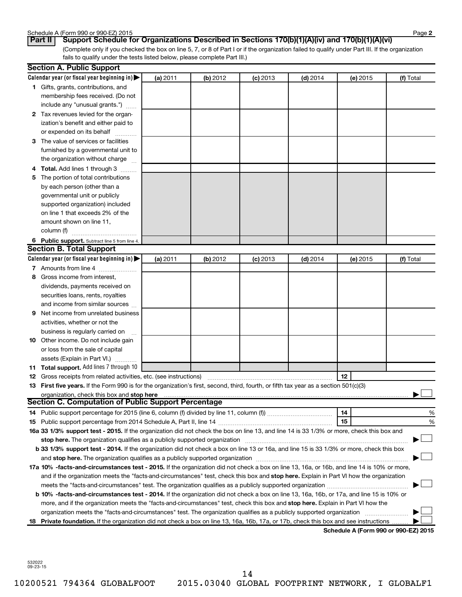| Schedule A (Form 990 or 990-EZ) 2015 | Page |
|--------------------------------------|------|
|--------------------------------------|------|

**2**

(Complete only if you checked the box on line 5, 7, or 8 of Part I or if the organization failed to qualify under Part III. If the organization fails to qualify under the tests listed below, please complete Part III.) **Part II Support Schedule for Organizations Described in Sections 170(b)(1)(A)(iv) and 170(b)(1)(A)(vi)**

|    | <b>Section A. Public Support</b>                                                                                                           |          |          |            |            |          |                                      |
|----|--------------------------------------------------------------------------------------------------------------------------------------------|----------|----------|------------|------------|----------|--------------------------------------|
|    | Calendar year (or fiscal year beginning in)                                                                                                | (a) 2011 | (b) 2012 | $(c)$ 2013 | $(d)$ 2014 | (e) 2015 | (f) Total                            |
|    | 1 Gifts, grants, contributions, and                                                                                                        |          |          |            |            |          |                                      |
|    | membership fees received. (Do not                                                                                                          |          |          |            |            |          |                                      |
|    | include any "unusual grants.")                                                                                                             |          |          |            |            |          |                                      |
|    | 2 Tax revenues levied for the organ-                                                                                                       |          |          |            |            |          |                                      |
|    | ization's benefit and either paid to                                                                                                       |          |          |            |            |          |                                      |
|    | or expended on its behalf                                                                                                                  |          |          |            |            |          |                                      |
|    | 3 The value of services or facilities                                                                                                      |          |          |            |            |          |                                      |
|    | furnished by a governmental unit to                                                                                                        |          |          |            |            |          |                                      |
|    | the organization without charge                                                                                                            |          |          |            |            |          |                                      |
|    | 4 Total. Add lines 1 through 3                                                                                                             |          |          |            |            |          |                                      |
|    | 5 The portion of total contributions                                                                                                       |          |          |            |            |          |                                      |
|    | by each person (other than a                                                                                                               |          |          |            |            |          |                                      |
|    | governmental unit or publicly                                                                                                              |          |          |            |            |          |                                      |
|    | supported organization) included                                                                                                           |          |          |            |            |          |                                      |
|    | on line 1 that exceeds 2% of the                                                                                                           |          |          |            |            |          |                                      |
|    | amount shown on line 11,                                                                                                                   |          |          |            |            |          |                                      |
|    | column (f)                                                                                                                                 |          |          |            |            |          |                                      |
|    | 6 Public support. Subtract line 5 from line 4.                                                                                             |          |          |            |            |          |                                      |
|    | <b>Section B. Total Support</b>                                                                                                            |          |          |            |            |          |                                      |
|    | Calendar year (or fiscal year beginning in)                                                                                                | (a) 2011 | (b) 2012 | $(c)$ 2013 | $(d)$ 2014 | (e) 2015 | (f) Total                            |
|    | 7 Amounts from line 4                                                                                                                      |          |          |            |            |          |                                      |
|    | 8 Gross income from interest,                                                                                                              |          |          |            |            |          |                                      |
|    | dividends, payments received on                                                                                                            |          |          |            |            |          |                                      |
|    | securities loans, rents, royalties                                                                                                         |          |          |            |            |          |                                      |
|    | and income from similar sources                                                                                                            |          |          |            |            |          |                                      |
| 9  | Net income from unrelated business                                                                                                         |          |          |            |            |          |                                      |
|    | activities, whether or not the                                                                                                             |          |          |            |            |          |                                      |
|    | business is regularly carried on                                                                                                           |          |          |            |            |          |                                      |
|    | 10 Other income. Do not include gain                                                                                                       |          |          |            |            |          |                                      |
|    | or loss from the sale of capital                                                                                                           |          |          |            |            |          |                                      |
|    | assets (Explain in Part VI.)                                                                                                               |          |          |            |            |          |                                      |
|    | 11 Total support. Add lines 7 through 10                                                                                                   |          |          |            |            |          |                                      |
|    | <b>12</b> Gross receipts from related activities, etc. (see instructions)                                                                  |          |          |            |            | 12       |                                      |
|    | 13 First five years. If the Form 990 is for the organization's first, second, third, fourth, or fifth tax year as a section 501(c)(3)      |          |          |            |            |          |                                      |
|    | organization, check this box and stop here                                                                                                 |          |          |            |            |          |                                      |
|    | <b>Section C. Computation of Public Support Percentage</b>                                                                                 |          |          |            |            |          |                                      |
|    |                                                                                                                                            |          |          |            |            | 14       | %                                    |
|    |                                                                                                                                            |          |          |            |            | 15       | %                                    |
|    | 16a 33 1/3% support test - 2015. If the organization did not check the box on line 13, and line 14 is 33 1/3% or more, check this box and  |          |          |            |            |          |                                      |
|    | stop here. The organization qualifies as a publicly supported organization                                                                 |          |          |            |            |          |                                      |
|    | b 33 1/3% support test - 2014. If the organization did not check a box on line 13 or 16a, and line 15 is 33 1/3% or more, check this box   |          |          |            |            |          |                                      |
|    |                                                                                                                                            |          |          |            |            |          |                                      |
|    | 17a 10% -facts-and-circumstances test - 2015. If the organization did not check a box on line 13, 16a, or 16b, and line 14 is 10% or more, |          |          |            |            |          |                                      |
|    | and if the organization meets the "facts-and-circumstances" test, check this box and stop here. Explain in Part VI how the organization    |          |          |            |            |          |                                      |
|    |                                                                                                                                            |          |          |            |            |          |                                      |
|    | b 10% -facts-and-circumstances test - 2014. If the organization did not check a box on line 13, 16a, 16b, or 17a, and line 15 is 10% or    |          |          |            |            |          |                                      |
|    | more, and if the organization meets the "facts-and-circumstances" test, check this box and stop here. Explain in Part VI how the           |          |          |            |            |          |                                      |
|    | organization meets the "facts-and-circumstances" test. The organization qualifies as a publicly supported organization                     |          |          |            |            |          |                                      |
| 18 | Private foundation. If the organization did not check a box on line 13, 16a, 16b, 17a, or 17b, check this box and see instructions         |          |          |            |            |          |                                      |
|    |                                                                                                                                            |          |          |            |            |          | Schedule A (Form 990 or 990-EZ) 2015 |

532022 09-23-15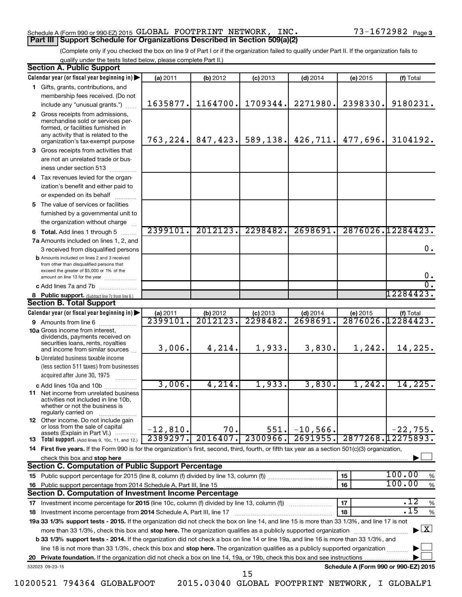## Schedule A (Form 990 or 990-EZ) 2015 Page GLOBAL FOOTPRINT NETWORK, INC. 73-1672982 **Part III Support Schedule for Organizations Described in Section 509(a)(2)**

(Complete only if you checked the box on line 9 of Part I or if the organization failed to qualify under Part II. If the organization fails to qualify under the tests listed below, please complete Part II.)

|    | <b>Section A. Public Support</b>                                                                                                                                                         |            |           |            |             |                                      |                                          |
|----|------------------------------------------------------------------------------------------------------------------------------------------------------------------------------------------|------------|-----------|------------|-------------|--------------------------------------|------------------------------------------|
|    | Calendar year (or fiscal year beginning in)                                                                                                                                              | (a) 2011   | (b) 2012  | $(c)$ 2013 | $(d)$ 2014  | (e) 2015                             | (f) Total                                |
|    | 1 Gifts, grants, contributions, and                                                                                                                                                      |            |           |            |             |                                      |                                          |
|    | membership fees received. (Do not                                                                                                                                                        |            |           |            |             |                                      |                                          |
|    | include any "unusual grants.")                                                                                                                                                           | 1635877.   | 1164700.  | 1709344.   | 2271980.    | 2398330.                             | 9180231.                                 |
|    | 2 Gross receipts from admissions,<br>merchandise sold or services per-<br>formed, or facilities furnished in<br>any activity that is related to the<br>organization's tax-exempt purpose | 763, 224.  | 847, 423. | 589,138.   | 426, 711.   | 477,696.                             | 3104192.                                 |
|    | 3 Gross receipts from activities that                                                                                                                                                    |            |           |            |             |                                      |                                          |
|    | are not an unrelated trade or bus-                                                                                                                                                       |            |           |            |             |                                      |                                          |
|    | iness under section 513                                                                                                                                                                  |            |           |            |             |                                      |                                          |
|    | 4 Tax revenues levied for the organ-                                                                                                                                                     |            |           |            |             |                                      |                                          |
|    | ization's benefit and either paid to                                                                                                                                                     |            |           |            |             |                                      |                                          |
|    | or expended on its behalf                                                                                                                                                                |            |           |            |             |                                      |                                          |
|    | 5 The value of services or facilities                                                                                                                                                    |            |           |            |             |                                      |                                          |
|    | furnished by a governmental unit to                                                                                                                                                      |            |           |            |             |                                      |                                          |
|    | the organization without charge                                                                                                                                                          |            |           |            |             |                                      |                                          |
|    | <b>6 Total.</b> Add lines 1 through 5                                                                                                                                                    | 2399101.   | 2012123.  | 2298482.   | 2698691.    |                                      | 2876026.12284423.                        |
|    | 7a Amounts included on lines 1, 2, and                                                                                                                                                   |            |           |            |             |                                      |                                          |
|    | 3 received from disqualified persons                                                                                                                                                     |            |           |            |             |                                      | 0.                                       |
|    | <b>b</b> Amounts included on lines 2 and 3 received<br>from other than disqualified persons that<br>exceed the greater of \$5,000 or 1% of the<br>amount on line 13 for the year         |            |           |            |             |                                      | $\mathbf 0$ .                            |
|    | c Add lines 7a and 7b                                                                                                                                                                    |            |           |            |             |                                      | σ.                                       |
|    | 8 Public support. (Subtract line 7c from line 6.)                                                                                                                                        |            |           |            |             |                                      | 12284423.                                |
|    | <b>Section B. Total Support</b>                                                                                                                                                          |            |           |            |             |                                      |                                          |
|    | Calendar year (or fiscal year beginning in)                                                                                                                                              | (a) 2011   | (b) 2012  | $(c)$ 2013 | $(d)$ 2014  | (e) 2015                             | (f) Total                                |
|    | <b>9</b> Amounts from line 6                                                                                                                                                             | 2399101    | 2012123   | 2298482.   | 2698691     |                                      | 2876026.12284423.                        |
|    | <b>10a</b> Gross income from interest,<br>dividends, payments received on<br>securities loans, rents, royalties                                                                          |            |           |            |             |                                      |                                          |
|    | and income from similar sources                                                                                                                                                          | 3,006.     | 4,214.    | 1,933.     | 3,830.      | 1, 242.                              | 14,225.                                  |
|    | <b>b</b> Unrelated business taxable income<br>(less section 511 taxes) from businesses<br>acquired after June 30, 1975                                                                   |            |           |            |             |                                      |                                          |
|    | c Add lines 10a and 10b                                                                                                                                                                  | 3,006.     | 4,214.    | 1,933.     | 3,830.      | 1,242.                               | 14,225.                                  |
|    | 11 Net income from unrelated business<br>activities not included in line 10b,<br>whether or not the business is<br>regularly carried on                                                  |            |           |            |             |                                      |                                          |
|    | <b>12</b> Other income. Do not include gain<br>or loss from the sale of capital<br>assets (Explain in Part VI.)                                                                          | $-12,810.$ | 70.       | 551.       | $-10,566$ . |                                      | $-22,755.$                               |
|    | 13 Total support. (Add lines 9, 10c, 11, and 12.)                                                                                                                                        | 2389297.   | 2016407.  | 2300966.   | 2691955.    |                                      | 2877268.12275893.                        |
|    | 14 First five years. If the Form 990 is for the organization's first, second, third, fourth, or fifth tax year as a section 501(c)(3) organization,                                      |            |           |            |             |                                      |                                          |
|    | check this box and stop here                                                                                                                                                             |            |           |            |             |                                      |                                          |
|    | <b>Section C. Computation of Public Support Percentage</b>                                                                                                                               |            |           |            |             |                                      |                                          |
|    |                                                                                                                                                                                          |            |           |            |             | 15                                   | 100.00<br>%                              |
|    | 16 Public support percentage from 2014 Schedule A, Part III, line 15                                                                                                                     |            |           |            |             | 16                                   | 100.00<br>$\%$                           |
|    | Section D. Computation of Investment Income Percentage                                                                                                                                   |            |           |            |             |                                      |                                          |
|    | 17 Investment income percentage for 2015 (line 10c, column (f) divided by line 13, column (f))                                                                                           |            |           |            |             | 17                                   | .12<br>$\%$                              |
|    | 18 Investment income percentage from 2014 Schedule A, Part III, line 17                                                                                                                  |            |           |            |             | 18                                   | .15<br>$\%$                              |
|    | 19a 33 1/3% support tests - 2015. If the organization did not check the box on line 14, and line 15 is more than 33 1/3%, and line 17 is not                                             |            |           |            |             |                                      |                                          |
|    | more than 33 1/3%, check this box and stop here. The organization qualifies as a publicly supported organization                                                                         |            |           |            |             |                                      | $\blacktriangleright$ $\boxed{\text{X}}$ |
|    | b 33 1/3% support tests - 2014. If the organization did not check a box on line 14 or line 19a, and line 16 is more than 33 1/3%, and                                                    |            |           |            |             |                                      |                                          |
|    | line 18 is not more than 33 1/3%, check this box and stop here. The organization qualifies as a publicly supported organization                                                          |            |           |            |             |                                      |                                          |
| 20 |                                                                                                                                                                                          |            |           |            |             |                                      |                                          |
|    | 532023 09-23-15                                                                                                                                                                          |            |           | 15         |             | Schedule A (Form 990 or 990-EZ) 2015 |                                          |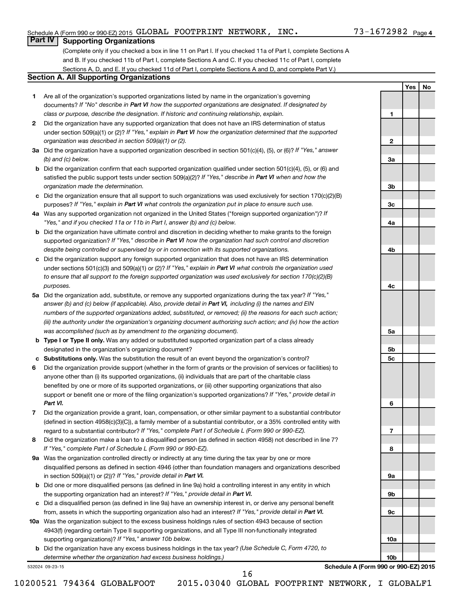**1**

**2**

**3a**

**3b**

**3c**

**4a**

**4b**

**4c**

**5a**

**5b 5c**

**6**

**7**

**8**

**9a**

**9b**

**9c**

**10a**

**10b**

**Yes No**

## **Part IV Supporting Organizations**

(Complete only if you checked a box in line 11 on Part I. If you checked 11a of Part I, complete Sections A and B. If you checked 11b of Part I, complete Sections A and C. If you checked 11c of Part I, complete Sections A, D, and E. If you checked 11d of Part I, complete Sections A and D, and complete Part V.)

## **Section A. All Supporting Organizations**

- **1** Are all of the organization's supported organizations listed by name in the organization's governing documents? If "No" describe in Part VI how the supported organizations are designated. If designated by *class or purpose, describe the designation. If historic and continuing relationship, explain.*
- **2** Did the organization have any supported organization that does not have an IRS determination of status under section 509(a)(1) or (2)? If "Yes," explain in Part VI how the organization determined that the supported *organization was described in section 509(a)(1) or (2).*
- **3a** Did the organization have a supported organization described in section 501(c)(4), (5), or (6)? If "Yes," answer *(b) and (c) below.*
- **b** Did the organization confirm that each supported organization qualified under section 501(c)(4), (5), or (6) and satisfied the public support tests under section 509(a)(2)? If "Yes," describe in Part VI when and how the *organization made the determination.*
- **c** Did the organization ensure that all support to such organizations was used exclusively for section 170(c)(2)(B) purposes? If "Yes," explain in Part VI what controls the organization put in place to ensure such use.
- **4 a** *If* Was any supported organization not organized in the United States ("foreign supported organization")? *"Yes," and if you checked 11a or 11b in Part I, answer (b) and (c) below.*
- **b** Did the organization have ultimate control and discretion in deciding whether to make grants to the foreign supported organization? If "Yes," describe in Part VI how the organization had such control and discretion *despite being controlled or supervised by or in connection with its supported organizations.*
- **c** Did the organization support any foreign supported organization that does not have an IRS determination under sections 501(c)(3) and 509(a)(1) or (2)? If "Yes," explain in Part VI what controls the organization used *to ensure that all support to the foreign supported organization was used exclusively for section 170(c)(2)(B) purposes.*
- **5a** Did the organization add, substitute, or remove any supported organizations during the tax year? If "Yes," answer (b) and (c) below (if applicable). Also, provide detail in Part VI, including (i) the names and EIN *numbers of the supported organizations added, substituted, or removed; (ii) the reasons for each such action; (iii) the authority under the organization's organizing document authorizing such action; and (iv) how the action was accomplished (such as by amendment to the organizing document).*
- **b Type I or Type II only.** Was any added or substituted supported organization part of a class already designated in the organization's organizing document?
- **c Substitutions only.**  Was the substitution the result of an event beyond the organization's control?
- **6** Did the organization provide support (whether in the form of grants or the provision of services or facilities) to support or benefit one or more of the filing organization's supported organizations? If "Yes," provide detail in anyone other than (i) its supported organizations, (ii) individuals that are part of the charitable class benefited by one or more of its supported organizations, or (iii) other supporting organizations that also *Part VI.*
- **7** Did the organization provide a grant, loan, compensation, or other similar payment to a substantial contributor regard to a substantial contributor? If "Yes," complete Part I of Schedule L (Form 990 or 990-EZ). (defined in section 4958(c)(3)(C)), a family member of a substantial contributor, or a 35% controlled entity with
- **8** Did the organization make a loan to a disqualified person (as defined in section 4958) not described in line 7? *If "Yes," complete Part I of Schedule L (Form 990 or 990-EZ).*
- **9 a** Was the organization controlled directly or indirectly at any time during the tax year by one or more in section 509(a)(1) or (2))? If "Yes," provide detail in Part VI. disqualified persons as defined in section 4946 (other than foundation managers and organizations described
- **b** Did one or more disqualified persons (as defined in line 9a) hold a controlling interest in any entity in which the supporting organization had an interest? If "Yes," provide detail in Part VI.
- **c** Did a disqualified person (as defined in line 9a) have an ownership interest in, or derive any personal benefit from, assets in which the supporting organization also had an interest? If "Yes," provide detail in Part VI.
- **10 a** Was the organization subject to the excess business holdings rules of section 4943 because of section supporting organizations)? If "Yes," answer 10b below. 4943(f) (regarding certain Type II supporting organizations, and all Type III non-functionally integrated
	- **b** Did the organization have any excess business holdings in the tax year? (Use Schedule C, Form 4720, to *determine whether the organization had excess business holdings.)*

532024 09-23-15

**Schedule A (Form 990 or 990-EZ) 2015**

10200521 794364 GLOBALFOOT 2015.03040 GLOBAL FOOTPRINT NETWORK, I GLOBALF1

16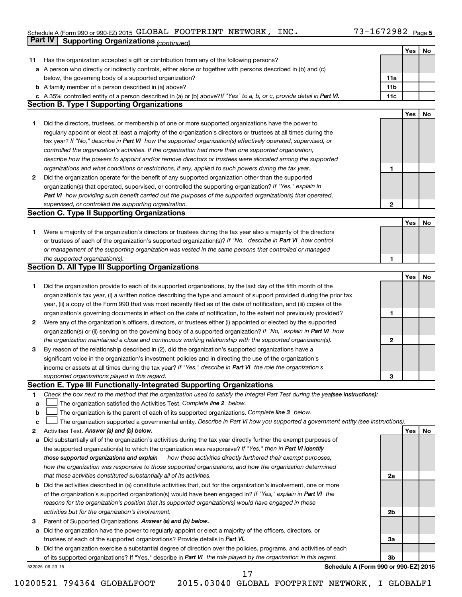#### Schedule A (Form 990 or 990-EZ) 2015 GLUBAL FOOTPRINT NETWORK,INC。 / 3-16 / 2982 Page GLOBAL FOOTPRINT NETWORK, INC. 73-1672982

|    | <b>Part IV</b>                                    | <b>Supporting Organizations (continued)</b>                                                                                     |                 |     |    |  |  |  |  |
|----|---------------------------------------------------|---------------------------------------------------------------------------------------------------------------------------------|-----------------|-----|----|--|--|--|--|
|    |                                                   |                                                                                                                                 |                 | Yes | No |  |  |  |  |
| 11 |                                                   | Has the organization accepted a gift or contribution from any of the following persons?                                         |                 |     |    |  |  |  |  |
| а  |                                                   | A person who directly or indirectly controls, either alone or together with persons described in (b) and (c)                    |                 |     |    |  |  |  |  |
|    |                                                   | below, the governing body of a supported organization?                                                                          | 11a             |     |    |  |  |  |  |
|    |                                                   | <b>b</b> A family member of a person described in (a) above?                                                                    | 11 <sub>b</sub> |     |    |  |  |  |  |
|    |                                                   | c A 35% controlled entity of a person described in (a) or (b) above? If "Yes" to a, b, or c, provide detail in Part VI.         | 11c             |     |    |  |  |  |  |
|    | <b>Section B. Type I Supporting Organizations</b> |                                                                                                                                 |                 |     |    |  |  |  |  |
|    |                                                   |                                                                                                                                 |                 | Yes | No |  |  |  |  |
| 1. |                                                   | Did the directors, trustees, or membership of one or more supported organizations have the power to                             |                 |     |    |  |  |  |  |
|    |                                                   | regularly appoint or elect at least a majority of the organization's directors or trustees at all times during the              |                 |     |    |  |  |  |  |
|    |                                                   | tax year? If "No," describe in Part VI how the supported organization(s) effectively operated, supervised, or                   |                 |     |    |  |  |  |  |
|    |                                                   |                                                                                                                                 |                 |     |    |  |  |  |  |
|    |                                                   | controlled the organization's activities. If the organization had more than one supported organization,                         |                 |     |    |  |  |  |  |
|    |                                                   | describe how the powers to appoint and/or remove directors or trustees were allocated among the supported                       |                 |     |    |  |  |  |  |
|    |                                                   | organizations and what conditions or restrictions, if any, applied to such powers during the tax year.                          | 1               |     |    |  |  |  |  |
| 2  |                                                   | Did the organization operate for the benefit of any supported organization other than the supported                             |                 |     |    |  |  |  |  |
|    |                                                   | organization(s) that operated, supervised, or controlled the supporting organization? If "Yes," explain in                      |                 |     |    |  |  |  |  |
|    |                                                   | Part VI how providing such benefit carried out the purposes of the supported organization(s) that operated,                     |                 |     |    |  |  |  |  |
|    |                                                   | supervised, or controlled the supporting organization.                                                                          | $\mathbf{2}$    |     |    |  |  |  |  |
|    |                                                   | <b>Section C. Type II Supporting Organizations</b>                                                                              |                 |     |    |  |  |  |  |
|    |                                                   |                                                                                                                                 |                 | Yes | No |  |  |  |  |
| 1. |                                                   | Were a majority of the organization's directors or trustees during the tax year also a majority of the directors                |                 |     |    |  |  |  |  |
|    |                                                   | or trustees of each of the organization's supported organization(s)? If "No," describe in Part VI how control                   |                 |     |    |  |  |  |  |
|    |                                                   | or management of the supporting organization was vested in the same persons that controlled or managed                          |                 |     |    |  |  |  |  |
|    |                                                   | the supported organization(s).                                                                                                  | 1               |     |    |  |  |  |  |
|    |                                                   | <b>Section D. All Type III Supporting Organizations</b>                                                                         |                 |     |    |  |  |  |  |
|    |                                                   |                                                                                                                                 |                 | Yes | No |  |  |  |  |
| 1  |                                                   | Did the organization provide to each of its supported organizations, by the last day of the fifth month of the                  |                 |     |    |  |  |  |  |
|    |                                                   | organization's tax year, (i) a written notice describing the type and amount of support provided during the prior tax           |                 |     |    |  |  |  |  |
|    |                                                   | year, (ii) a copy of the Form 990 that was most recently filed as of the date of notification, and (iii) copies of the          |                 |     |    |  |  |  |  |
|    |                                                   | organization's governing documents in effect on the date of notification, to the extent not previously provided?                | 1               |     |    |  |  |  |  |
| 2  |                                                   | Were any of the organization's officers, directors, or trustees either (i) appointed or elected by the supported                |                 |     |    |  |  |  |  |
|    |                                                   | organization(s) or (ii) serving on the governing body of a supported organization? If "No," explain in Part VI how              |                 |     |    |  |  |  |  |
|    |                                                   | the organization maintained a close and continuous working relationship with the supported organization(s).                     | $\mathbf{2}$    |     |    |  |  |  |  |
| 3  |                                                   | By reason of the relationship described in (2), did the organization's supported organizations have a                           |                 |     |    |  |  |  |  |
|    |                                                   | significant voice in the organization's investment policies and in directing the use of the organization's                      |                 |     |    |  |  |  |  |
|    |                                                   | income or assets at all times during the tax year? If "Yes," describe in Part VI the role the organization's                    |                 |     |    |  |  |  |  |
|    |                                                   | supported organizations played in this regard.                                                                                  |                 |     |    |  |  |  |  |
|    |                                                   | Section E. Type III Functionally-Integrated Supporting Organizations                                                            | з               |     |    |  |  |  |  |
|    |                                                   | Check the box next to the method that the organization used to satisfy the Integral Part Test during the yea(see instructions): |                 |     |    |  |  |  |  |
| 1  |                                                   | The organization satisfied the Activities Test. Complete line 2 below.                                                          |                 |     |    |  |  |  |  |
| a  |                                                   |                                                                                                                                 |                 |     |    |  |  |  |  |
| b  |                                                   | The organization is the parent of each of its supported organizations. Complete line 3 below.                                   |                 |     |    |  |  |  |  |
| c  |                                                   | The organization supported a governmental entity. Describe in Part VI how you supported a government entity (see instructions). |                 |     |    |  |  |  |  |
| 2  |                                                   | Activities Test. Answer (a) and (b) below.                                                                                      |                 | Yes | No |  |  |  |  |
| а  |                                                   | Did substantially all of the organization's activities during the tax year directly further the exempt purposes of              |                 |     |    |  |  |  |  |
|    |                                                   | the supported organization(s) to which the organization was responsive? If "Yes," then in Part VI identify                      |                 |     |    |  |  |  |  |
|    |                                                   | those supported organizations and explain<br>how these activities directly furthered their exempt purposes,                     |                 |     |    |  |  |  |  |
|    |                                                   | how the organization was responsive to those supported organizations, and how the organization determined                       |                 |     |    |  |  |  |  |
|    |                                                   | that these activities constituted substantially all of its activities.                                                          | 2a              |     |    |  |  |  |  |
| b  |                                                   | Did the activities described in (a) constitute activities that, but for the organization's involvement, one or more             |                 |     |    |  |  |  |  |
|    |                                                   | of the organization's supported organization(s) would have been engaged in? If "Yes," explain in Part VI the                    |                 |     |    |  |  |  |  |
|    |                                                   | reasons for the organization's position that its supported organization(s) would have engaged in these                          |                 |     |    |  |  |  |  |
|    |                                                   | activities but for the organization's involvement.                                                                              | 2b              |     |    |  |  |  |  |
| з  |                                                   | Parent of Supported Organizations. Answer (a) and (b) below.                                                                    |                 |     |    |  |  |  |  |
| а  |                                                   | Did the organization have the power to regularly appoint or elect a majority of the officers, directors, or                     |                 |     |    |  |  |  |  |
|    |                                                   | trustees of each of the supported organizations? Provide details in Part VI.                                                    | За              |     |    |  |  |  |  |
|    |                                                   | <b>b</b> Did the organization exercise a substantial degree of direction over the policies, programs, and activities of each    |                 |     |    |  |  |  |  |
|    |                                                   | of its supported organizations? If "Yes," describe in Part VI the role played by the organization in this regard.               | 3b              |     |    |  |  |  |  |
|    | 532025 09-23-15                                   | Schedule A (Form 990 or 990-EZ) 2015                                                                                            |                 |     |    |  |  |  |  |
|    |                                                   | 17                                                                                                                              |                 |     |    |  |  |  |  |

<sup>10200521 794364</sup> GLOBALFOOT 2015.03040 GLOBAL FOOTPRINT NETWORK, I GLOBALF1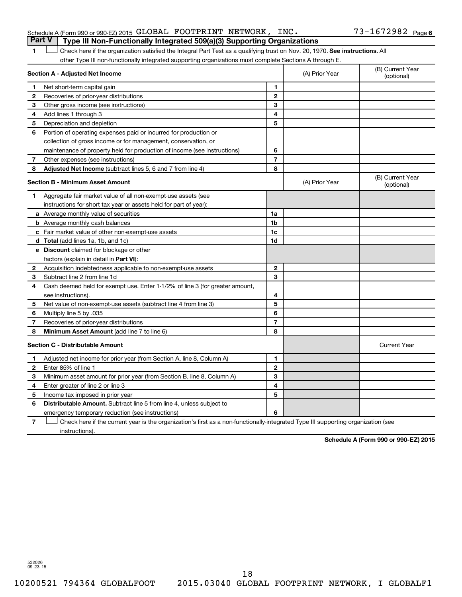|  | Schedule A (Form 990 or 990-EZ) 2015 GLOBAL FOOTPRINT NETWORK, INC.                   |  |  | $73 - 1672982$ Page 6 |  |
|--|---------------------------------------------------------------------------------------|--|--|-----------------------|--|
|  | <b>Part V</b> Type III Non-Functionally Integrated 509(a)(3) Supporting Organizations |  |  |                       |  |

1 **Letter on Reck here if the organization satisfied the Integral Part Test as a qualifying trust on Nov. 20, 1970. See instructions. All** other Type III non-functionally integrated supporting organizations must complete Sections A through E.

|              | Section A - Adjusted Net Income                                              | (A) Prior Year | (B) Current Year<br>(optional) |                                |
|--------------|------------------------------------------------------------------------------|----------------|--------------------------------|--------------------------------|
| 1            | Net short-term capital gain                                                  | 1              |                                |                                |
| $\mathbf{2}$ | Recoveries of prior-year distributions                                       | $\mathbf{2}$   |                                |                                |
| З            | Other gross income (see instructions)                                        | 3              |                                |                                |
| 4            | Add lines 1 through 3                                                        | 4              |                                |                                |
| 5            | Depreciation and depletion                                                   | 5              |                                |                                |
| 6            | Portion of operating expenses paid or incurred for production or             |                |                                |                                |
|              | collection of gross income or for management, conservation, or               |                |                                |                                |
|              | maintenance of property held for production of income (see instructions)     | 6              |                                |                                |
| 7            | Other expenses (see instructions)                                            | $\overline{7}$ |                                |                                |
| 8            | Adjusted Net Income (subtract lines 5, 6 and 7 from line 4)                  | 8              |                                |                                |
|              | <b>Section B - Minimum Asset Amount</b>                                      |                | (A) Prior Year                 | (B) Current Year<br>(optional) |
| 1            | Aggregate fair market value of all non-exempt-use assets (see                |                |                                |                                |
|              | instructions for short tax year or assets held for part of year):            |                |                                |                                |
|              | a Average monthly value of securities                                        | 1a             |                                |                                |
|              | <b>b</b> Average monthly cash balances                                       | 1 <sub>b</sub> |                                |                                |
|              | c Fair market value of other non-exempt-use assets                           | 1c             |                                |                                |
|              | d Total (add lines 1a, 1b, and 1c)                                           | 1 <sub>d</sub> |                                |                                |
|              | e Discount claimed for blockage or other                                     |                |                                |                                |
|              | factors (explain in detail in Part VI):                                      |                |                                |                                |
| 2            | Acquisition indebtedness applicable to non-exempt-use assets                 | $\mathbf{2}$   |                                |                                |
| 3            | Subtract line 2 from line 1d                                                 | 3              |                                |                                |
| 4            | Cash deemed held for exempt use. Enter 1-1/2% of line 3 (for greater amount, |                |                                |                                |
|              | see instructions).                                                           | 4              |                                |                                |
| 5            | Net value of non-exempt-use assets (subtract line 4 from line 3)             | 5              |                                |                                |
| 6            | Multiply line 5 by .035                                                      | 6              |                                |                                |
| 7            | Recoveries of prior-year distributions                                       | $\overline{7}$ |                                |                                |
| 8            | <b>Minimum Asset Amount (add line 7 to line 6)</b>                           | 8              |                                |                                |
|              | <b>Section C - Distributable Amount</b>                                      |                |                                | <b>Current Year</b>            |
| 1            | Adjusted net income for prior year (from Section A, line 8, Column A)        | 1              |                                |                                |
| 2            | Enter 85% of line 1                                                          | $\mathbf{2}$   |                                |                                |
| 3            | Minimum asset amount for prior year (from Section B, line 8, Column A)       | 3              |                                |                                |
| 4            | Enter greater of line 2 or line 3                                            | 4              |                                |                                |
| 5            | Income tax imposed in prior year                                             | 5              |                                |                                |
| 6            | <b>Distributable Amount.</b> Subtract line 5 from line 4, unless subject to  |                |                                |                                |
|              | emergency temporary reduction (see instructions)                             | 6              |                                |                                |
|              |                                                                              |                |                                |                                |

**7** Check here if the current year is the organization's first as a non-functionally-integrated Type III supporting organization (see † instructions).

**Schedule A (Form 990 or 990-EZ) 2015**

532026 09-23-15

18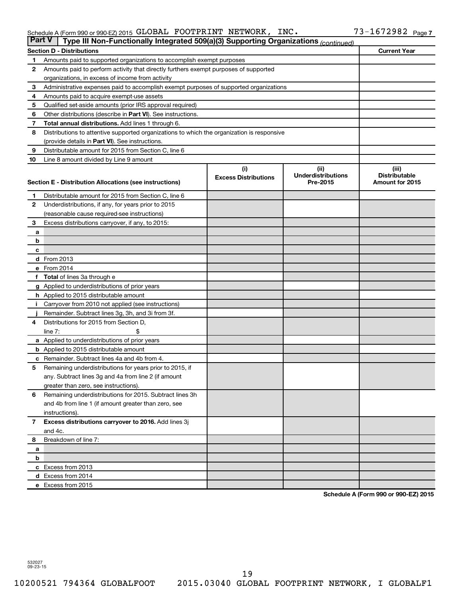#### Schedule A (Form 990 or 990-EZ) 2015 GLUBAL FOOTPRINT NETWORK,INC。 / 3-16 / 2982 Page GLOBAL FOOTPRINT NETWORK, INC. 73-1672982

| <b>Part V</b> | Type III Non-Functionally Integrated 509(a)(3) Supporting Organizations (continued)                    |                             |                                       |                                         |  |  |  |
|---------------|--------------------------------------------------------------------------------------------------------|-----------------------------|---------------------------------------|-----------------------------------------|--|--|--|
|               | <b>Current Year</b><br><b>Section D - Distributions</b>                                                |                             |                                       |                                         |  |  |  |
| 1             | Amounts paid to supported organizations to accomplish exempt purposes                                  |                             |                                       |                                         |  |  |  |
| 2             | Amounts paid to perform activity that directly furthers exempt purposes of supported                   |                             |                                       |                                         |  |  |  |
|               | organizations, in excess of income from activity                                                       |                             |                                       |                                         |  |  |  |
| 3             | Administrative expenses paid to accomplish exempt purposes of supported organizations                  |                             |                                       |                                         |  |  |  |
| 4             | Amounts paid to acquire exempt-use assets                                                              |                             |                                       |                                         |  |  |  |
| 5             | Qualified set-aside amounts (prior IRS approval required)                                              |                             |                                       |                                         |  |  |  |
| 6             | Other distributions (describe in Part VI). See instructions.                                           |                             |                                       |                                         |  |  |  |
| 7             | <b>Total annual distributions.</b> Add lines 1 through 6.                                              |                             |                                       |                                         |  |  |  |
| 8             | Distributions to attentive supported organizations to which the organization is responsive             |                             |                                       |                                         |  |  |  |
|               | (provide details in Part VI). See instructions.                                                        |                             |                                       |                                         |  |  |  |
| 9             | Distributable amount for 2015 from Section C, line 6                                                   |                             |                                       |                                         |  |  |  |
| 10            | Line 8 amount divided by Line 9 amount                                                                 |                             |                                       |                                         |  |  |  |
|               |                                                                                                        | (i)                         | (ii)                                  | (iii)                                   |  |  |  |
|               | Section E - Distribution Allocations (see instructions)                                                | <b>Excess Distributions</b> | <b>Underdistributions</b><br>Pre-2015 | <b>Distributable</b><br>Amount for 2015 |  |  |  |
|               |                                                                                                        |                             |                                       |                                         |  |  |  |
| 1             | Distributable amount for 2015 from Section C, line 6                                                   |                             |                                       |                                         |  |  |  |
| $\mathbf{2}$  | Underdistributions, if any, for years prior to 2015                                                    |                             |                                       |                                         |  |  |  |
|               | (reasonable cause required-see instructions)                                                           |                             |                                       |                                         |  |  |  |
| 3             | Excess distributions carryover, if any, to 2015:                                                       |                             |                                       |                                         |  |  |  |
| a             |                                                                                                        |                             |                                       |                                         |  |  |  |
| b             |                                                                                                        |                             |                                       |                                         |  |  |  |
| с             |                                                                                                        |                             |                                       |                                         |  |  |  |
|               | d From 2013<br>e From 2014                                                                             |                             |                                       |                                         |  |  |  |
|               |                                                                                                        |                             |                                       |                                         |  |  |  |
|               | <b>Total</b> of lines 3a through e                                                                     |                             |                                       |                                         |  |  |  |
|               | <b>g</b> Applied to underdistributions of prior years<br><b>h</b> Applied to 2015 distributable amount |                             |                                       |                                         |  |  |  |
|               | Carryover from 2010 not applied (see instructions)                                                     |                             |                                       |                                         |  |  |  |
|               | Remainder. Subtract lines 3g, 3h, and 3i from 3f.                                                      |                             |                                       |                                         |  |  |  |
| 4             | Distributions for 2015 from Section D,                                                                 |                             |                                       |                                         |  |  |  |
|               | $line 7$ :                                                                                             |                             |                                       |                                         |  |  |  |
|               | a Applied to underdistributions of prior years                                                         |                             |                                       |                                         |  |  |  |
|               | <b>b</b> Applied to 2015 distributable amount                                                          |                             |                                       |                                         |  |  |  |
| с             | Remainder. Subtract lines 4a and 4b from 4.                                                            |                             |                                       |                                         |  |  |  |
| 5             | Remaining underdistributions for years prior to 2015, if                                               |                             |                                       |                                         |  |  |  |
|               | any. Subtract lines 3g and 4a from line 2 (if amount                                                   |                             |                                       |                                         |  |  |  |
|               | greater than zero, see instructions).                                                                  |                             |                                       |                                         |  |  |  |
| 6             | Remaining underdistributions for 2015. Subtract lines 3h                                               |                             |                                       |                                         |  |  |  |
|               | and 4b from line 1 (if amount greater than zero, see                                                   |                             |                                       |                                         |  |  |  |
|               | instructions).                                                                                         |                             |                                       |                                         |  |  |  |
| $\mathbf{7}$  | Excess distributions carryover to 2016. Add lines 3j                                                   |                             |                                       |                                         |  |  |  |
|               | and 4c.                                                                                                |                             |                                       |                                         |  |  |  |
| 8             | Breakdown of line 7:                                                                                   |                             |                                       |                                         |  |  |  |
| a             |                                                                                                        |                             |                                       |                                         |  |  |  |
| b             |                                                                                                        |                             |                                       |                                         |  |  |  |
|               | c Excess from 2013                                                                                     |                             |                                       |                                         |  |  |  |
|               | d Excess from 2014                                                                                     |                             |                                       |                                         |  |  |  |
|               | e Excess from 2015                                                                                     |                             |                                       |                                         |  |  |  |

**Schedule A (Form 990 or 990-EZ) 2015**

532027 09-23-15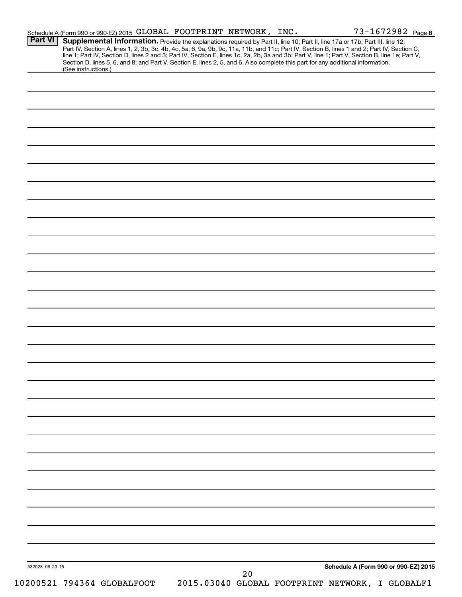| <b>Part VI</b>  | Supplemental Information. Provide the explanations required by Part II, line 10; Part II, line 17a or 17b; Part III, line 12;<br>Part IV, Section A, lines 1, 2, 3b, 3c, 4b, 4c, 5a, 6, 9a, 9b, 9c, 11a, 11b, and 11c; Part IV, Section B, lines 1 and 2; Part IV, Section C,<br>line 1; Part IV, Section D, lines 2 and 3; Part IV, Section E, lines 1c, 2a, 2b, 3a and 3b; Part V, line 1; Part V, Section B, line 1e; Part V,<br>Section D, lines 5, 6, and 8; and Part V, Section E, lines 2, 5, and 6. Also complete this part for any additional information. | Schedule A (Form 990 or 990-EZ) 2015 GLOBAL FOOTPRINT NETWORK, INC. |    | 73-1672982 Page 8                    |  |
|-----------------|---------------------------------------------------------------------------------------------------------------------------------------------------------------------------------------------------------------------------------------------------------------------------------------------------------------------------------------------------------------------------------------------------------------------------------------------------------------------------------------------------------------------------------------------------------------------|---------------------------------------------------------------------|----|--------------------------------------|--|
|                 | (See instructions.)                                                                                                                                                                                                                                                                                                                                                                                                                                                                                                                                                 |                                                                     |    |                                      |  |
|                 |                                                                                                                                                                                                                                                                                                                                                                                                                                                                                                                                                                     |                                                                     |    |                                      |  |
|                 |                                                                                                                                                                                                                                                                                                                                                                                                                                                                                                                                                                     |                                                                     |    |                                      |  |
|                 |                                                                                                                                                                                                                                                                                                                                                                                                                                                                                                                                                                     |                                                                     |    |                                      |  |
|                 |                                                                                                                                                                                                                                                                                                                                                                                                                                                                                                                                                                     |                                                                     |    |                                      |  |
|                 |                                                                                                                                                                                                                                                                                                                                                                                                                                                                                                                                                                     |                                                                     |    |                                      |  |
|                 |                                                                                                                                                                                                                                                                                                                                                                                                                                                                                                                                                                     |                                                                     |    |                                      |  |
|                 |                                                                                                                                                                                                                                                                                                                                                                                                                                                                                                                                                                     |                                                                     |    |                                      |  |
|                 |                                                                                                                                                                                                                                                                                                                                                                                                                                                                                                                                                                     |                                                                     |    |                                      |  |
|                 |                                                                                                                                                                                                                                                                                                                                                                                                                                                                                                                                                                     |                                                                     |    |                                      |  |
|                 |                                                                                                                                                                                                                                                                                                                                                                                                                                                                                                                                                                     |                                                                     |    |                                      |  |
|                 |                                                                                                                                                                                                                                                                                                                                                                                                                                                                                                                                                                     |                                                                     |    |                                      |  |
|                 |                                                                                                                                                                                                                                                                                                                                                                                                                                                                                                                                                                     |                                                                     |    |                                      |  |
|                 |                                                                                                                                                                                                                                                                                                                                                                                                                                                                                                                                                                     |                                                                     |    |                                      |  |
|                 |                                                                                                                                                                                                                                                                                                                                                                                                                                                                                                                                                                     |                                                                     |    |                                      |  |
|                 |                                                                                                                                                                                                                                                                                                                                                                                                                                                                                                                                                                     |                                                                     |    |                                      |  |
|                 |                                                                                                                                                                                                                                                                                                                                                                                                                                                                                                                                                                     |                                                                     |    |                                      |  |
|                 |                                                                                                                                                                                                                                                                                                                                                                                                                                                                                                                                                                     |                                                                     |    |                                      |  |
|                 |                                                                                                                                                                                                                                                                                                                                                                                                                                                                                                                                                                     |                                                                     |    |                                      |  |
|                 |                                                                                                                                                                                                                                                                                                                                                                                                                                                                                                                                                                     |                                                                     |    |                                      |  |
|                 |                                                                                                                                                                                                                                                                                                                                                                                                                                                                                                                                                                     |                                                                     |    |                                      |  |
|                 |                                                                                                                                                                                                                                                                                                                                                                                                                                                                                                                                                                     |                                                                     |    |                                      |  |
|                 |                                                                                                                                                                                                                                                                                                                                                                                                                                                                                                                                                                     |                                                                     |    |                                      |  |
|                 |                                                                                                                                                                                                                                                                                                                                                                                                                                                                                                                                                                     |                                                                     |    |                                      |  |
|                 |                                                                                                                                                                                                                                                                                                                                                                                                                                                                                                                                                                     |                                                                     |    |                                      |  |
|                 |                                                                                                                                                                                                                                                                                                                                                                                                                                                                                                                                                                     |                                                                     |    |                                      |  |
|                 |                                                                                                                                                                                                                                                                                                                                                                                                                                                                                                                                                                     |                                                                     |    |                                      |  |
|                 |                                                                                                                                                                                                                                                                                                                                                                                                                                                                                                                                                                     |                                                                     |    |                                      |  |
|                 |                                                                                                                                                                                                                                                                                                                                                                                                                                                                                                                                                                     |                                                                     |    |                                      |  |
|                 |                                                                                                                                                                                                                                                                                                                                                                                                                                                                                                                                                                     |                                                                     |    |                                      |  |
|                 |                                                                                                                                                                                                                                                                                                                                                                                                                                                                                                                                                                     |                                                                     |    |                                      |  |
|                 |                                                                                                                                                                                                                                                                                                                                                                                                                                                                                                                                                                     |                                                                     |    |                                      |  |
|                 |                                                                                                                                                                                                                                                                                                                                                                                                                                                                                                                                                                     |                                                                     |    |                                      |  |
| 532028 09-23-15 |                                                                                                                                                                                                                                                                                                                                                                                                                                                                                                                                                                     |                                                                     | 20 | Schedule A (Form 990 or 990-EZ) 2015 |  |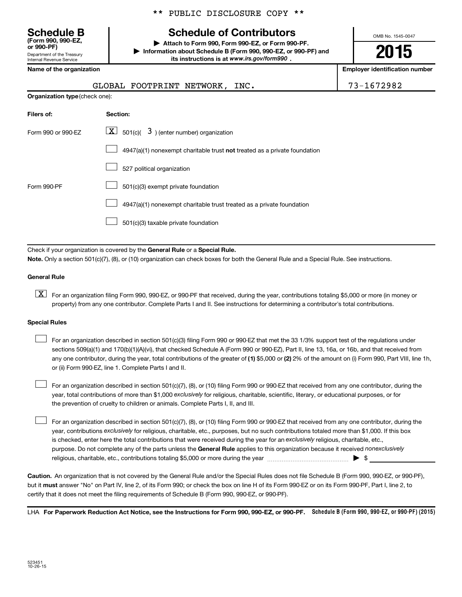Department of the Treasury Internal Revenue Service **(Form 990, 990-EZ,**

|  |  | ** PUBLIC DISCLOSURE COPY ** |  |  |
|--|--|------------------------------|--|--|
|--|--|------------------------------|--|--|

## **Schedule B Schedule of Contributors**

**or 990-PF) | Attach to Form 990, Form 990-EZ, or Form 990-PF. | Information about Schedule B (Form 990, 990-EZ, or 990-PF) and** its instructions is at www.irs.gov/form990.

OMB No. 1545-0047

# **2015**

| Name of the organization       | <b>Employer identification number</b>                                       |            |
|--------------------------------|-----------------------------------------------------------------------------|------------|
|                                | GLOBAL FOOTPRINT NETWORK, INC.                                              | 73-1672982 |
| Organization type (check one): |                                                                             |            |
| Filers of:                     | Section:                                                                    |            |
| Form 990 or 990-EZ             | $\boxed{\textbf{X}}$ 501(c)( 3) (enter number) organization                 |            |
|                                | $4947(a)(1)$ nonexempt charitable trust not treated as a private foundation |            |
|                                | 527 political organization                                                  |            |
| Form 990-PF                    | 501(c)(3) exempt private foundation                                         |            |
|                                | 4947(a)(1) nonexempt charitable trust treated as a private foundation       |            |

501(c)(3) taxable private foundation  $\Box$ 

Check if your organization is covered by the General Rule or a Special Rule.

**Note.**  Only a section 501(c)(7), (8), or (10) organization can check boxes for both the General Rule and a Special Rule. See instructions.

### **General Rule**

**K** For an organization filing Form 990, 990-EZ, or 990-PF that received, during the year, contributions totaling \$5,000 or more (in money or property) from any one contributor. Complete Parts I and II. See instructions for determining a contributor's total contributions.

### **Special Rules**

 $\Box$ 

any one contributor, during the year, total contributions of the greater of **(1)** \$5,000 or **(2)** 2% of the amount on (i) Form 990, Part VIII, line 1h, For an organization described in section 501(c)(3) filing Form 990 or 990-EZ that met the 33 1/3% support test of the regulations under sections 509(a)(1) and 170(b)(1)(A)(vi), that checked Schedule A (Form 990 or 990-EZ), Part II, line 13, 16a, or 16b, and that received from or (ii) Form 990-EZ, line 1. Complete Parts I and II.  $\Box$ 

year, total contributions of more than \$1,000 *exclusively* for religious, charitable, scientific, literary, or educational purposes, or for For an organization described in section 501(c)(7), (8), or (10) filing Form 990 or 990-EZ that received from any one contributor, during the the prevention of cruelty to children or animals. Complete Parts I, II, and III.  $\Box$ 

purpose. Do not complete any of the parts unless the General Rule applies to this organization because it received nonexclusively year, contributions exclusively for religious, charitable, etc., purposes, but no such contributions totaled more than \$1,000. If this box is checked, enter here the total contributions that were received during the year for an exclusively religious, charitable, etc., For an organization described in section 501(c)(7), (8), or (10) filing Form 990 or 990-EZ that received from any one contributor, during the religious, charitable, etc., contributions totaling \$5,000 or more during the year  $\ldots$  $\ldots$  $\ldots$  $\ldots$  $\ldots$  $\ldots$ 

**Caution.** An organization that is not covered by the General Rule and/or the Special Rules does not file Schedule B (Form 990, 990-EZ, or 990-PF),  **must** but it answer "No" on Part IV, line 2, of its Form 990; or check the box on line H of its Form 990-EZ or on its Form 990-PF, Part I, line 2, to certify that it does not meet the filing requirements of Schedule B (Form 990, 990-EZ, or 990-PF).

LHA For Paperwork Reduction Act Notice, see the Instructions for Form 990, 990-EZ, or 990-PF. Schedule B (Form 990, 990-EZ, or 990-PF) (2015)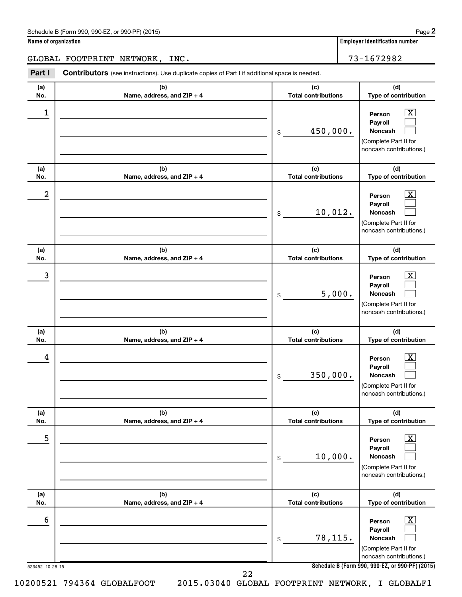| Schedule B (Form 990, 990-EZ, or 990-PF) (2015)<br>$\sqrt{2}$ and $\sqrt{2}$ and $\sqrt{2}$ and $\sqrt{2}$ and $\sqrt{2}$ and $\sqrt{2}$ and $\sqrt{2}$ and $\sqrt{2}$ and $\sqrt{2}$ and $\sqrt{2}$ and $\sqrt{2}$ and $\sqrt{2}$ and $\sqrt{2}$ and $\sqrt{2}$ and $\sqrt{2}$ and $\sqrt{2}$ and $\sqrt{2}$ and $\sqrt{2}$ and $\sqrt{2$ | Page |  |
|--------------------------------------------------------------------------------------------------------------------------------------------------------------------------------------------------------------------------------------------------------------------------------------------------------------------------------------------|------|--|
|--------------------------------------------------------------------------------------------------------------------------------------------------------------------------------------------------------------------------------------------------------------------------------------------------------------------------------------------|------|--|

|                      | GLOBAL FOOTPRINT NETWORK, INC.                                                                 |                                   | 73-1672982                                                                                                                                                       |
|----------------------|------------------------------------------------------------------------------------------------|-----------------------------------|------------------------------------------------------------------------------------------------------------------------------------------------------------------|
| Part I               | Contributors (see instructions). Use duplicate copies of Part I if additional space is needed. |                                   |                                                                                                                                                                  |
| (a)<br>No.           | (b)<br>Name, address, and ZIP + 4                                                              | (c)<br><b>Total contributions</b> | (d)<br>Type of contribution                                                                                                                                      |
| 1                    |                                                                                                | 450,000.<br>\$                    | $\mathbf{X}$<br>Person<br>Payroll<br><b>Noncash</b><br>(Complete Part II for<br>noncash contributions.)                                                          |
| (a)<br>No.           | (b)<br>Name, address, and ZIP + 4                                                              | (c)<br><b>Total contributions</b> | (d)<br>Type of contribution                                                                                                                                      |
| 2                    |                                                                                                | 10,012.<br>\$                     | $\mathbf{X}$<br>Person<br>Payroll<br>Noncash<br>(Complete Part II for<br>noncash contributions.)                                                                 |
| (a)<br>No.           | (b)<br>Name, address, and ZIP + 4                                                              | (c)<br><b>Total contributions</b> | (d)<br>Type of contribution                                                                                                                                      |
| 3                    |                                                                                                | 5,000.<br>\$                      | $\mathbf{X}$<br>Person<br>Payroll<br>Noncash<br>(Complete Part II for<br>noncash contributions.)                                                                 |
| (a)<br>No.           | (b)<br>Name, address, and ZIP + 4                                                              | (c)<br><b>Total contributions</b> | (d)<br>Type of contribution                                                                                                                                      |
| 4                    |                                                                                                | 350,000.<br>\$                    | $\mathbf{X}$<br>Person<br>Payroll<br><b>Noncash</b><br>(Complete Part II for<br>noncash contributions.)                                                          |
| (a)<br>No.           | (b)<br>Name, address, and ZIP + 4                                                              | (c)<br><b>Total contributions</b> | (d)<br>Type of contribution                                                                                                                                      |
| 5                    |                                                                                                | 10,000.<br>\$                     | $\boxed{\text{X}}$<br>Person<br>Payroll<br><b>Noncash</b><br>(Complete Part II for<br>noncash contributions.)                                                    |
| (a)<br>No.           | (b)<br>Name, address, and ZIP + 4                                                              | (c)<br><b>Total contributions</b> | (d)<br>Type of contribution                                                                                                                                      |
| 6<br>523452 10-26-15 |                                                                                                | 78,115.<br>\$                     | $\boxed{\text{X}}$<br>Person<br>Payroll<br><b>Noncash</b><br>(Complete Part II for<br>noncash contributions.)<br>Schedule B (Form 990, 990-EZ, or 990-PF) (2015) |

22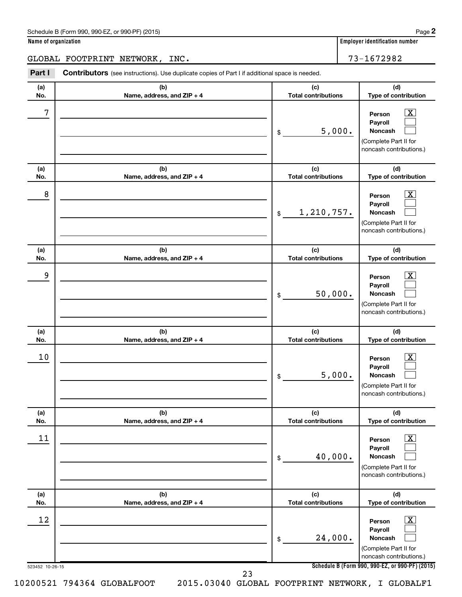| Schedule B (Form 990, 990-EZ, or 990-PF) (2015)<br>$\sqrt{2}$ and $\sqrt{2}$ and $\sqrt{2}$ and $\sqrt{2}$ and $\sqrt{2}$ and $\sqrt{2}$ and $\sqrt{2}$ and $\sqrt{2}$ and $\sqrt{2}$ and $\sqrt{2}$ and $\sqrt{2}$ and $\sqrt{2}$ and $\sqrt{2}$ and $\sqrt{2}$ and $\sqrt{2}$ and $\sqrt{2}$ and $\sqrt{2}$ and $\sqrt{2}$ and $\sqrt{2$ | Page |  |
|--------------------------------------------------------------------------------------------------------------------------------------------------------------------------------------------------------------------------------------------------------------------------------------------------------------------------------------------|------|--|
|--------------------------------------------------------------------------------------------------------------------------------------------------------------------------------------------------------------------------------------------------------------------------------------------------------------------------------------------|------|--|

|  | Name of organization |  |
|--|----------------------|--|
|  |                      |  |

GLOBAL FOOTPRINT NETWORK, INC. 73-1672982

**Part I** Contributors (see instructions). Use duplicate copies of Part I if additional space is needed.

| (a)<br>No. | (b)<br>Name, address, and ZIP + 4 | (c)<br><b>Total contributions</b> | (d)<br>Type of contribution                                                                                   |
|------------|-----------------------------------|-----------------------------------|---------------------------------------------------------------------------------------------------------------|
| 7          |                                   | 5,000.<br>\$                      | $\boxed{\textbf{X}}$<br>Person<br>Payroll<br>Noncash<br>(Complete Part II for<br>noncash contributions.)      |
| (a)<br>No. | (b)<br>Name, address, and ZIP + 4 | (c)<br><b>Total contributions</b> | (d)<br>Type of contribution                                                                                   |
| 8          |                                   | 1,210,757.<br>\$                  | $\overline{\mathbf{X}}$<br>Person<br>Payroll<br>Noncash<br>(Complete Part II for<br>noncash contributions.)   |
| (a)<br>No. | (b)<br>Name, address, and ZIP + 4 | (c)<br><b>Total contributions</b> | (d)<br>Type of contribution                                                                                   |
| 9          |                                   | 50,000.<br>\$                     | $\boxed{\mathbf{X}}$<br>Person<br>Payroll<br>Noncash<br>(Complete Part II for<br>noncash contributions.)      |
| (a)<br>No. | (b)<br>Name, address, and ZIP + 4 | (c)<br><b>Total contributions</b> | (d)<br>Type of contribution                                                                                   |
| 10         |                                   | 5,000.<br>\$                      | $\overline{\mathbf{X}}$<br>Person<br>Payroll<br>Noncash<br>(Complete Part II for<br>noncash contributions.)   |
| (a)<br>No. | (b)<br>Name, address, and ZIP + 4 | (c)<br><b>Total contributions</b> | (d)<br>Type of contribution                                                                                   |
| 11         |                                   | 40,000.<br>\$                     | $\boxed{\text{X}}$<br>Person<br>Payroll<br><b>Noncash</b><br>(Complete Part II for<br>noncash contributions.) |
| (a)<br>No. | (b)<br>Name, address, and ZIP + 4 | (c)<br><b>Total contributions</b> | (d)<br>Type of contribution                                                                                   |
| 12         |                                   | 24,000.<br>\$                     | $\boxed{\text{X}}$<br>Person<br>Payroll<br><b>Noncash</b><br>(Complete Part II for<br>noncash contributions.) |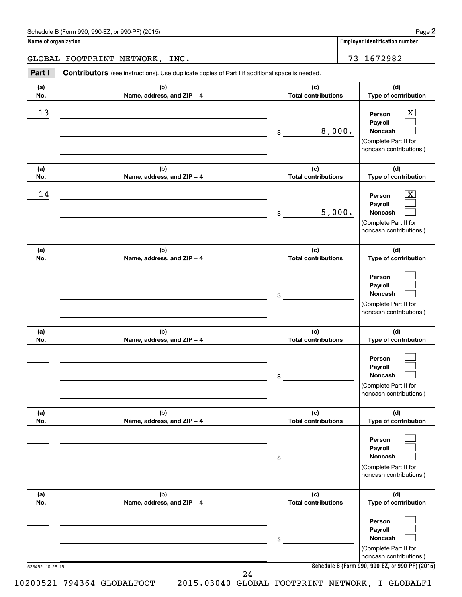| Schedule B (Form 990, 990-EZ, or 990-PF) (2015) | Page |
|-------------------------------------------------|------|
|-------------------------------------------------|------|

|  | Name of organization |  |
|--|----------------------|--|
|  |                      |  |

GLOBAL FOOTPRINT NETWORK, INC. The mass of the set of the set of the set of the set of the set of the set of t

523452 10-26-15 **Schedule B (Form 990, 990-EZ, or 990-PF) (2015) (a) No. (b) Name, address, and ZIP + 4 (c) Total contributions (d) Type of contribution Person Payroll Noncash (a) No. (b) Name, address, and ZIP + 4 (c) Total contributions (d) Type of contribution Person Payroll Noncash (a) No. (b) Name, address, and ZIP + 4 (c) Total contributions (d) Type of contribution Person Payroll Noncash (a) No. (b) Name, address, and ZIP + 4 (c) Total contributions (d) Type of contribution Person Payroll Noncash (a) No. (b) Name, address, and ZIP + 4 (c) Total contributions (d) Type of contribution Person Payroll Noncash (a) No. (b) Name, address, and ZIP + 4 (c) Total contributions (d) Type of contribution Person Payroll Noncash Part I** Contributors (see instructions). Use duplicate copies of Part I if additional space is needed. \$ (Complete Part II for noncash contributions.) \$ (Complete Part II for noncash contributions.) \$ (Complete Part II for noncash contributions.) \$ (Complete Part II for noncash contributions.) \$ (Complete Part II for noncash contributions.) \$ (Complete Part II for noncash contributions.)  $\lfloor x \rfloor$  $\Box$  $\Box$  $\overline{\mathbf{X}}$  $\Box$  $\Box$  $\Box$  $\Box$  $\Box$  $\Box$  $\Box$  $\Box$  $\Box$  $\Box$  $\Box$  $\Box$  $\Box$  $\Box$  $\begin{array}{|c|c|c|c|c|}\hline \text{13} & \text{Person} & \text{X} \\\hline \end{array}$ 8,000.  $\begin{array}{|c|c|c|c|c|}\hline \text{14} & \text{Person} & \text{X} \\\hline \end{array}$ 5,000. 24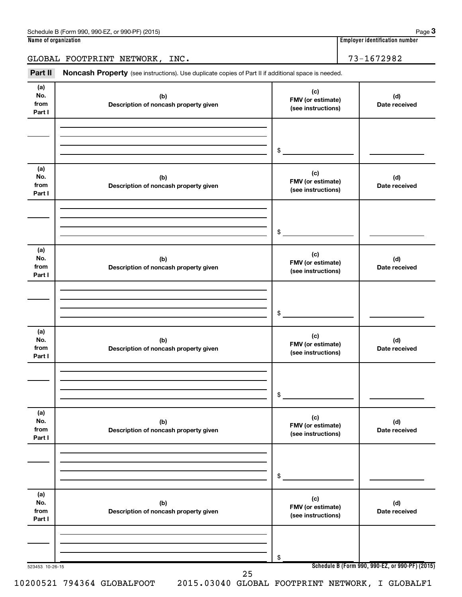GLOBAL FOOTPRINT NETWORK, INC. | 73-1672982

Part II Noncash Property (see instructions). Use duplicate copies of Part II if additional space is needed.

| (a)<br>No.<br>from<br>Part I | (b)<br>Description of noncash property given | (c)<br>FMV (or estimate)<br>(see instructions) | (d)<br>Date received                            |
|------------------------------|----------------------------------------------|------------------------------------------------|-------------------------------------------------|
|                              |                                              | $\frac{1}{2}$                                  |                                                 |
| (a)<br>No.<br>from<br>Part I | (b)<br>Description of noncash property given | (c)<br>FMV (or estimate)<br>(see instructions) | (d)<br>Date received                            |
|                              |                                              | $\frac{1}{2}$                                  |                                                 |
| (a)<br>No.<br>from<br>Part I | (b)<br>Description of noncash property given | (c)<br>FMV (or estimate)<br>(see instructions) | (d)<br>Date received                            |
|                              |                                              | $\frac{1}{2}$                                  |                                                 |
| (a)<br>No.<br>from<br>Part I | (b)<br>Description of noncash property given | (c)<br>FMV (or estimate)<br>(see instructions) | (d)<br>Date received                            |
|                              |                                              | \$                                             |                                                 |
| (a)<br>No.<br>from<br>Part I | (b)<br>Description of noncash property given | (c)<br>FMV (or estimate)<br>(see instructions) | (d)<br>Date received                            |
|                              |                                              | \$                                             |                                                 |
| (a)<br>No.<br>from<br>Part I | (b)<br>Description of noncash property given | (c)<br>FMV (or estimate)<br>(see instructions) | (d)<br>Date received                            |
| 523453 10-26-15              |                                              | \$                                             | Schedule B (Form 990, 990-EZ, or 990-PF) (2015) |
|                              | 25                                           |                                                |                                                 |

**3**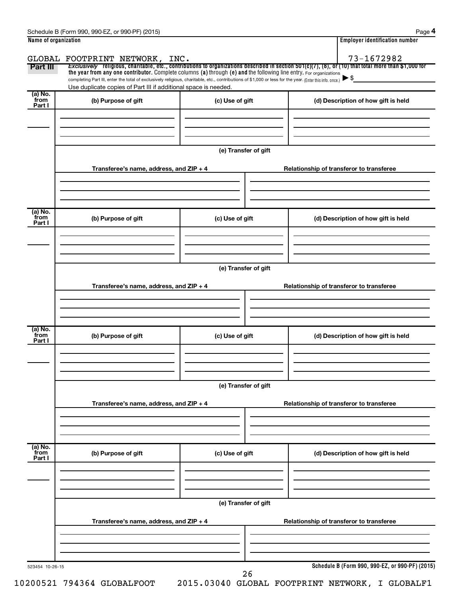|                           | GLOBAL FOOTPRINT NETWORK, INC.                                                                                                                                                                                              |                      | 73-1672982                                                                                                                                            |  |  |  |  |  |
|---------------------------|-----------------------------------------------------------------------------------------------------------------------------------------------------------------------------------------------------------------------------|----------------------|-------------------------------------------------------------------------------------------------------------------------------------------------------|--|--|--|--|--|
| Part III                  | the year from any one contributor. Complete columns (a) through (e) and the following line entry. For organizations                                                                                                         |                      | Exclusively religious, charitable, etc., contributions to organizations described in section 501(c)(7), (8), or (10) that total more than \$1,000 for |  |  |  |  |  |
|                           | completing Part III, enter the total of exclusively religious, charitable, etc., contributions of \$1,000 or less for the year. (Enter this info. once.)<br>Use duplicate copies of Part III if additional space is needed. |                      | $\blacktriangleright$ \$                                                                                                                              |  |  |  |  |  |
| (a) No.<br>from           |                                                                                                                                                                                                                             |                      |                                                                                                                                                       |  |  |  |  |  |
| Part I                    | (b) Purpose of gift                                                                                                                                                                                                         | (c) Use of gift      | (d) Description of how gift is held                                                                                                                   |  |  |  |  |  |
|                           |                                                                                                                                                                                                                             |                      |                                                                                                                                                       |  |  |  |  |  |
|                           |                                                                                                                                                                                                                             |                      |                                                                                                                                                       |  |  |  |  |  |
|                           |                                                                                                                                                                                                                             | (e) Transfer of gift |                                                                                                                                                       |  |  |  |  |  |
|                           |                                                                                                                                                                                                                             |                      |                                                                                                                                                       |  |  |  |  |  |
|                           | Transferee's name, address, and ZIP + 4                                                                                                                                                                                     |                      | Relationship of transferor to transferee                                                                                                              |  |  |  |  |  |
|                           |                                                                                                                                                                                                                             |                      |                                                                                                                                                       |  |  |  |  |  |
|                           |                                                                                                                                                                                                                             |                      |                                                                                                                                                       |  |  |  |  |  |
| (a) No.                   |                                                                                                                                                                                                                             |                      |                                                                                                                                                       |  |  |  |  |  |
| from<br>Part I            | (b) Purpose of gift                                                                                                                                                                                                         | (c) Use of gift      | (d) Description of how gift is held                                                                                                                   |  |  |  |  |  |
|                           |                                                                                                                                                                                                                             |                      |                                                                                                                                                       |  |  |  |  |  |
|                           |                                                                                                                                                                                                                             |                      |                                                                                                                                                       |  |  |  |  |  |
|                           |                                                                                                                                                                                                                             |                      |                                                                                                                                                       |  |  |  |  |  |
|                           | (e) Transfer of gift                                                                                                                                                                                                        |                      |                                                                                                                                                       |  |  |  |  |  |
|                           | Transferee's name, address, and ZIP + 4                                                                                                                                                                                     |                      | Relationship of transferor to transferee                                                                                                              |  |  |  |  |  |
|                           |                                                                                                                                                                                                                             |                      |                                                                                                                                                       |  |  |  |  |  |
|                           |                                                                                                                                                                                                                             |                      |                                                                                                                                                       |  |  |  |  |  |
|                           |                                                                                                                                                                                                                             |                      |                                                                                                                                                       |  |  |  |  |  |
| (a) No.<br>from<br>Part I | (b) Purpose of gift                                                                                                                                                                                                         | (c) Use of gift      | (d) Description of how gift is held                                                                                                                   |  |  |  |  |  |
|                           |                                                                                                                                                                                                                             |                      |                                                                                                                                                       |  |  |  |  |  |
|                           |                                                                                                                                                                                                                             |                      |                                                                                                                                                       |  |  |  |  |  |
|                           |                                                                                                                                                                                                                             |                      |                                                                                                                                                       |  |  |  |  |  |
|                           |                                                                                                                                                                                                                             | (e) Transfer of gift |                                                                                                                                                       |  |  |  |  |  |
|                           | Transferee's name, address, and ZIP + 4                                                                                                                                                                                     |                      | Relationship of transferor to transferee                                                                                                              |  |  |  |  |  |
|                           |                                                                                                                                                                                                                             |                      |                                                                                                                                                       |  |  |  |  |  |
|                           |                                                                                                                                                                                                                             |                      |                                                                                                                                                       |  |  |  |  |  |
|                           |                                                                                                                                                                                                                             |                      |                                                                                                                                                       |  |  |  |  |  |
| (a) No.<br>from           | (b) Purpose of gift<br>(c) Use of gift                                                                                                                                                                                      |                      | (d) Description of how gift is held                                                                                                                   |  |  |  |  |  |
| Part I                    |                                                                                                                                                                                                                             |                      |                                                                                                                                                       |  |  |  |  |  |
|                           |                                                                                                                                                                                                                             |                      |                                                                                                                                                       |  |  |  |  |  |
|                           |                                                                                                                                                                                                                             |                      |                                                                                                                                                       |  |  |  |  |  |
|                           |                                                                                                                                                                                                                             | (e) Transfer of gift |                                                                                                                                                       |  |  |  |  |  |
|                           |                                                                                                                                                                                                                             |                      |                                                                                                                                                       |  |  |  |  |  |
|                           | Transferee's name, address, and ZIP + 4                                                                                                                                                                                     |                      | Relationship of transferor to transferee                                                                                                              |  |  |  |  |  |
|                           |                                                                                                                                                                                                                             |                      |                                                                                                                                                       |  |  |  |  |  |
|                           |                                                                                                                                                                                                                             |                      |                                                                                                                                                       |  |  |  |  |  |
|                           |                                                                                                                                                                                                                             |                      |                                                                                                                                                       |  |  |  |  |  |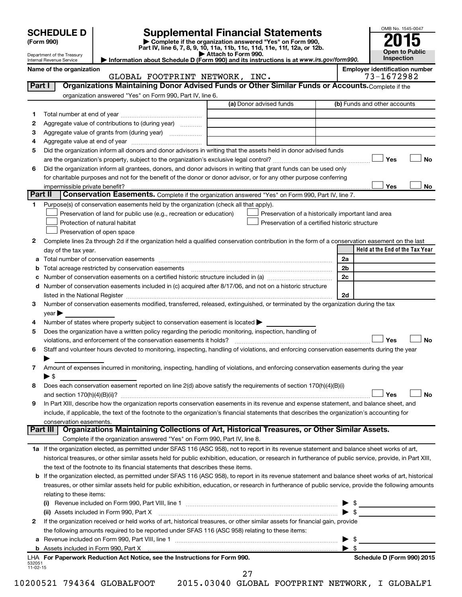| <b>SCHEDULE D  </b> |
|---------------------|
|---------------------|

SCHEDULE D<br>
Form 990)<br>
Part IV, line 6, 7, 8, 9, 10, 11a, 11b, 11c, 11d, 11e, 11f, 12a, or 12b.<br>
Part IV, line 6, 7, 8, 9, 10, 11a, 11b, 11c, 11d, 11e, 11f, 12a, or 12b.



|         | Department of the Treasury<br>Internal Revenue Service | Information about Schedule D (Form 990) and its instructions is at www.irs.gov/form990.                                                                                                                                        | Attach to Form 990.                                |                          | <b>Open to Public</b><br>Inspection                 |           |
|---------|--------------------------------------------------------|--------------------------------------------------------------------------------------------------------------------------------------------------------------------------------------------------------------------------------|----------------------------------------------------|--------------------------|-----------------------------------------------------|-----------|
|         | Name of the organization                               | GLOBAL FOOTPRINT NETWORK, INC.                                                                                                                                                                                                 |                                                    |                          | <b>Employer identification number</b><br>73-1672982 |           |
| Part I  |                                                        | Organizations Maintaining Donor Advised Funds or Other Similar Funds or Accounts. Complete if the                                                                                                                              |                                                    |                          |                                                     |           |
|         |                                                        | organization answered "Yes" on Form 990, Part IV, line 6.                                                                                                                                                                      |                                                    |                          |                                                     |           |
|         |                                                        |                                                                                                                                                                                                                                | (a) Donor advised funds                            |                          | (b) Funds and other accounts                        |           |
| 1       |                                                        |                                                                                                                                                                                                                                |                                                    |                          |                                                     |           |
| 2       |                                                        | Aggregate value of contributions to (during year)                                                                                                                                                                              |                                                    |                          |                                                     |           |
| З       |                                                        |                                                                                                                                                                                                                                |                                                    |                          |                                                     |           |
| 4       |                                                        |                                                                                                                                                                                                                                |                                                    |                          |                                                     |           |
| 5       |                                                        | Did the organization inform all donors and donor advisors in writing that the assets held in donor advised funds                                                                                                               |                                                    |                          |                                                     |           |
|         |                                                        |                                                                                                                                                                                                                                |                                                    |                          | Yes                                                 | <b>No</b> |
| 6       |                                                        | Did the organization inform all grantees, donors, and donor advisors in writing that grant funds can be used only                                                                                                              |                                                    |                          |                                                     |           |
|         |                                                        | for charitable purposes and not for the benefit of the donor or donor advisor, or for any other purpose conferring                                                                                                             |                                                    |                          |                                                     |           |
|         | impermissible private benefit?                         |                                                                                                                                                                                                                                |                                                    |                          | Yes                                                 | No        |
| Part II |                                                        | Conservation Easements. Complete if the organization answered "Yes" on Form 990, Part IV, line 7.                                                                                                                              |                                                    |                          |                                                     |           |
| 1       |                                                        | Purpose(s) of conservation easements held by the organization (check all that apply).                                                                                                                                          |                                                    |                          |                                                     |           |
|         |                                                        | Preservation of land for public use (e.g., recreation or education)                                                                                                                                                            | Preservation of a historically important land area |                          |                                                     |           |
|         |                                                        | Protection of natural habitat                                                                                                                                                                                                  | Preservation of a certified historic structure     |                          |                                                     |           |
|         |                                                        | Preservation of open space                                                                                                                                                                                                     |                                                    |                          |                                                     |           |
| 2       |                                                        | Complete lines 2a through 2d if the organization held a qualified conservation contribution in the form of a conservation easement on the last                                                                                 |                                                    |                          |                                                     |           |
|         | day of the tax year.                                   |                                                                                                                                                                                                                                |                                                    |                          | Held at the End of the Tax Year                     |           |
|         |                                                        |                                                                                                                                                                                                                                |                                                    | 2a                       |                                                     |           |
| b       |                                                        | Total acreage restricted by conservation easements                                                                                                                                                                             |                                                    | 2 <sub>b</sub>           |                                                     |           |
|         |                                                        |                                                                                                                                                                                                                                |                                                    | 2c                       |                                                     |           |
|         |                                                        | d Number of conservation easements included in (c) acquired after 8/17/06, and not on a historic structure                                                                                                                     |                                                    |                          |                                                     |           |
|         |                                                        | listed in the National Register [1,1,2000] [1,2000] [1,2000] [1,2000] [1,2000] [1,2000] [1,2000] [1,2000] [1,2000] [1,2000] [1,2000] [1,2000] [1,2000] [1,2000] [1,2000] [1,2000] [1,2000] [1,2000] [1,2000] [1,2000] [1,2000] |                                                    | 2d                       |                                                     |           |
| 3       |                                                        | Number of conservation easements modified, transferred, released, extinguished, or terminated by the organization during the tax                                                                                               |                                                    |                          |                                                     |           |
|         | year                                                   |                                                                                                                                                                                                                                |                                                    |                          |                                                     |           |
| 4       |                                                        | Number of states where property subject to conservation easement is located >                                                                                                                                                  |                                                    |                          |                                                     |           |
| 5       |                                                        | Does the organization have a written policy regarding the periodic monitoring, inspection, handling of                                                                                                                         |                                                    |                          |                                                     |           |
|         |                                                        | violations, and enforcement of the conservation easements it holds?                                                                                                                                                            |                                                    |                          | Yes                                                 | <b>No</b> |
| 6       |                                                        | Staff and volunteer hours devoted to monitoring, inspecting, handling of violations, and enforcing conservation easements during the year                                                                                      |                                                    |                          |                                                     |           |
|         |                                                        |                                                                                                                                                                                                                                |                                                    |                          |                                                     |           |
| 7       |                                                        | Amount of expenses incurred in monitoring, inspecting, handling of violations, and enforcing conservation easements during the year                                                                                            |                                                    |                          |                                                     |           |
|         | $\blacktriangleright$ \$                               |                                                                                                                                                                                                                                |                                                    |                          |                                                     |           |
| 8       |                                                        | Does each conservation easement reported on line 2(d) above satisfy the requirements of section 170(h)(4)(B)(i)                                                                                                                |                                                    |                          |                                                     |           |
|         | and section $170(h)(4)(B)(ii)?$                        |                                                                                                                                                                                                                                |                                                    |                          | Yes                                                 | No        |
| 9       |                                                        | In Part XIII, describe how the organization reports conservation easements in its revenue and expense statement, and balance sheet, and                                                                                        |                                                    |                          |                                                     |           |
|         |                                                        | include, if applicable, the text of the footnote to the organization's financial statements that describes the organization's accounting for                                                                                   |                                                    |                          |                                                     |           |
|         | conservation easements.                                |                                                                                                                                                                                                                                |                                                    |                          |                                                     |           |
|         | Part III                                               | Organizations Maintaining Collections of Art, Historical Treasures, or Other Similar Assets.                                                                                                                                   |                                                    |                          |                                                     |           |
|         |                                                        | Complete if the organization answered "Yes" on Form 990, Part IV, line 8.                                                                                                                                                      |                                                    |                          |                                                     |           |
|         |                                                        | 1a If the organization elected, as permitted under SFAS 116 (ASC 958), not to report in its revenue statement and balance sheet works of art,                                                                                  |                                                    |                          |                                                     |           |
|         |                                                        | historical treasures, or other similar assets held for public exhibition, education, or research in furtherance of public service, provide, in Part XIII,                                                                      |                                                    |                          |                                                     |           |
|         |                                                        | the text of the footnote to its financial statements that describes these items.                                                                                                                                               |                                                    |                          |                                                     |           |
| b       |                                                        | If the organization elected, as permitted under SFAS 116 (ASC 958), to report in its revenue statement and balance sheet works of art, historical                                                                              |                                                    |                          |                                                     |           |
|         |                                                        | treasures, or other similar assets held for public exhibition, education, or research in furtherance of public service, provide the following amounts                                                                          |                                                    |                          |                                                     |           |
|         | relating to these items:                               |                                                                                                                                                                                                                                |                                                    |                          |                                                     |           |
|         |                                                        | (i) Revenue included on Form 990, Part VIII, line 1                                                                                                                                                                            |                                                    | $\blacktriangleright$ \$ |                                                     |           |
|         |                                                        |                                                                                                                                                                                                                                |                                                    |                          |                                                     |           |

| 2 | LHA For Paperwork Reduction Act Notice, see the Instructions for Form 990.                                                                                                                                                     | Schedule D (Form 990) 2015 |
|---|--------------------------------------------------------------------------------------------------------------------------------------------------------------------------------------------------------------------------------|----------------------------|
|   |                                                                                                                                                                                                                                |                            |
|   | a Revenue included on Form 990, Part VIII, line 1                                                                                                                                                                              | $\blacktriangleright$ s    |
|   | the following amounts required to be reported under SFAS 116 (ASC 958) relating to these items:                                                                                                                                |                            |
|   | If the organization received or held works of art, historical treasures, or other similar assets for financial gain, provide                                                                                                   |                            |
|   | (ii) Assets included in Form 990, Part X [11] manufactured in Form 990, Part X [11] manufactured in Form 990, Part X [11] manufactured in Form 990, Part X [11] manufactured in Form 990, Part X [11] manufactured in Form 990 |                            |
|   |                                                                                                                                                                                                                                | $\blacktriangleright$ s    |

27

10200521 794364 GLOBALFOOT 2015.03040 GLOBAL FOOTPRINT NETWORK, I GLOBALF1

532051 11-02-15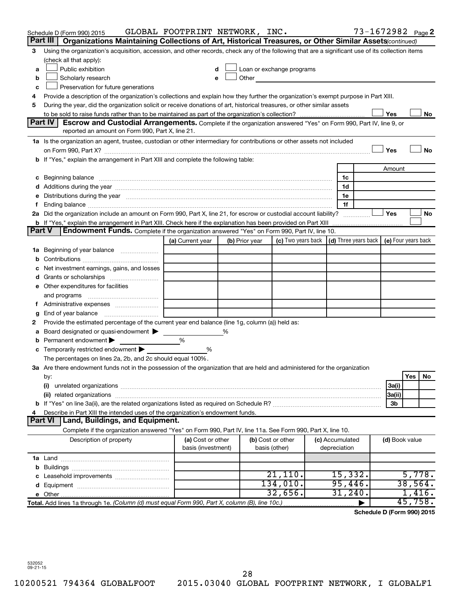|               | Schedule D (Form 990) 2015                                                                                                                                                                                                     | GLOBAL FOOTPRINT NETWORK, INC.          |   |                |                                                                                                                                                                                                                               |                                 | 73-1672982 Page 2 |                |         |    |
|---------------|--------------------------------------------------------------------------------------------------------------------------------------------------------------------------------------------------------------------------------|-----------------------------------------|---|----------------|-------------------------------------------------------------------------------------------------------------------------------------------------------------------------------------------------------------------------------|---------------------------------|-------------------|----------------|---------|----|
|               | Part III  <br>Organizations Maintaining Collections of Art, Historical Treasures, or Other Similar Assets(continued)                                                                                                           |                                         |   |                |                                                                                                                                                                                                                               |                                 |                   |                |         |    |
| 3             | Using the organization's acquisition, accession, and other records, check any of the following that are a significant use of its collection items                                                                              |                                         |   |                |                                                                                                                                                                                                                               |                                 |                   |                |         |    |
|               | (check all that apply):                                                                                                                                                                                                        |                                         |   |                |                                                                                                                                                                                                                               |                                 |                   |                |         |    |
| a             | Public exhibition                                                                                                                                                                                                              |                                         |   |                | Loan or exchange programs                                                                                                                                                                                                     |                                 |                   |                |         |    |
| b             | Scholarly research                                                                                                                                                                                                             | e                                       |   |                | Other and the contract of the contract of the contract of the contract of the contract of the contract of the contract of the contract of the contract of the contract of the contract of the contract of the contract of the |                                 |                   |                |         |    |
| с             | Preservation for future generations                                                                                                                                                                                            |                                         |   |                |                                                                                                                                                                                                                               |                                 |                   |                |         |    |
| 4             | Provide a description of the organization's collections and explain how they further the organization's exempt purpose in Part XIII.                                                                                           |                                         |   |                |                                                                                                                                                                                                                               |                                 |                   |                |         |    |
| 5             | During the year, did the organization solicit or receive donations of art, historical treasures, or other similar assets                                                                                                       |                                         |   |                |                                                                                                                                                                                                                               |                                 |                   |                |         |    |
|               | Part IV<br><b>Escrow and Custodial Arrangements.</b> Complete if the organization answered "Yes" on Form 990, Part IV, line 9, or                                                                                              |                                         |   |                |                                                                                                                                                                                                                               |                                 |                   | Yes            |         | No |
|               | reported an amount on Form 990, Part X, line 21.                                                                                                                                                                               |                                         |   |                |                                                                                                                                                                                                                               |                                 |                   |                |         |    |
|               | 1a Is the organization an agent, trustee, custodian or other intermediary for contributions or other assets not included                                                                                                       |                                         |   |                |                                                                                                                                                                                                                               |                                 |                   |                |         |    |
|               |                                                                                                                                                                                                                                |                                         |   |                |                                                                                                                                                                                                                               |                                 |                   | Yes            |         | No |
|               | b If "Yes," explain the arrangement in Part XIII and complete the following table:                                                                                                                                             |                                         |   |                |                                                                                                                                                                                                                               |                                 |                   |                |         |    |
|               |                                                                                                                                                                                                                                |                                         |   |                |                                                                                                                                                                                                                               |                                 |                   | Amount         |         |    |
|               | c Beginning balance measurements and the contract of the contract of the contract of the contract of the contract of the contract of the contract of the contract of the contract of the contract of the contract of the contr |                                         |   |                |                                                                                                                                                                                                                               | 1c                              |                   |                |         |    |
|               |                                                                                                                                                                                                                                |                                         |   |                |                                                                                                                                                                                                                               | 1d                              |                   |                |         |    |
| е             | Distributions during the year manufactured and an account of the year manufactured and the year manufactured and the year manufactured and the year manufactured and the year manufactured and the year manufactured and the y |                                         |   |                |                                                                                                                                                                                                                               | 1e                              |                   |                |         |    |
| f.            |                                                                                                                                                                                                                                |                                         |   |                |                                                                                                                                                                                                                               | 1f                              |                   |                |         |    |
|               | 2a Did the organization include an amount on Form 990, Part X, line 21, for escrow or custodial account liability?                                                                                                             |                                         |   |                |                                                                                                                                                                                                                               |                                 |                   | Yes            |         | No |
|               | <b>b</b> If "Yes," explain the arrangement in Part XIII. Check here if the explanation has been provided on Part XIII                                                                                                          |                                         |   |                |                                                                                                                                                                                                                               |                                 |                   |                |         |    |
| <b>Part V</b> | Endowment Funds. Complete if the organization answered "Yes" on Form 990, Part IV, line 10.                                                                                                                                    |                                         |   |                |                                                                                                                                                                                                                               |                                 |                   |                |         |    |
|               |                                                                                                                                                                                                                                | (a) Current year                        |   | (b) Prior year | (c) Two years back $\vert$ (d) Three years back $\vert$ (e) Four years back                                                                                                                                                   |                                 |                   |                |         |    |
|               | <b>1a</b> Beginning of year balance                                                                                                                                                                                            |                                         |   |                |                                                                                                                                                                                                                               |                                 |                   |                |         |    |
| b             |                                                                                                                                                                                                                                |                                         |   |                |                                                                                                                                                                                                                               |                                 |                   |                |         |    |
| с             | Net investment earnings, gains, and losses                                                                                                                                                                                     |                                         |   |                |                                                                                                                                                                                                                               |                                 |                   |                |         |    |
| d             | Grants or scholarships <i>manually contained</i>                                                                                                                                                                               |                                         |   |                |                                                                                                                                                                                                                               |                                 |                   |                |         |    |
|               | e Other expenditures for facilities                                                                                                                                                                                            |                                         |   |                |                                                                                                                                                                                                                               |                                 |                   |                |         |    |
|               | and programs                                                                                                                                                                                                                   |                                         |   |                |                                                                                                                                                                                                                               |                                 |                   |                |         |    |
| Ť.            | Administrative expenses                                                                                                                                                                                                        |                                         |   |                |                                                                                                                                                                                                                               |                                 |                   |                |         |    |
| g             | End of year balance <i>manually contained</i>                                                                                                                                                                                  |                                         |   |                |                                                                                                                                                                                                                               |                                 |                   |                |         |    |
| 2             | Provide the estimated percentage of the current year end balance (line 1g, column (a)) held as:<br>Board designated or quasi-endowment                                                                                         |                                         | % |                |                                                                                                                                                                                                                               |                                 |                   |                |         |    |
| а<br>b        | Permanent endowment                                                                                                                                                                                                            | %                                       |   |                |                                                                                                                                                                                                                               |                                 |                   |                |         |    |
|               | c Temporarily restricted endowment                                                                                                                                                                                             | %                                       |   |                |                                                                                                                                                                                                                               |                                 |                   |                |         |    |
|               | The percentages on lines 2a, 2b, and 2c should equal 100%.                                                                                                                                                                     |                                         |   |                |                                                                                                                                                                                                                               |                                 |                   |                |         |    |
|               | 3a Are there endowment funds not in the possession of the organization that are held and administered for the organization                                                                                                     |                                         |   |                |                                                                                                                                                                                                                               |                                 |                   |                |         |    |
|               | by:                                                                                                                                                                                                                            |                                         |   |                |                                                                                                                                                                                                                               |                                 |                   |                | Yes     | No |
|               | (i)                                                                                                                                                                                                                            |                                         |   |                |                                                                                                                                                                                                                               |                                 |                   | 3a(i)          |         |    |
|               |                                                                                                                                                                                                                                |                                         |   |                |                                                                                                                                                                                                                               |                                 |                   | 3a(ii)         |         |    |
|               |                                                                                                                                                                                                                                |                                         |   |                |                                                                                                                                                                                                                               |                                 |                   | 3b             |         |    |
| 4             | Describe in Part XIII the intended uses of the organization's endowment funds.                                                                                                                                                 |                                         |   |                |                                                                                                                                                                                                                               |                                 |                   |                |         |    |
|               | Part VI   Land, Buildings, and Equipment.                                                                                                                                                                                      |                                         |   |                |                                                                                                                                                                                                                               |                                 |                   |                |         |    |
|               | Complete if the organization answered "Yes" on Form 990, Part IV, line 11a. See Form 990, Part X, line 10.                                                                                                                     |                                         |   |                |                                                                                                                                                                                                                               |                                 |                   |                |         |    |
|               | Description of property                                                                                                                                                                                                        | (a) Cost or other<br>basis (investment) |   |                | (b) Cost or other<br>basis (other)                                                                                                                                                                                            | (c) Accumulated<br>depreciation |                   | (d) Book value |         |    |
|               |                                                                                                                                                                                                                                |                                         |   |                |                                                                                                                                                                                                                               |                                 |                   |                |         |    |
|               |                                                                                                                                                                                                                                |                                         |   |                |                                                                                                                                                                                                                               |                                 |                   |                |         |    |
|               |                                                                                                                                                                                                                                |                                         |   |                | 21,110.                                                                                                                                                                                                                       | 15,332.                         |                   |                | 5,778.  |    |
| d             |                                                                                                                                                                                                                                |                                         |   |                | 134,010.                                                                                                                                                                                                                      | 95,446.                         |                   |                | 38,564. |    |
|               |                                                                                                                                                                                                                                |                                         |   |                | 32,656.                                                                                                                                                                                                                       | 31,240.                         |                   |                | 1,416.  |    |
|               | Total. Add lines 1a through 1e. (Column (d) must equal Form 990, Part X, column (B), line 10c.)                                                                                                                                |                                         |   |                |                                                                                                                                                                                                                               |                                 |                   |                | 45,758. |    |

**Schedule D (Form 990) 2015**

532052 09-21-15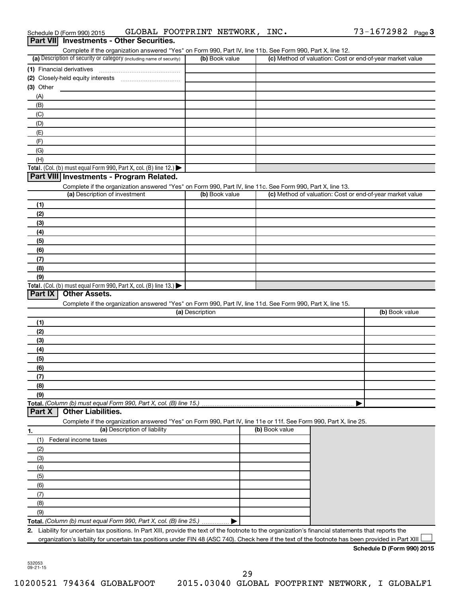|            | Schedule D (Form 990) 2015                                                                                                                                                                                                                                                                                 | GLOBAL FOOTPRINT NETWORK, INC. |                | 73-1672982 Page 3                                         |
|------------|------------------------------------------------------------------------------------------------------------------------------------------------------------------------------------------------------------------------------------------------------------------------------------------------------------|--------------------------------|----------------|-----------------------------------------------------------|
| Part VIII  | <b>Investments - Other Securities.</b>                                                                                                                                                                                                                                                                     |                                |                |                                                           |
|            | Complete if the organization answered "Yes" on Form 990, Part IV, line 11b. See Form 990, Part X, line 12.                                                                                                                                                                                                 |                                |                |                                                           |
|            | (a) Description of security or category (including name of security)                                                                                                                                                                                                                                       | (b) Book value                 |                | (c) Method of valuation: Cost or end-of-year market value |
|            | (1) Financial derivatives                                                                                                                                                                                                                                                                                  |                                |                |                                                           |
|            | (2) Closely-held equity interests                                                                                                                                                                                                                                                                          |                                |                |                                                           |
| (3) Other  |                                                                                                                                                                                                                                                                                                            |                                |                |                                                           |
| (A)        |                                                                                                                                                                                                                                                                                                            |                                |                |                                                           |
| (B)<br>(C) |                                                                                                                                                                                                                                                                                                            |                                |                |                                                           |
| (D)        |                                                                                                                                                                                                                                                                                                            |                                |                |                                                           |
| (E)        |                                                                                                                                                                                                                                                                                                            |                                |                |                                                           |
| (F)        |                                                                                                                                                                                                                                                                                                            |                                |                |                                                           |
| (G)        |                                                                                                                                                                                                                                                                                                            |                                |                |                                                           |
| (H)        |                                                                                                                                                                                                                                                                                                            |                                |                |                                                           |
|            | Total. (Col. (b) must equal Form 990, Part X, col. (B) line 12.) $\blacktriangleright$                                                                                                                                                                                                                     |                                |                |                                                           |
|            | Part VIII Investments - Program Related.                                                                                                                                                                                                                                                                   |                                |                |                                                           |
|            | Complete if the organization answered "Yes" on Form 990, Part IV, line 11c. See Form 990, Part X, line 13.                                                                                                                                                                                                 |                                |                |                                                           |
|            | (a) Description of investment                                                                                                                                                                                                                                                                              | (b) Book value                 |                | (c) Method of valuation: Cost or end-of-year market value |
| (1)        |                                                                                                                                                                                                                                                                                                            |                                |                |                                                           |
| (2)        |                                                                                                                                                                                                                                                                                                            |                                |                |                                                           |
| (3)        |                                                                                                                                                                                                                                                                                                            |                                |                |                                                           |
| (4)        |                                                                                                                                                                                                                                                                                                            |                                |                |                                                           |
| (5)        |                                                                                                                                                                                                                                                                                                            |                                |                |                                                           |
| (6)        |                                                                                                                                                                                                                                                                                                            |                                |                |                                                           |
| (7)        |                                                                                                                                                                                                                                                                                                            |                                |                |                                                           |
| (8)        |                                                                                                                                                                                                                                                                                                            |                                |                |                                                           |
| (9)        |                                                                                                                                                                                                                                                                                                            |                                |                |                                                           |
| Part IX    | Total. (Col. (b) must equal Form 990, Part X, col. (B) line 13.) $\blacktriangleright$<br><b>Other Assets.</b>                                                                                                                                                                                             |                                |                |                                                           |
|            | Complete if the organization answered "Yes" on Form 990, Part IV, line 11d. See Form 990, Part X, line 15.                                                                                                                                                                                                 |                                |                |                                                           |
|            |                                                                                                                                                                                                                                                                                                            | (a) Description                |                | (b) Book value                                            |
| (1)        |                                                                                                                                                                                                                                                                                                            |                                |                |                                                           |
| (2)        |                                                                                                                                                                                                                                                                                                            |                                |                |                                                           |
| (3)        |                                                                                                                                                                                                                                                                                                            |                                |                |                                                           |
| (4)        |                                                                                                                                                                                                                                                                                                            |                                |                |                                                           |
| (5)        |                                                                                                                                                                                                                                                                                                            |                                |                |                                                           |
| (6)        |                                                                                                                                                                                                                                                                                                            |                                |                |                                                           |
| (7)        |                                                                                                                                                                                                                                                                                                            |                                |                |                                                           |
| (8)        |                                                                                                                                                                                                                                                                                                            |                                |                |                                                           |
| (9)        |                                                                                                                                                                                                                                                                                                            |                                |                |                                                           |
|            | Total. (Column (b) must equal Form 990, Part X, col. (B) line 15.)                                                                                                                                                                                                                                         |                                |                |                                                           |
| Part X     | <b>Other Liabilities.</b>                                                                                                                                                                                                                                                                                  |                                |                |                                                           |
|            | Complete if the organization answered "Yes" on Form 990, Part IV, line 11e or 11f. See Form 990, Part X, line 25.                                                                                                                                                                                          |                                |                |                                                           |
| 1.         | (a) Description of liability                                                                                                                                                                                                                                                                               |                                | (b) Book value |                                                           |
| (1)        | Federal income taxes                                                                                                                                                                                                                                                                                       |                                |                |                                                           |
| (2)        |                                                                                                                                                                                                                                                                                                            |                                |                |                                                           |
| (3)        |                                                                                                                                                                                                                                                                                                            |                                |                |                                                           |
| (4)        |                                                                                                                                                                                                                                                                                                            |                                |                |                                                           |
|            |                                                                                                                                                                                                                                                                                                            |                                |                |                                                           |
| (5)        |                                                                                                                                                                                                                                                                                                            |                                |                |                                                           |
| (6)        |                                                                                                                                                                                                                                                                                                            |                                |                |                                                           |
| (7)        |                                                                                                                                                                                                                                                                                                            |                                |                |                                                           |
| (8)        |                                                                                                                                                                                                                                                                                                            |                                |                |                                                           |
| (9)        |                                                                                                                                                                                                                                                                                                            |                                |                |                                                           |
|            | Total. (Column (b) must equal Form 990, Part X, col. (B) line 25.)                                                                                                                                                                                                                                         |                                |                |                                                           |
|            | 2. Liability for uncertain tax positions. In Part XIII, provide the text of the footnote to the organization's financial statements that reports the<br>organization's liability for uncertain tax positions under FIN 48 (ASC 740). Check here if the text of the footnote has been provided in Part XIII |                                |                |                                                           |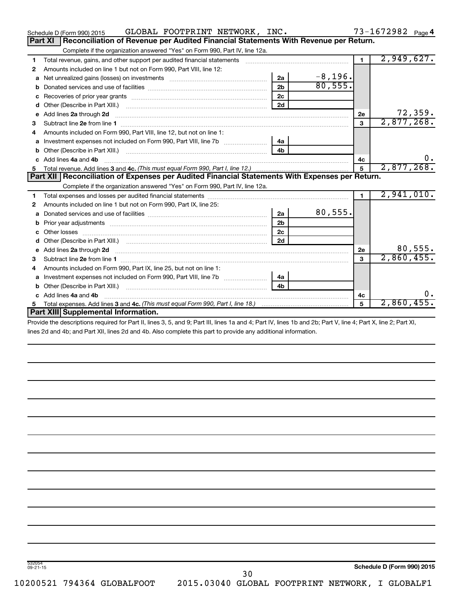| Schedule D (Form 990) 2015                                                                                                                                                                                                                | GLOBAL FOOTPRINT NETWORK, INC. |                         |                | 73-1672982 Page 4 |
|-------------------------------------------------------------------------------------------------------------------------------------------------------------------------------------------------------------------------------------------|--------------------------------|-------------------------|----------------|-------------------|
| Part XI<br>Reconciliation of Revenue per Audited Financial Statements With Revenue per Return.                                                                                                                                            |                                |                         |                |                   |
| Complete if the organization answered "Yes" on Form 990, Part IV, line 12a.                                                                                                                                                               |                                |                         |                |                   |
| Total revenue, gains, and other support per audited financial statements [11] [11] Total revenue, [21] Total revenue of the support per audited financial statements<br>1                                                                 |                                |                         | $\mathbf{1}$   | 2,949,627.        |
| Amounts included on line 1 but not on Form 990, Part VIII, line 12:<br>2                                                                                                                                                                  |                                |                         |                |                   |
| Net unrealized gains (losses) on investments [111] [12] matter and the unrealized gains (losses) on investments<br>a                                                                                                                      | 2a                             | $\frac{-8,196}{80,555}$ |                |                   |
| b                                                                                                                                                                                                                                         | 2 <sub>b</sub>                 |                         |                |                   |
| с                                                                                                                                                                                                                                         | 2 <sub>c</sub>                 |                         |                |                   |
| d                                                                                                                                                                                                                                         | 2d                             |                         |                |                   |
| Add lines 2a through 2d <b>continuum continuum contract and continuum contract and continuum contract and continuum contract and continuum contract and continuum contract and continuum contract and continuum contract and con</b><br>e |                                |                         | 2е             | 72,359.           |
| З                                                                                                                                                                                                                                         |                                |                         | 3              | 2,877,268.        |
| Amounts included on Form 990, Part VIII, line 12, but not on line 1:<br>4                                                                                                                                                                 |                                |                         |                |                   |
|                                                                                                                                                                                                                                           | 4a                             |                         |                |                   |
| b                                                                                                                                                                                                                                         |                                |                         |                |                   |
| c Add lines 4a and 4b                                                                                                                                                                                                                     |                                |                         | 4c             | ο.                |
|                                                                                                                                                                                                                                           |                                |                         | 5              | 2,877,268.        |
| Part XII Reconciliation of Expenses per Audited Financial Statements With Expenses per Return.                                                                                                                                            |                                |                         |                |                   |
|                                                                                                                                                                                                                                           |                                |                         |                |                   |
| Complete if the organization answered "Yes" on Form 990, Part IV, line 12a.                                                                                                                                                               |                                |                         |                |                   |
| 1                                                                                                                                                                                                                                         |                                |                         | $\blacksquare$ | 2,941,010.        |
| Amounts included on line 1 but not on Form 990, Part IX, line 25:<br>2                                                                                                                                                                    |                                |                         |                |                   |
| a                                                                                                                                                                                                                                         | 2a                             | 80,555.                 |                |                   |
| b                                                                                                                                                                                                                                         | 2 <sub>b</sub>                 |                         |                |                   |
| Other losses                                                                                                                                                                                                                              | 2c                             |                         |                |                   |
| d                                                                                                                                                                                                                                         | 2d                             |                         |                |                   |
| Add lines 2a through 2d <b>continuum contract and all contract and all contract and all contract and all contract a</b><br>е                                                                                                              |                                |                         | 2e             | 80,555.           |
| з                                                                                                                                                                                                                                         |                                |                         | 3              | 2,860,455.        |
| Amounts included on Form 990, Part IX, line 25, but not on line 1:<br>4                                                                                                                                                                   |                                |                         |                |                   |
| a                                                                                                                                                                                                                                         | 4a                             |                         |                |                   |
| b                                                                                                                                                                                                                                         |                                |                         |                |                   |
| c Add lines 4a and 4b                                                                                                                                                                                                                     |                                |                         | 4c             | 0.                |
| 5.<br>Part XIII Supplemental Information.                                                                                                                                                                                                 |                                |                         | 5              | $2,860,455$ .     |

Provide the descriptions required for Part II, lines 3, 5, and 9; Part III, lines 1a and 4; Part IV, lines 1b and 2b; Part V, line 4; Part X, line 2; Part XI, lines 2d and 4b; and Part XII, lines 2d and 4b. Also complete this part to provide any additional information.

30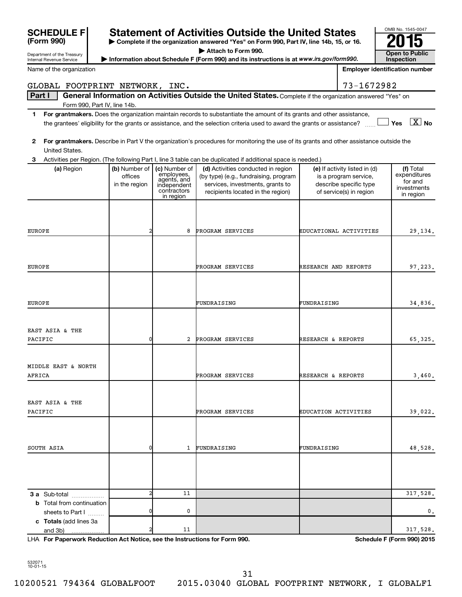| <b>SCHEDULE F</b>                                 |                                                                                          |                            | <b>Statement of Activities Outside the United States</b>                                                                                                                                                                                             |                      |                                                   | OMB No. 1545-0047                     |
|---------------------------------------------------|------------------------------------------------------------------------------------------|----------------------------|------------------------------------------------------------------------------------------------------------------------------------------------------------------------------------------------------------------------------------------------------|----------------------|---------------------------------------------------|---------------------------------------|
| (Form 990)                                        | > Complete if the organization answered "Yes" on Form 990, Part IV, line 14b, 15, or 16. |                            |                                                                                                                                                                                                                                                      |                      |                                                   |                                       |
| Department of the Treasury                        |                                                                                          |                            | Attach to Form 990.                                                                                                                                                                                                                                  |                      |                                                   | <b>Open to Public</b>                 |
| Internal Revenue Service                          |                                                                                          |                            | Information about Schedule F (Form 990) and its instructions is at www.irs.gov/form990.                                                                                                                                                              |                      |                                                   | Inspection                            |
| Name of the organization                          |                                                                                          |                            |                                                                                                                                                                                                                                                      |                      |                                                   | <b>Employer identification number</b> |
| GLOBAL FOOTPRINT NETWORK, INC.                    |                                                                                          |                            |                                                                                                                                                                                                                                                      |                      | 73-1672982                                        |                                       |
| Part I                                            |                                                                                          |                            | General Information on Activities Outside the United States. Complete if the organization answered "Yes" on                                                                                                                                          |                      |                                                   |                                       |
| Form 990, Part IV, line 14b.                      |                                                                                          |                            |                                                                                                                                                                                                                                                      |                      |                                                   |                                       |
| 1                                                 |                                                                                          |                            | For grantmakers. Does the organization maintain records to substantiate the amount of its grants and other assistance,<br>the grantees' eligibility for the grants or assistance, and the selection criteria used to award the grants or assistance? |                      |                                                   | $\Box$ Yes $\boxed{\text{X}}$ No      |
| 2<br>United States.                               |                                                                                          |                            | For grantmakers. Describe in Part V the organization's procedures for monitoring the use of its grants and other assistance outside the                                                                                                              |                      |                                                   |                                       |
| 3                                                 |                                                                                          |                            | Activities per Region. (The following Part I, line 3 table can be duplicated if additional space is needed.)                                                                                                                                         |                      |                                                   |                                       |
| (a) Region                                        | (b) Number of                                                                            | (c) Number of              | (d) Activities conducted in region                                                                                                                                                                                                                   |                      | (e) If activity listed in (d)                     | (f) Total                             |
|                                                   | offices                                                                                  | employees,<br>agents, and  | (by type) (e.g., fundraising, program                                                                                                                                                                                                                |                      | is a program service,                             | expenditures<br>for and               |
|                                                   | in the region                                                                            | independent<br>contractors | services, investments, grants to<br>recipients located in the region)                                                                                                                                                                                |                      | describe specific type<br>of service(s) in region | investments                           |
|                                                   |                                                                                          | in region                  |                                                                                                                                                                                                                                                      |                      |                                                   | in region                             |
|                                                   |                                                                                          |                            |                                                                                                                                                                                                                                                      |                      |                                                   |                                       |
|                                                   |                                                                                          |                            |                                                                                                                                                                                                                                                      |                      |                                                   |                                       |
|                                                   |                                                                                          |                            |                                                                                                                                                                                                                                                      |                      |                                                   |                                       |
| <b>EUROPE</b>                                     |                                                                                          | 8                          | PROGRAM SERVICES                                                                                                                                                                                                                                     |                      | EDUCATIONAL ACTIVITIES                            | 29,134.                               |
|                                                   |                                                                                          |                            |                                                                                                                                                                                                                                                      |                      |                                                   |                                       |
|                                                   |                                                                                          |                            |                                                                                                                                                                                                                                                      |                      |                                                   |                                       |
| EUROPE                                            |                                                                                          |                            | PROGRAM SERVICES                                                                                                                                                                                                                                     | RESEARCH AND REPORTS |                                                   | 97,223.                               |
|                                                   |                                                                                          |                            |                                                                                                                                                                                                                                                      |                      |                                                   |                                       |
|                                                   |                                                                                          |                            |                                                                                                                                                                                                                                                      |                      |                                                   |                                       |
|                                                   |                                                                                          |                            |                                                                                                                                                                                                                                                      |                      |                                                   |                                       |
| <b>EUROPE</b>                                     |                                                                                          |                            | FUNDRAISING                                                                                                                                                                                                                                          | FUNDRAISING          |                                                   | 34,836.                               |
|                                                   |                                                                                          |                            |                                                                                                                                                                                                                                                      |                      |                                                   |                                       |
|                                                   |                                                                                          |                            |                                                                                                                                                                                                                                                      |                      |                                                   |                                       |
| EAST ASIA & THE                                   |                                                                                          |                            |                                                                                                                                                                                                                                                      |                      |                                                   |                                       |
| PACIFIC                                           | 0                                                                                        | 2                          | PROGRAM SERVICES                                                                                                                                                                                                                                     | RESEARCH & REPORTS   |                                                   | 65,325.                               |
|                                                   |                                                                                          |                            |                                                                                                                                                                                                                                                      |                      |                                                   |                                       |
|                                                   |                                                                                          |                            |                                                                                                                                                                                                                                                      |                      |                                                   |                                       |
| MIDDLE EAST & NORTH                               |                                                                                          |                            |                                                                                                                                                                                                                                                      |                      |                                                   |                                       |
| AFRICA                                            |                                                                                          |                            | PROGRAM SERVICES                                                                                                                                                                                                                                     | RESEARCH & REPORTS   |                                                   | 3,460.                                |
|                                                   |                                                                                          |                            |                                                                                                                                                                                                                                                      |                      |                                                   |                                       |
| EAST ASIA & THE                                   |                                                                                          |                            |                                                                                                                                                                                                                                                      |                      |                                                   |                                       |
| PACIFIC                                           |                                                                                          |                            | PROGRAM SERVICES                                                                                                                                                                                                                                     | EDUCATION ACTIVITIES |                                                   | 39,022.                               |
|                                                   |                                                                                          |                            |                                                                                                                                                                                                                                                      |                      |                                                   |                                       |
|                                                   |                                                                                          |                            |                                                                                                                                                                                                                                                      |                      |                                                   |                                       |
|                                                   |                                                                                          |                            |                                                                                                                                                                                                                                                      |                      |                                                   |                                       |
| SOUTH ASIA                                        | 0                                                                                        | 1                          | FUNDRAISING                                                                                                                                                                                                                                          | FUNDRAISING          |                                                   | 48,528.                               |
|                                                   |                                                                                          |                            |                                                                                                                                                                                                                                                      |                      |                                                   |                                       |
|                                                   |                                                                                          |                            |                                                                                                                                                                                                                                                      |                      |                                                   |                                       |
|                                                   |                                                                                          |                            |                                                                                                                                                                                                                                                      |                      |                                                   |                                       |
|                                                   | 2                                                                                        | 11                         |                                                                                                                                                                                                                                                      |                      |                                                   | 317,528.                              |
| 3 a Sub-total<br><b>b</b> Total from continuation |                                                                                          |                            |                                                                                                                                                                                                                                                      |                      |                                                   |                                       |
| sheets to Part I                                  | 0                                                                                        | 0                          |                                                                                                                                                                                                                                                      |                      |                                                   | 0.                                    |
| c Totals (add lines 3a                            |                                                                                          |                            |                                                                                                                                                                                                                                                      |                      |                                                   |                                       |
| and 3b)                                           |                                                                                          | 11                         |                                                                                                                                                                                                                                                      |                      |                                                   | 317,528.                              |

**For Paperwork Reduction Act Notice, see the Instructions for Form 990. Schedule F (Form 990) 2015** LHA

532071 10-01-15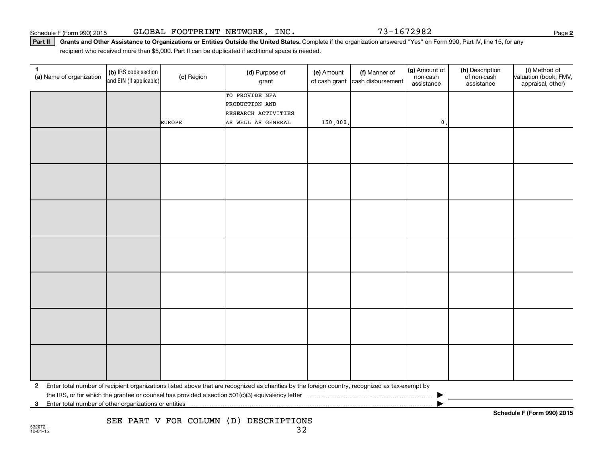Part II | Grants and Other Assistance to Organizations or Entities Outside the United States. Complete if the organization answered "Yes" on Form 990, Part IV, line 15, for any recipient who received more than \$5,000. Part II can be duplicated if additional space is needed.

| 1<br>(a) Name of organization                              | (b) IRS code section<br>and EIN (if applicable) | (c) Region    | (d) Purpose of<br>grant                                                                                                                         | (e) Amount | (f) Manner of<br>of cash grant cash disbursement | (g) Amount of<br>non-cash<br>assistance | (h) Description<br>of non-cash<br>assistance | (i) Method of<br>valuation (book, FMV,<br>appraisal, other) |
|------------------------------------------------------------|-------------------------------------------------|---------------|-------------------------------------------------------------------------------------------------------------------------------------------------|------------|--------------------------------------------------|-----------------------------------------|----------------------------------------------|-------------------------------------------------------------|
|                                                            |                                                 |               | TO PROVIDE NFA<br>PRODUCTION AND<br>RESEARCH ACTIVITIES                                                                                         |            |                                                  |                                         |                                              |                                                             |
|                                                            |                                                 | <b>EUROPE</b> | AS WELL AS GENERAL                                                                                                                              | 150,000.   |                                                  | $\mathfrak o$ .                         |                                              |                                                             |
|                                                            |                                                 |               |                                                                                                                                                 |            |                                                  |                                         |                                              |                                                             |
|                                                            |                                                 |               |                                                                                                                                                 |            |                                                  |                                         |                                              |                                                             |
|                                                            |                                                 |               |                                                                                                                                                 |            |                                                  |                                         |                                              |                                                             |
|                                                            |                                                 |               |                                                                                                                                                 |            |                                                  |                                         |                                              |                                                             |
|                                                            |                                                 |               |                                                                                                                                                 |            |                                                  |                                         |                                              |                                                             |
|                                                            |                                                 |               |                                                                                                                                                 |            |                                                  |                                         |                                              |                                                             |
|                                                            |                                                 |               |                                                                                                                                                 |            |                                                  |                                         |                                              |                                                             |
| $\mathbf{2}$                                               |                                                 |               | Enter total number of recipient organizations listed above that are recognized as charities by the foreign country, recognized as tax-exempt by |            |                                                  |                                         |                                              |                                                             |
| Enter total number of other organizations or entities<br>3 |                                                 |               |                                                                                                                                                 |            |                                                  |                                         |                                              |                                                             |

SEE PART V FOR COLUMN (D) DESCRIPTIONS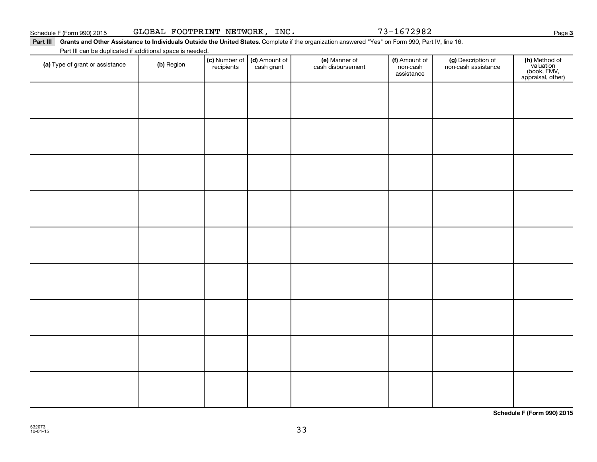Part III Grants and Other Assistance to Individuals Outside the United States. Complete if the organization answered "Yes" on Form 990, Part IV, line 16. Part III can be duplicated if additional space is needed.

| T are in barr be depiled to a dominant operation in received.<br>(a) Type of grant or assistance | (b) Region | (c) Number of (d) Amount of<br>recipients cash grant | (e) Manner of<br>cash disbursement | (f) Amount of<br>non-cash<br>assistance | (g) Description of<br>non-cash assistance | (h) Method of<br>valuation<br>(book, FMV,<br>appraisal, other) |
|--------------------------------------------------------------------------------------------------|------------|------------------------------------------------------|------------------------------------|-----------------------------------------|-------------------------------------------|----------------------------------------------------------------|
|                                                                                                  |            |                                                      |                                    |                                         |                                           |                                                                |
|                                                                                                  |            |                                                      |                                    |                                         |                                           |                                                                |
|                                                                                                  |            |                                                      |                                    |                                         |                                           |                                                                |
|                                                                                                  |            |                                                      |                                    |                                         |                                           |                                                                |
|                                                                                                  |            |                                                      |                                    |                                         |                                           |                                                                |
|                                                                                                  |            |                                                      |                                    |                                         |                                           |                                                                |
|                                                                                                  |            |                                                      |                                    |                                         |                                           |                                                                |
|                                                                                                  |            |                                                      |                                    |                                         |                                           |                                                                |
|                                                                                                  |            |                                                      |                                    |                                         |                                           |                                                                |
|                                                                                                  |            |                                                      |                                    |                                         |                                           |                                                                |
|                                                                                                  |            |                                                      |                                    |                                         |                                           |                                                                |

**Schedule F (Form 990) 2015**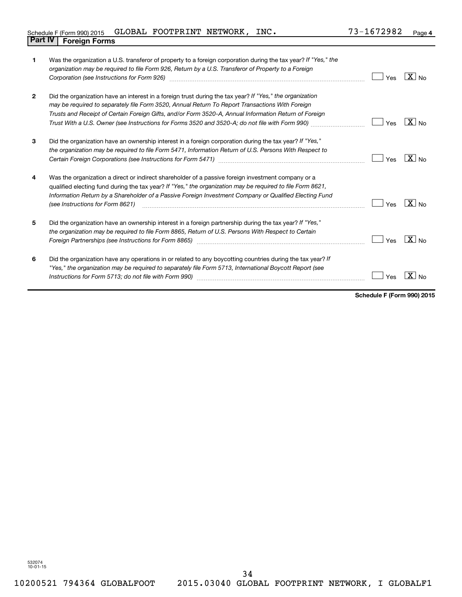| $\mathbf{1}$ | Was the organization a U.S. transferor of property to a foreign corporation during the tax year? If "Yes," the<br>organization may be required to file Form 926, Return by a U.S. Transferor of Property to a Foreign<br>Corporation (see Instructions for Form 926)                                                                                           | Yes | $X _{N0}$         |
|--------------|----------------------------------------------------------------------------------------------------------------------------------------------------------------------------------------------------------------------------------------------------------------------------------------------------------------------------------------------------------------|-----|-------------------|
| $\mathbf{2}$ | Did the organization have an interest in a foreign trust during the tax year? If "Yes," the organization<br>may be required to separately file Form 3520, Annual Return To Report Transactions With Foreign<br>Trusts and Receipt of Certain Foreign Gifts, and/or Form 3520-A, Annual Information Return of Foreign                                           | Yes | $X _{\text{No}}$  |
| 3            | Did the organization have an ownership interest in a foreign corporation during the tax year? If "Yes,"<br>the organization may be required to file Form 5471, Information Return of U.S. Persons With Respect to                                                                                                                                              | Yes | $X _{N0}$         |
| 4            | Was the organization a direct or indirect shareholder of a passive foreign investment company or a<br>qualified electing fund during the tax year? If "Yes," the organization may be required to file Form 8621,<br>Information Return by a Shareholder of a Passive Foreign Investment Company or Qualified Electing Fund<br>(see Instructions for Form 8621) | Yes | $\overline{X}$ No |
| 5            | Did the organization have an ownership interest in a foreign partnership during the tax year? If "Yes,"<br>the organization may be required to file Form 8865, Return of U.S. Persons With Respect to Certain<br>Foreign Partnerships (see Instructions for Form 8865)                                                                                         | Yes | $X _{N_Q}$        |
| 6            | Did the organization have any operations in or related to any boycotting countries during the tax year? If<br>"Yes," the organization may be required to separately file Form 5713, International Boycott Report (see                                                                                                                                          | Yes |                   |

**Schedule F (Form 990) 2015**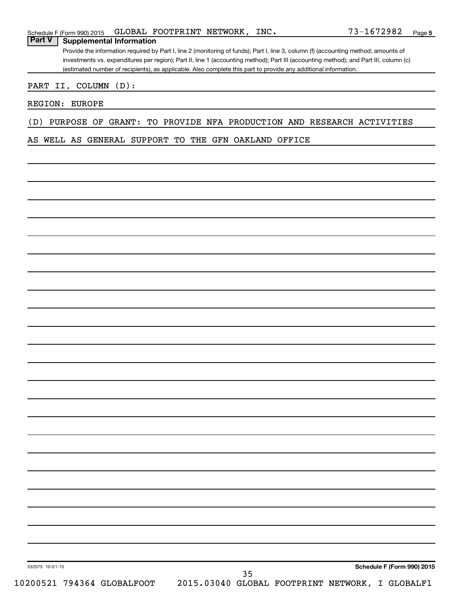## Schedule F (Form 990) 2015 Page GLOBAL FOOTPRINT NETWORK, INC. 73-1672982

**Part V Supplemental Information**

Provide the information required by Part I, line 2 (monitoring of funds); Part I, line 3, column (f) (accounting method; amounts of investments vs. expenditures per region); Part II, line 1 (accounting method); Part III (accounting method); and Part III, column (c) (estimated number of recipients), as applicable. Also complete this part to provide any additional information.

## PART II, COLUMN (D):

## REGION: EUROPE

## (D) PURPOSE OF GRANT: TO PROVIDE NFA PRODUCTION AND RESEARCH ACTIVITIES

## AS WELL AS GENERAL SUPPORT TO THE GFN OAKLAND OFFICE

532075 10-01-15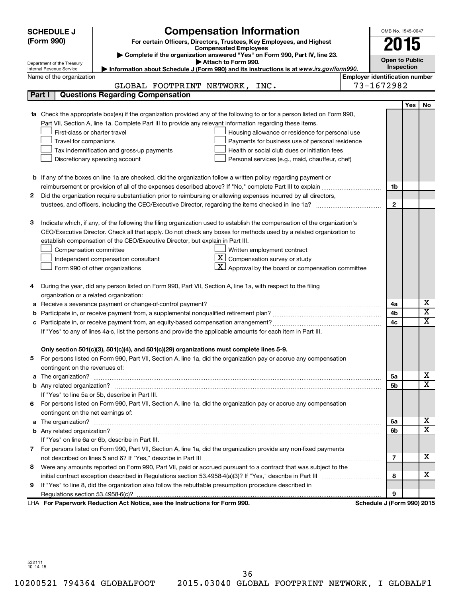| <b>SCHEDULE J</b>                                      |                                | <b>Compensation Information</b>                                                                                                                                                                                                      |                                       | OMB No. 1545-0047          |            |                         |
|--------------------------------------------------------|--------------------------------|--------------------------------------------------------------------------------------------------------------------------------------------------------------------------------------------------------------------------------------|---------------------------------------|----------------------------|------------|-------------------------|
| (Form 990)                                             |                                | For certain Officers, Directors, Trustees, Key Employees, and Highest                                                                                                                                                                |                                       |                            |            |                         |
|                                                        |                                | <b>Compensated Employees</b>                                                                                                                                                                                                         |                                       | 2015                       |            |                         |
|                                                        |                                | Complete if the organization answered "Yes" on Form 990, Part IV, line 23.<br>Attach to Form 990.                                                                                                                                    |                                       | <b>Open to Public</b>      |            |                         |
| Department of the Treasury<br>Internal Revenue Service |                                | Information about Schedule J (Form 990) and its instructions is at www.irs.gov/form990.                                                                                                                                              |                                       | Inspection                 |            |                         |
|                                                        | Name of the organization       |                                                                                                                                                                                                                                      | <b>Employer identification number</b> |                            |            |                         |
|                                                        |                                | GLOBAL FOOTPRINT NETWORK, INC.                                                                                                                                                                                                       |                                       | 73-1672982                 |            |                         |
| Part I                                                 |                                | <b>Questions Regarding Compensation</b>                                                                                                                                                                                              |                                       |                            |            |                         |
|                                                        |                                |                                                                                                                                                                                                                                      |                                       |                            | <b>Yes</b> | No                      |
|                                                        |                                | Check the appropriate box(es) if the organization provided any of the following to or for a person listed on Form 990,                                                                                                               |                                       |                            |            |                         |
|                                                        |                                | Part VII, Section A, line 1a. Complete Part III to provide any relevant information regarding these items.                                                                                                                           |                                       |                            |            |                         |
|                                                        | First-class or charter travel  | Housing allowance or residence for personal use                                                                                                                                                                                      |                                       |                            |            |                         |
|                                                        | Travel for companions          | Payments for business use of personal residence                                                                                                                                                                                      |                                       |                            |            |                         |
|                                                        |                                | Health or social club dues or initiation fees<br>Tax indemnification and gross-up payments                                                                                                                                           |                                       |                            |            |                         |
|                                                        |                                | Discretionary spending account<br>Personal services (e.g., maid, chauffeur, chef)                                                                                                                                                    |                                       |                            |            |                         |
|                                                        |                                |                                                                                                                                                                                                                                      |                                       |                            |            |                         |
|                                                        |                                | <b>b</b> If any of the boxes on line 1a are checked, did the organization follow a written policy regarding payment or                                                                                                               |                                       |                            |            |                         |
|                                                        |                                |                                                                                                                                                                                                                                      |                                       | 1b                         |            |                         |
| 2                                                      |                                | Did the organization require substantiation prior to reimbursing or allowing expenses incurred by all directors,                                                                                                                     |                                       |                            |            |                         |
|                                                        |                                |                                                                                                                                                                                                                                      |                                       | $\mathbf{2}$               |            |                         |
|                                                        |                                |                                                                                                                                                                                                                                      |                                       |                            |            |                         |
| З                                                      |                                | Indicate which, if any, of the following the filing organization used to establish the compensation of the organization's                                                                                                            |                                       |                            |            |                         |
|                                                        |                                | CEO/Executive Director. Check all that apply. Do not check any boxes for methods used by a related organization to                                                                                                                   |                                       |                            |            |                         |
|                                                        |                                | establish compensation of the CEO/Executive Director, but explain in Part III.                                                                                                                                                       |                                       |                            |            |                         |
|                                                        | Compensation committee         | Written employment contract                                                                                                                                                                                                          |                                       |                            |            |                         |
|                                                        |                                | -X I<br>Compensation survey or study<br>Independent compensation consultant                                                                                                                                                          |                                       |                            |            |                         |
|                                                        |                                | Approval by the board or compensation committee<br>Form 990 of other organizations                                                                                                                                                   |                                       |                            |            |                         |
|                                                        |                                |                                                                                                                                                                                                                                      |                                       |                            |            |                         |
|                                                        |                                | During the year, did any person listed on Form 990, Part VII, Section A, line 1a, with respect to the filing                                                                                                                         |                                       |                            |            |                         |
|                                                        |                                | organization or a related organization:                                                                                                                                                                                              |                                       |                            |            | х                       |
| а                                                      |                                | Receive a severance payment or change-of-control payment?                                                                                                                                                                            |                                       | 4a<br>4b                   |            | $\overline{\textbf{x}}$ |
| b                                                      |                                |                                                                                                                                                                                                                                      |                                       | 4c                         |            | x                       |
| с                                                      |                                |                                                                                                                                                                                                                                      |                                       |                            |            |                         |
|                                                        |                                | If "Yes" to any of lines 4a-c, list the persons and provide the applicable amounts for each item in Part III.                                                                                                                        |                                       |                            |            |                         |
|                                                        |                                | Only section 501(c)(3), 501(c)(4), and 501(c)(29) organizations must complete lines 5-9.                                                                                                                                             |                                       |                            |            |                         |
|                                                        |                                | For persons listed on Form 990, Part VII, Section A, line 1a, did the organization pay or accrue any compensation                                                                                                                    |                                       |                            |            |                         |
|                                                        | contingent on the revenues of: |                                                                                                                                                                                                                                      |                                       |                            |            |                         |
| a                                                      |                                |                                                                                                                                                                                                                                      |                                       | 5a                         |            | х                       |
|                                                        |                                |                                                                                                                                                                                                                                      |                                       | 5b                         |            | X                       |
|                                                        |                                | If "Yes" to line 5a or 5b, describe in Part III.                                                                                                                                                                                     |                                       |                            |            |                         |
|                                                        |                                | 6 For persons listed on Form 990, Part VII, Section A, line 1a, did the organization pay or accrue any compensation                                                                                                                  |                                       |                            |            |                         |
|                                                        |                                | contingent on the net earnings of:                                                                                                                                                                                                   |                                       |                            |            |                         |
| a                                                      |                                | The organization? <b>With the contract of the contract of the contract of the contract of the contract of the contract of the contract of the contract of the contract of the contract of the contract of the contract of the co</b> |                                       | 6а                         |            | х                       |
|                                                        |                                |                                                                                                                                                                                                                                      |                                       | 6b                         |            | X                       |
|                                                        |                                | If "Yes" on line 6a or 6b, describe in Part III.                                                                                                                                                                                     |                                       |                            |            |                         |
|                                                        |                                | 7 For persons listed on Form 990, Part VII, Section A, line 1a, did the organization provide any non-fixed payments                                                                                                                  |                                       |                            |            |                         |
|                                                        |                                |                                                                                                                                                                                                                                      |                                       | 7                          |            | x                       |
| 8                                                      |                                | Were any amounts reported on Form 990, Part VII, paid or accrued pursuant to a contract that was subject to the                                                                                                                      |                                       |                            |            |                         |
|                                                        |                                |                                                                                                                                                                                                                                      |                                       | 8                          |            | x                       |
| 9                                                      |                                | If "Yes" to line 8, did the organization also follow the rebuttable presumption procedure described in                                                                                                                               |                                       |                            |            |                         |
|                                                        |                                |                                                                                                                                                                                                                                      |                                       | 9                          |            |                         |
|                                                        |                                | LHA For Paperwork Reduction Act Notice, see the Instructions for Form 990.                                                                                                                                                           |                                       | Schedule J (Form 990) 2015 |            |                         |

532111 10-14-15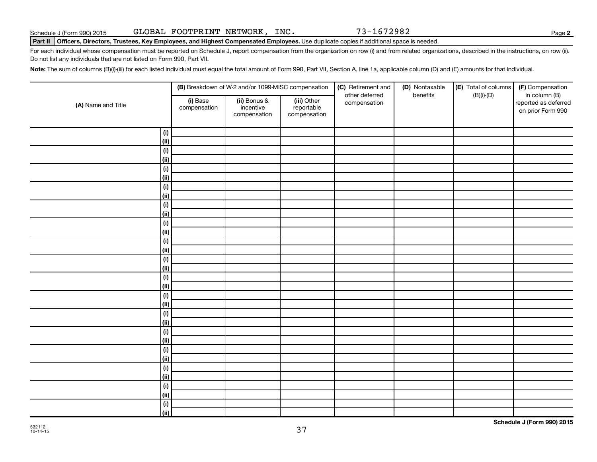**2**

#### Part II | Officers, Directors, Trustees, Key Employees, and Highest Compensated Employees. Use duplicate copies if additional space is needed.

For each individual whose compensation must be reported on Schedule J, report compensation from the organization on row (i) and from related organizations, described in the instructions, on row (ii). Do not list any individuals that are not listed on Form 990, Part VII.

Note: The sum of columns (B)(i)-(iii) for each listed individual must equal the total amount of Form 990, Part VII, Section A, line 1a, applicable column (D) and (E) amounts for that individual.

|                    |                          | (B) Breakdown of W-2 and/or 1099-MISC compensation |                                           | (C) Retirement and<br>other deferred | (D) Nontaxable<br>benefits | (E) Total of columns<br>$(B)(i)-(D)$ | (F) Compensation<br>in column (B)         |
|--------------------|--------------------------|----------------------------------------------------|-------------------------------------------|--------------------------------------|----------------------------|--------------------------------------|-------------------------------------------|
| (A) Name and Title | (i) Base<br>compensation | (ii) Bonus &<br>incentive<br>compensation          | (iii) Other<br>reportable<br>compensation | compensation                         |                            |                                      | reported as deferred<br>on prior Form 990 |
| (i)                |                          |                                                    |                                           |                                      |                            |                                      |                                           |
| (ii)               |                          |                                                    |                                           |                                      |                            |                                      |                                           |
| (i)                |                          |                                                    |                                           |                                      |                            |                                      |                                           |
| (ii)               |                          |                                                    |                                           |                                      |                            |                                      |                                           |
| (i)                |                          |                                                    |                                           |                                      |                            |                                      |                                           |
| (ii)               |                          |                                                    |                                           |                                      |                            |                                      |                                           |
| (i)                |                          |                                                    |                                           |                                      |                            |                                      |                                           |
| (ii)               |                          |                                                    |                                           |                                      |                            |                                      |                                           |
| (i)                |                          |                                                    |                                           |                                      |                            |                                      |                                           |
| (ii)               |                          |                                                    |                                           |                                      |                            |                                      |                                           |
| (i)                |                          |                                                    |                                           |                                      |                            |                                      |                                           |
| (ii)               |                          |                                                    |                                           |                                      |                            |                                      |                                           |
| (i)                |                          |                                                    |                                           |                                      |                            |                                      |                                           |
| (ii)               |                          |                                                    |                                           |                                      |                            |                                      |                                           |
| (i)                |                          |                                                    |                                           |                                      |                            |                                      |                                           |
| (ii)               |                          |                                                    |                                           |                                      |                            |                                      |                                           |
| (i)                |                          |                                                    |                                           |                                      |                            |                                      |                                           |
| (ii)               |                          |                                                    |                                           |                                      |                            |                                      |                                           |
| (i)                |                          |                                                    |                                           |                                      |                            |                                      |                                           |
| (ii)               |                          |                                                    |                                           |                                      |                            |                                      |                                           |
| (i)                |                          |                                                    |                                           |                                      |                            |                                      |                                           |
| (ii)               |                          |                                                    |                                           |                                      |                            |                                      |                                           |
| $(i)$              |                          |                                                    |                                           |                                      |                            |                                      |                                           |
| (ii)               |                          |                                                    |                                           |                                      |                            |                                      |                                           |
| $(i)$              |                          |                                                    |                                           |                                      |                            |                                      |                                           |
| (ii)               |                          |                                                    |                                           |                                      |                            |                                      |                                           |
| $(\mathsf{i})$     |                          |                                                    |                                           |                                      |                            |                                      |                                           |
| (ii)               |                          |                                                    |                                           |                                      |                            |                                      |                                           |
| $(\mathsf{i})$     |                          |                                                    |                                           |                                      |                            |                                      |                                           |
| (ii)               |                          |                                                    |                                           |                                      |                            |                                      |                                           |
| $(\mathsf{i})$     |                          |                                                    |                                           |                                      |                            |                                      |                                           |
| (ii)               |                          |                                                    |                                           |                                      |                            |                                      |                                           |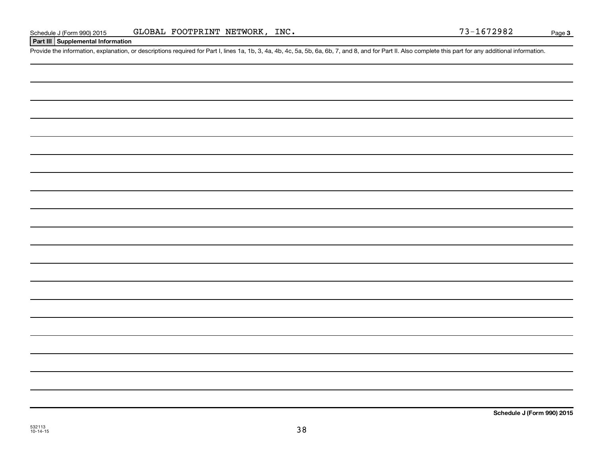## **Part III Supplemental Information**

Provide the information, explanation, or descriptions required for Part I, lines 1a, 1b, 3, 4a, 4b, 4c, 5a, 5b, 6a, 6b, 7, and 8, and for Part II. Also complete this part for any additional information.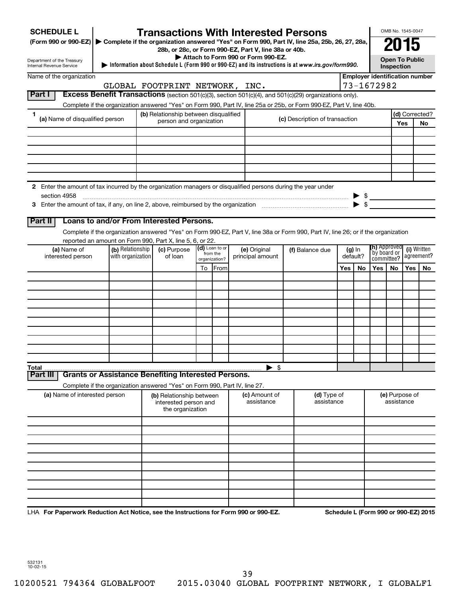| <b>SCHEDULE L</b>                                                                                             |                                       | <b>Transactions With Interested Persons</b>                                |                |                                    |                                                                                                                                    |     |                      |                     | OMB No. 1545-0047                   |            |                                       |
|---------------------------------------------------------------------------------------------------------------|---------------------------------------|----------------------------------------------------------------------------|----------------|------------------------------------|------------------------------------------------------------------------------------------------------------------------------------|-----|----------------------|---------------------|-------------------------------------|------------|---------------------------------------|
| (Form 990 or 990-EZ)                                                                                          |                                       | 28b, or 28c, or Form 990-EZ, Part V, line 38a or 40b.                      |                |                                    | Complete if the organization answered "Yes" on Form 990, Part IV, line 25a, 25b, 26, 27, 28a,                                      |     |                      |                     |                                     |            |                                       |
| Department of the Treasury<br>Internal Revenue Service                                                        |                                       |                                                                            |                | Attach to Form 990 or Form 990-EZ. | Information about Schedule L (Form 990 or 990-EZ) and its instructions is at www.irs.gov/form990.                                  |     |                      |                     | <b>Open To Public</b><br>Inspection |            |                                       |
| Name of the organization                                                                                      |                                       |                                                                            |                |                                    |                                                                                                                                    |     |                      |                     |                                     |            | <b>Employer identification number</b> |
|                                                                                                               |                                       | GLOBAL FOOTPRINT NETWORK, INC.                                             |                |                                    |                                                                                                                                    |     |                      | 73-1672982          |                                     |            |                                       |
| Part I                                                                                                        |                                       |                                                                            |                |                                    | Excess Benefit Transactions (section 501(c)(3), section 501(c)(4), and 501(c)(29) organizations only).                             |     |                      |                     |                                     |            |                                       |
|                                                                                                               |                                       |                                                                            |                |                                    | Complete if the organization answered "Yes" on Form 990, Part IV, line 25a or 25b, or Form 990-EZ, Part V, line 40b.               |     |                      |                     |                                     |            |                                       |
| 1<br>(a) Name of disqualified person                                                                          |                                       | (b) Relationship between disqualified                                      |                |                                    | (c) Description of transaction                                                                                                     |     |                      |                     |                                     |            | (d) Corrected?                        |
|                                                                                                               |                                       | person and organization                                                    |                |                                    |                                                                                                                                    |     |                      |                     |                                     | <b>Yes</b> | <b>No</b>                             |
|                                                                                                               |                                       |                                                                            |                |                                    |                                                                                                                                    |     |                      |                     |                                     |            |                                       |
|                                                                                                               |                                       |                                                                            |                |                                    |                                                                                                                                    |     |                      |                     |                                     |            |                                       |
|                                                                                                               |                                       |                                                                            |                |                                    |                                                                                                                                    |     |                      |                     |                                     |            |                                       |
|                                                                                                               |                                       |                                                                            |                |                                    |                                                                                                                                    |     |                      |                     |                                     |            |                                       |
|                                                                                                               |                                       |                                                                            |                |                                    |                                                                                                                                    |     |                      |                     |                                     |            |                                       |
| 2 Enter the amount of tax incurred by the organization managers or disqualified persons during the year under |                                       |                                                                            |                |                                    |                                                                                                                                    |     |                      |                     |                                     |            |                                       |
|                                                                                                               |                                       |                                                                            |                |                                    |                                                                                                                                    |     |                      |                     |                                     |            |                                       |
|                                                                                                               |                                       |                                                                            |                |                                    |                                                                                                                                    |     |                      |                     |                                     |            |                                       |
|                                                                                                               |                                       |                                                                            |                |                                    |                                                                                                                                    |     |                      |                     |                                     |            |                                       |
| Part II                                                                                                       |                                       | Loans to and/or From Interested Persons.                                   |                |                                    |                                                                                                                                    |     |                      |                     |                                     |            |                                       |
|                                                                                                               |                                       |                                                                            |                |                                    | Complete if the organization answered "Yes" on Form 990-EZ, Part V, line 38a or Form 990, Part IV, line 26; or if the organization |     |                      |                     |                                     |            |                                       |
|                                                                                                               |                                       | reported an amount on Form 990, Part X, line 5, 6, or 22.                  | (d) Loan to or |                                    |                                                                                                                                    |     |                      | <b>(h)</b> Approved |                                     |            |                                       |
| (a) Name of<br>interested person                                                                              | (b) Relationship<br>with organization | (c) Purpose<br>of loan                                                     | from the       | (e) Original<br>principal amount   | (f) Balance due                                                                                                                    |     | $(g)$ In<br>default? | `by board or        |                                     |            | (i) Written<br>agreement?             |
|                                                                                                               |                                       |                                                                            | organization?  |                                    |                                                                                                                                    |     |                      | committee?          |                                     |            |                                       |
|                                                                                                               |                                       |                                                                            | To From        |                                    |                                                                                                                                    | Yes | No.                  | Yes                 | No.                                 | Yes        | No                                    |
|                                                                                                               |                                       |                                                                            |                |                                    |                                                                                                                                    |     |                      |                     |                                     |            |                                       |
|                                                                                                               |                                       |                                                                            |                |                                    |                                                                                                                                    |     |                      |                     |                                     |            |                                       |
|                                                                                                               |                                       |                                                                            |                |                                    |                                                                                                                                    |     |                      |                     |                                     |            |                                       |
|                                                                                                               |                                       |                                                                            |                |                                    |                                                                                                                                    |     |                      |                     |                                     |            |                                       |
|                                                                                                               |                                       |                                                                            |                |                                    |                                                                                                                                    |     |                      |                     |                                     |            |                                       |
|                                                                                                               |                                       |                                                                            |                |                                    |                                                                                                                                    |     |                      |                     |                                     |            |                                       |
|                                                                                                               |                                       |                                                                            |                |                                    |                                                                                                                                    |     |                      |                     |                                     |            |                                       |
|                                                                                                               |                                       |                                                                            |                |                                    |                                                                                                                                    |     |                      |                     |                                     |            |                                       |
|                                                                                                               |                                       |                                                                            |                |                                    |                                                                                                                                    |     |                      |                     |                                     |            |                                       |
| Total<br>Part III                                                                                             |                                       | <b>Grants or Assistance Benefiting Interested Persons.</b>                 |                | $\blacktriangleright$ s            |                                                                                                                                    |     |                      |                     |                                     |            |                                       |
|                                                                                                               |                                       | Complete if the organization answered "Yes" on Form 990, Part IV, line 27. |                |                                    |                                                                                                                                    |     |                      |                     |                                     |            |                                       |
| (a) Name of interested person                                                                                 |                                       | (b) Relationship between                                                   |                | (c) Amount of                      | (d) Type of                                                                                                                        |     |                      |                     | (e) Purpose of                      |            |                                       |
|                                                                                                               |                                       | interested person and                                                      |                | assistance                         | assistance                                                                                                                         |     |                      |                     | assistance                          |            |                                       |
|                                                                                                               |                                       | the organization                                                           |                |                                    |                                                                                                                                    |     |                      |                     |                                     |            |                                       |
|                                                                                                               |                                       |                                                                            |                |                                    |                                                                                                                                    |     |                      |                     |                                     |            |                                       |
|                                                                                                               |                                       |                                                                            |                |                                    |                                                                                                                                    |     |                      |                     |                                     |            |                                       |
|                                                                                                               |                                       |                                                                            |                |                                    |                                                                                                                                    |     |                      |                     |                                     |            |                                       |
|                                                                                                               |                                       |                                                                            |                |                                    |                                                                                                                                    |     |                      |                     |                                     |            |                                       |
|                                                                                                               |                                       |                                                                            |                |                                    |                                                                                                                                    |     |                      |                     |                                     |            |                                       |
|                                                                                                               |                                       |                                                                            |                |                                    |                                                                                                                                    |     |                      |                     |                                     |            |                                       |
|                                                                                                               |                                       |                                                                            |                |                                    |                                                                                                                                    |     |                      |                     |                                     |            |                                       |
|                                                                                                               |                                       |                                                                            |                |                                    |                                                                                                                                    |     |                      |                     |                                     |            |                                       |
|                                                                                                               |                                       |                                                                            |                |                                    |                                                                                                                                    |     |                      |                     |                                     |            |                                       |
| LHA For Paperwork Reduction Act Notice, see the Instructions for Form 990 or 990-EZ.                          |                                       |                                                                            |                |                                    |                                                                                                                                    |     |                      |                     |                                     |            | Schedule L (Form 990 or 990-EZ) 2015  |

39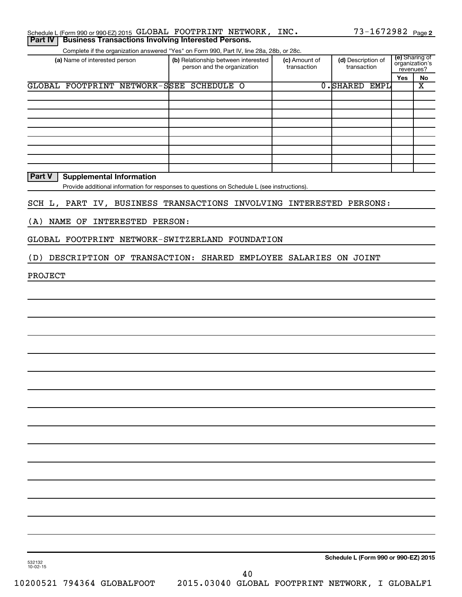|  | Schedule L (Form 990 or 990-EZ) 2015 GLOBAL FOOTPRINT NETWORK, INC.  |  |  | $73 - 1672982$ Page 2 |  |
|--|----------------------------------------------------------------------|--|--|-----------------------|--|
|  | <b>Part IV   Business Transactions Involving Interested Persons.</b> |  |  |                       |  |

Complete if the organization answered "Yes" on Form 990, Part IV, line 28a, 28b, or 28c.

| OUTIDICIO II GIO ORGANIZACIONI ANOVOLCO - TOJ - ON ITONIN JUJI, FANTIV, INIC ZOA, ZOD, OF ZOC. |                                                                    |                              |                                   |           |                                  |
|------------------------------------------------------------------------------------------------|--------------------------------------------------------------------|------------------------------|-----------------------------------|-----------|----------------------------------|
| (a) Name of interested person                                                                  | (b) Relationship between interested<br>person and the organization | (c) Amount of<br>transaction | (d) Description of<br>transaction | revenues? | (e) Sharing of<br>organization's |
|                                                                                                |                                                                    |                              |                                   | Yes       | No                               |
| GLOBAL FOOTPRINT NETWORK-SSEE                                                                  | <b>SCHEDULE O</b>                                                  |                              | 0.SHARED<br>EMPL                  |           | X                                |
|                                                                                                |                                                                    |                              |                                   |           |                                  |
|                                                                                                |                                                                    |                              |                                   |           |                                  |
|                                                                                                |                                                                    |                              |                                   |           |                                  |
|                                                                                                |                                                                    |                              |                                   |           |                                  |
|                                                                                                |                                                                    |                              |                                   |           |                                  |
|                                                                                                |                                                                    |                              |                                   |           |                                  |
|                                                                                                |                                                                    |                              |                                   |           |                                  |
|                                                                                                |                                                                    |                              |                                   |           |                                  |
|                                                                                                |                                                                    |                              |                                   |           |                                  |

**Part V** | Supplemental Information

Provide additional information for responses to questions on Schedule L (see instructions).

SCH L, PART IV, BUSINESS TRANSACTIONS INVOLVING INTERESTED PERSONS:

(A) NAME OF INTERESTED PERSON:

GLOBAL FOOTPRINT NETWORK-SWITZERLAND FOUNDATION

(D) DESCRIPTION OF TRANSACTION: SHARED EMPLOYEE SALARIES ON JOINT

PROJECT

**Schedule L (Form 990 or 990-EZ) 2015**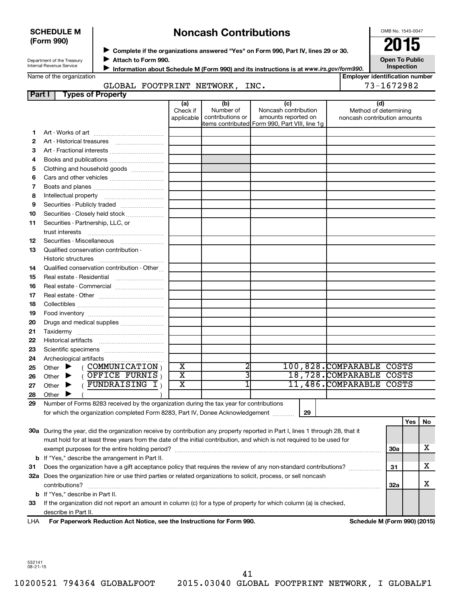| <b>SCHEDULE M</b> |  |
|-------------------|--|
| (Form 990)        |  |

## **Noncash Contributions**

OMB No. 1545-0047

Department of the Treasury Internal Revenue Service

◆ Complete if the organizations answered "Yes" on Form 990, Part IV, lines 29 or 30.<br>▶ Complete if the organizations answered "Yes" on Form 990, Part IV, lines 29 or 30. **Attach to Form 990.**  $\blacktriangleright$ 

**Open To Public Inspection**

|  | Name of the organization |  |
|--|--------------------------|--|
|  |                          |  |

**Information about Schedule M (Form 990) and its instructions is at www.irs.gov/form990.** 

#### **Employer identification number Part I Types of Property** GLOBAL FOOTPRINT NETWORK, INC.  $\vert$  73-1672982

| rail I | <b>Types of Froperty</b>                                                                                                                                                   |                               |                                      |                                                    |    |                                                              |            |     |    |
|--------|----------------------------------------------------------------------------------------------------------------------------------------------------------------------------|-------------------------------|--------------------------------------|----------------------------------------------------|----|--------------------------------------------------------------|------------|-----|----|
|        |                                                                                                                                                                            | (a)<br>Check if<br>applicable | (b)<br>Number of<br>contributions or | (c)<br>Noncash contribution<br>amounts reported on |    | (d)<br>Method of determining<br>noncash contribution amounts |            |     |    |
|        |                                                                                                                                                                            |                               |                                      | items contributed Form 990, Part VIII, line 1g     |    |                                                              |            |     |    |
| 1      |                                                                                                                                                                            |                               |                                      |                                                    |    |                                                              |            |     |    |
| 2      |                                                                                                                                                                            |                               |                                      |                                                    |    |                                                              |            |     |    |
| з      | Art - Fractional interests                                                                                                                                                 |                               |                                      |                                                    |    |                                                              |            |     |    |
| 4      |                                                                                                                                                                            |                               |                                      |                                                    |    |                                                              |            |     |    |
| 5      | Clothing and household goods                                                                                                                                               |                               |                                      |                                                    |    |                                                              |            |     |    |
| 6      |                                                                                                                                                                            |                               |                                      |                                                    |    |                                                              |            |     |    |
| 7      |                                                                                                                                                                            |                               |                                      |                                                    |    |                                                              |            |     |    |
| 8      |                                                                                                                                                                            |                               |                                      |                                                    |    |                                                              |            |     |    |
| 9      | Securities - Publicly traded                                                                                                                                               |                               |                                      |                                                    |    |                                                              |            |     |    |
| 10     | Securities - Closely held stock                                                                                                                                            |                               |                                      |                                                    |    |                                                              |            |     |    |
| 11     | Securities - Partnership, LLC, or                                                                                                                                          |                               |                                      |                                                    |    |                                                              |            |     |    |
|        |                                                                                                                                                                            |                               |                                      |                                                    |    |                                                              |            |     |    |
| 12     | Securities - Miscellaneous                                                                                                                                                 |                               |                                      |                                                    |    |                                                              |            |     |    |
| 13     | Qualified conservation contribution -                                                                                                                                      |                               |                                      |                                                    |    |                                                              |            |     |    |
|        |                                                                                                                                                                            |                               |                                      |                                                    |    |                                                              |            |     |    |
| 14     | Qualified conservation contribution - Other                                                                                                                                |                               |                                      |                                                    |    |                                                              |            |     |    |
| 15     |                                                                                                                                                                            |                               |                                      |                                                    |    |                                                              |            |     |    |
| 16     |                                                                                                                                                                            |                               |                                      |                                                    |    |                                                              |            |     |    |
| 17     |                                                                                                                                                                            |                               |                                      |                                                    |    |                                                              |            |     |    |
| 18     |                                                                                                                                                                            |                               |                                      |                                                    |    |                                                              |            |     |    |
| 19     |                                                                                                                                                                            |                               |                                      |                                                    |    |                                                              |            |     |    |
| 20     | Drugs and medical supplies                                                                                                                                                 |                               |                                      |                                                    |    |                                                              |            |     |    |
| 21     |                                                                                                                                                                            |                               |                                      |                                                    |    |                                                              |            |     |    |
| 22     |                                                                                                                                                                            |                               |                                      |                                                    |    |                                                              |            |     |    |
| 23     |                                                                                                                                                                            |                               |                                      |                                                    |    |                                                              |            |     |    |
| 24     |                                                                                                                                                                            |                               |                                      |                                                    |    |                                                              |            |     |    |
| 25     | $($ COMMUNICATION $)$<br>Other $\blacktriangleright$                                                                                                                       | $\overline{\textbf{x}}$       | 2                                    |                                                    |    | 100,828.COMPARABLE COSTS                                     |            |     |    |
| 26     | $($ OFFICE FURNIS $)$<br>Other $\blacktriangleright$                                                                                                                       | $\overline{\text{x}}$         | 3                                    |                                                    |    | 18,728.COMPARABLE COSTS                                      |            |     |    |
| 27     | FUNDRAISING I)<br>Other $\blacktriangleright$                                                                                                                              | $\overline{\textbf{x}}$       |                                      |                                                    |    | 11,486.COMPARABLE COSTS                                      |            |     |    |
| 28     | Other $\blacktriangleright$                                                                                                                                                |                               |                                      |                                                    |    |                                                              |            |     |    |
| 29     | Number of Forms 8283 received by the organization during the tax year for contributions                                                                                    |                               |                                      |                                                    |    |                                                              |            |     |    |
|        | for which the organization completed Form 8283, Part IV, Donee Acknowledgement                                                                                             |                               |                                      |                                                    | 29 |                                                              |            |     |    |
|        |                                                                                                                                                                            |                               |                                      |                                                    |    |                                                              |            | Yes | No |
|        | 30a During the year, did the organization receive by contribution any property reported in Part I, lines 1 through 28, that it                                             |                               |                                      |                                                    |    |                                                              |            |     |    |
|        | must hold for at least three years from the date of the initial contribution, and which is not required to be used for                                                     |                               |                                      |                                                    |    |                                                              |            |     |    |
|        |                                                                                                                                                                            |                               |                                      |                                                    |    |                                                              | <b>30a</b> |     | x  |
|        |                                                                                                                                                                            |                               |                                      |                                                    |    |                                                              |            |     |    |
|        | <b>b</b> If "Yes," describe the arrangement in Part II.<br>Does the organization have a gift acceptance policy that requires the review of any non-standard contributions? |                               |                                      |                                                    |    |                                                              | 31         |     | x  |
| 31     |                                                                                                                                                                            |                               |                                      |                                                    |    |                                                              |            |     |    |
|        | 32a Does the organization hire or use third parties or related organizations to solicit, process, or sell noncash<br>contributions?                                        |                               |                                      |                                                    |    |                                                              | 32a        |     | х  |
|        | <b>b</b> If "Yes," describe in Part II.                                                                                                                                    |                               |                                      |                                                    |    |                                                              |            |     |    |
| 33     | If the organization did not report an amount in column (c) for a type of property for which column (a) is checked,                                                         |                               |                                      |                                                    |    |                                                              |            |     |    |
|        | describe in Part II.                                                                                                                                                       |                               |                                      |                                                    |    |                                                              |            |     |    |
|        |                                                                                                                                                                            |                               |                                      |                                                    |    |                                                              |            |     |    |

**For Paperwork Reduction Act Notice, see the Instructions for Form 990. Schedule M (Form 990) (2015)** LHA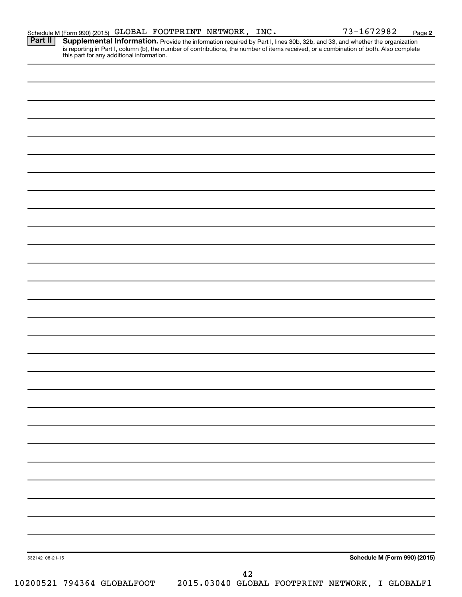Provide the information required by Part I, lines 30b, 32b, and 33, and whether the organization is reporting in Part I, column (b), the number of contributions, the number of items received, or a combination of both. Also complete this part for any additional information. **Part II Supplemental Information.** 

| 532142 08-21-15 |  |  | $4\sqrt{2}$ |  |                              |  |
|-----------------|--|--|-------------|--|------------------------------|--|
|                 |  |  |             |  | Schedule M (Form 990) (2015) |  |
|                 |  |  |             |  |                              |  |
|                 |  |  |             |  |                              |  |
|                 |  |  |             |  |                              |  |
|                 |  |  |             |  |                              |  |
|                 |  |  |             |  |                              |  |
|                 |  |  |             |  |                              |  |
|                 |  |  |             |  |                              |  |
|                 |  |  |             |  |                              |  |
|                 |  |  |             |  |                              |  |
|                 |  |  |             |  |                              |  |
|                 |  |  |             |  |                              |  |
|                 |  |  |             |  |                              |  |
|                 |  |  |             |  |                              |  |
|                 |  |  |             |  |                              |  |
|                 |  |  |             |  |                              |  |
|                 |  |  |             |  |                              |  |
|                 |  |  |             |  |                              |  |
|                 |  |  |             |  |                              |  |
|                 |  |  |             |  |                              |  |
|                 |  |  |             |  |                              |  |
|                 |  |  |             |  |                              |  |
|                 |  |  |             |  |                              |  |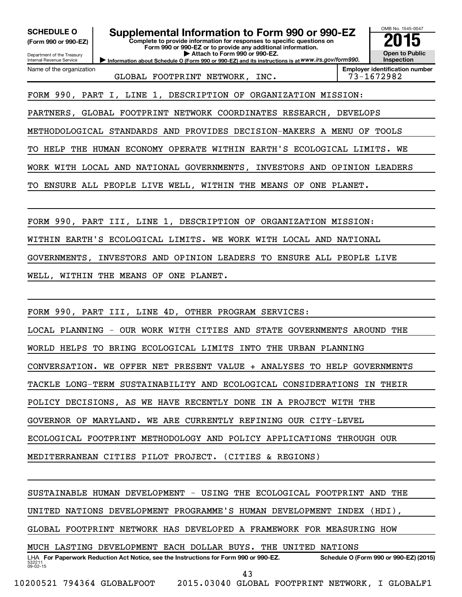OMB No. 1545-0047 Department of the Treasury Internal Revenue Service **Information about Schedule O (Form 990 or 990-EZ) and its instructions is at WWW.irs.gov/form990. Complete to provide information for responses to specific questions on Form 990 or 990-EZ or to provide any additional information. | Attach to Form 990 or 990-EZ. (Form 990 or 990-EZ) Open to Public Inspection Employer identification number** Name of the organization SCHEDULE O **Supplemental Information to Form 990 or 990-EZ 2015**<br>(Form 990 or 990-EZ) Complete to provide information for responses to specific questions on GLOBAL FOOTPRINT NETWORK, INC.  $10^{-1}$  73-1672982 FORM 990, PART I, LINE 1, DESCRIPTION OF ORGANIZATION MISSION: PARTNERS, GLOBAL FOOTPRINT NETWORK COORDINATES RESEARCH, DEVELOPS METHODOLOGICAL STANDARDS AND PROVIDES DECISION-MAKERS A MENU OF TOOLS TO HELP THE HUMAN ECONOMY OPERATE WITHIN EARTH'S ECOLOGICAL LIMITS. WE WORK WITH LOCAL AND NATIONAL GOVERNMENTS, INVESTORS AND OPINION LEADERS TO ENSURE ALL PEOPLE LIVE WELL, WITHIN THE MEANS OF ONE PLANET. FORM 990, PART III, LINE 1, DESCRIPTION OF ORGANIZATION MISSION: WITHIN EARTH'S ECOLOGICAL LIMITS. WE WORK WITH LOCAL AND NATIONAL GOVERNMENTS, INVESTORS AND OPINION LEADERS TO ENSURE ALL PEOPLE LIVE WELL, WITHIN THE MEANS OF ONE PLANET. FORM 990, PART III, LINE 4D, OTHER PROGRAM SERVICES: LOCAL PLANNING - OUR WORK WITH CITIES AND STATE GOVERNMENTS AROUND THE WORLD HELPS TO BRING ECOLOGICAL LIMITS INTO THE URBAN PLANNING CONVERSATION. WE OFFER NET PRESENT VALUE + ANALYSES TO HELP GOVERNMENTS TACKLE LONG-TERM SUSTAINABILITY AND ECOLOGICAL CONSIDERATIONS IN THEIR POLICY DECISIONS, AS WE HAVE RECENTLY DONE IN A PROJECT WITH THE GOVERNOR OF MARYLAND. WE ARE CURRENTLY REFINING OUR CITY-LEVEL ECOLOGICAL FOOTPRINT METHODOLOGY AND POLICY APPLICATIONS THROUGH OUR MEDITERRANEAN CITIES PILOT PROJECT. (CITIES & REGIONS) SUSTAINABLE HUMAN DEVELOPMENT - USING THE ECOLOGICAL FOOTPRINT AND THE UNITED NATIONS DEVELOPMENT PROGRAMME'S HUMAN DEVELOPMENT INDEX (HDI), GLOBAL FOOTPRINT NETWORK HAS DEVELOPED A FRAMEWORK FOR MEASURING HOW MUCH LASTING DEVELOPMENT EACH DOLLAR BUYS. THE UNITED NATIONS

532211  $09 - 02 - 15$ LHA For Paperwork Reduction Act Notice, see the Instructions for Form 990 or 990-EZ. Schedule O (Form 990 or 990-EZ) (2015) 43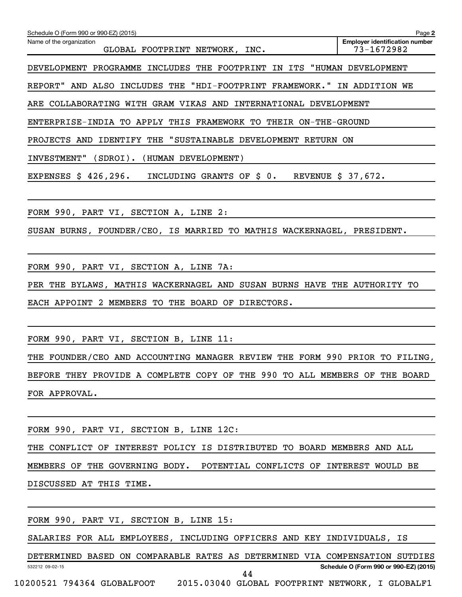| Schedule O (Form 990 or 990-EZ) (2015)                                      | Page 2                                              |
|-----------------------------------------------------------------------------|-----------------------------------------------------|
| Name of the organization<br>GLOBAL FOOTPRINT NETWORK, INC.                  | <b>Employer identification number</b><br>73-1672982 |
| DEVELOPMENT PROGRAMME INCLUDES THE FOOTPRINT IN ITS "HUMAN DEVELOPMENT      |                                                     |
| REPORT" AND ALSO INCLUDES THE "HDI-FOOTPRINT FRAMEWORK." IN ADDITION WE     |                                                     |
| ARE COLLABORATING WITH GRAM VIKAS AND INTERNATIONAL DEVELOPMENT             |                                                     |
| ENTERPRISE-INDIA TO APPLY THIS FRAMEWORK TO THEIR ON-THE-GROUND             |                                                     |
| PROJECTS AND IDENTIFY THE "SUSTAINABLE DEVELOPMENT RETURN ON                |                                                     |
| INVESTMENT" (SDROI). (HUMAN DEVELOPMENT)                                    |                                                     |
| EXPENSES \$ 426,296. INCLUDING GRANTS OF \$ 0. REVENUE \$ 37,672.           |                                                     |
|                                                                             |                                                     |
| FORM 990, PART VI, SECTION A, LINE 2:                                       |                                                     |
| SUSAN BURNS, FOUNDER/CEO, IS MARRIED TO MATHIS WACKERNAGEL, PRESIDENT.      |                                                     |
|                                                                             |                                                     |
| FORM 990, PART VI, SECTION A, LINE 7A:                                      |                                                     |
| PER THE BYLAWS, MATHIS WACKERNAGEL AND SUSAN BURNS HAVE THE AUTHORITY TO    |                                                     |
| EACH APPOINT 2 MEMBERS TO THE BOARD OF DIRECTORS.                           |                                                     |
|                                                                             |                                                     |
| FORM 990, PART VI, SECTION B, LINE 11:                                      |                                                     |
| THE FOUNDER/CEO AND ACCOUNTING MANAGER REVIEW THE FORM 990 PRIOR TO FILING, |                                                     |
| BEFORE THEY PROVIDE A COMPLETE COPY OF THE 990 TO ALL MEMBERS OF THE BOARD  |                                                     |
| FOR APPROVAL.                                                               |                                                     |
|                                                                             |                                                     |
| FORM 990, PART VI, SECTION B, LINE 12C:                                     |                                                     |
| mus covertem on tymponem pottay to promotpumpo                              |                                                     |

THE CONFLICT OF INTEREST POLICY IS DISTRIBUTED TO BOARD MEMBERS AND ALL MEMBERS OF THE GOVERNING BODY. POTENTIAL CONFLICTS OF INTEREST WOULD BE DISCUSSED AT THIS TIME.

FORM 990, PART VI, SECTION B, LINE 15:

SALARIES FOR ALL EMPLOYEES, INCLUDING OFFICERS AND KEY INDIVIDUALS, IS

532212 09-02-15 **Schedule O (Form 990 or 990-EZ) (2015)** DETERMINED BASED ON COMPARABLE RATES AS DETERMINED VIA COMPENSATION SUTDIES 10200521 794364 GLOBALFOOT 2015.03040 GLOBAL FOOTPRINT NETWORK, I GLOBALF1 44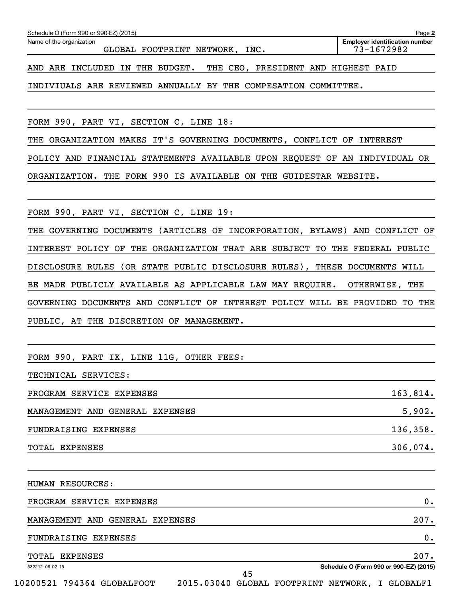| TOTAL EXPENSES                                                              | 207.<br>Schedule O (Form 990 or 990-EZ) (2015) |
|-----------------------------------------------------------------------------|------------------------------------------------|
| FUNDRAISING EXPENSES                                                        | 0.                                             |
| MANAGEMENT AND GENERAL EXPENSES                                             | 207.                                           |
| PROGRAM SERVICE EXPENSES                                                    | $0$ .                                          |
| HUMAN RESOURCES:                                                            |                                                |
| TOTAL EXPENSES                                                              | 306,074.                                       |
| FUNDRAISING EXPENSES                                                        | 136,358.                                       |
| MANAGEMENT AND GENERAL EXPENSES                                             | 5,902.                                         |
| PROGRAM SERVICE EXPENSES                                                    | 163,814.                                       |
| TECHNICAL SERVICES:                                                         |                                                |
| FORM 990, PART IX, LINE 11G, OTHER FEES:                                    |                                                |
|                                                                             |                                                |
| GOVERNING DOCUMENTS AND CONFLICT OF INTEREST POLICY WILL BE PROVIDED TO THE |                                                |
| BE MADE PUBLICLY AVAILABLE AS APPLICABLE LAW MAY REQUIRE. OTHERWISE, THE    |                                                |
| DISCLOSURE RULES (OR STATE PUBLIC DISCLOSURE RULES), THESE DOCUMENTS WILL   |                                                |
| INTEREST POLICY OF THE ORGANIZATION THAT ARE SUBJECT TO THE FEDERAL PUBLIC  |                                                |
| THE GOVERNING DOCUMENTS (ARTICLES OF INCORPORATION, BYLAWS) AND CONFLICT OF |                                                |
| FORM 990, PART VI, SECTION C, LINE 19:                                      |                                                |
| ORGANIZATION. THE FORM 990 IS AVAILABLE ON THE GUIDESTAR WEBSITE.           |                                                |
| POLICY AND FINANCIAL STATEMENTS AVAILABLE UPON REQUEST OF AN INDIVIDUAL OR  |                                                |
| THE ORGANIZATION MAKES IT'S GOVERNING DOCUMENTS, CONFLICT OF INTEREST       |                                                |
| FORM 990, PART VI, SECTION C, LINE 18:                                      |                                                |
|                                                                             |                                                |

Schedule O (Form 990 or 990-EZ) (2015)

Name of the organization

GLOBAL FOOTPRINT NETWORK, INC.

**2 Employer identification number**

AND ARE INCLUDED IN THE BUDGET. THE CEO, PRESIDENT AND HIGHEST PAID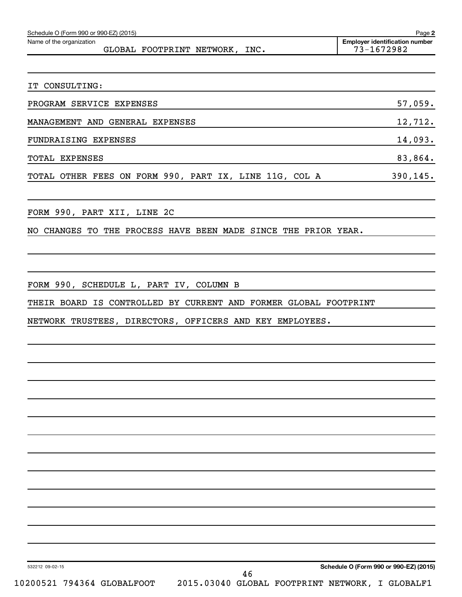| Schedule O (Form 990 or 990-EZ) (2015) | Page 2                    |      |                                                     |
|----------------------------------------|---------------------------|------|-----------------------------------------------------|
| Name of the organization               | GLOBAL FOOTPRINT NETWORK, | INC. | <b>Employer identification number</b><br>73-1672982 |
|                                        |                           |      |                                                     |

| PROGRAM SERVICE EXPENSES                               | 57,059.   |
|--------------------------------------------------------|-----------|
| MANAGEMENT AND GENERAL EXPENSES                        | 12,712.   |
| FUNDRAISING EXPENSES                                   | 14,093.   |
| TOTAL EXPENSES                                         | 83,864.   |
| TOTAL OTHER FEES ON FORM 990, PART IX, LINE 11G, COL A | 390, 145. |

FORM 990, PART XII, LINE 2C

IT CONSULTING:

NO CHANGES TO THE PROCESS HAVE BEEN MADE SINCE THE PRIOR YEAR.

FORM 990, SCHEDULE L, PART IV, COLUMN B

THEIR BOARD IS CONTROLLED BY CURRENT AND FORMER GLOBAL FOOTPRINT

NETWORK TRUSTEES, DIRECTORS, OFFICERS AND KEY EMPLOYEES.

532212 09-02-15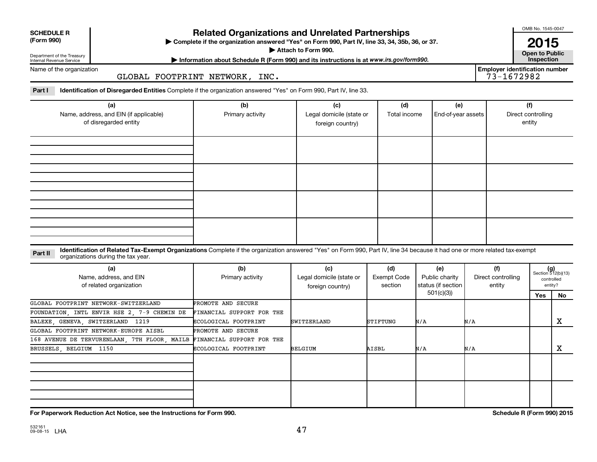| <b>SCHEDULE R</b> |
|-------------------|
|                   |

Department of the Treasury Internal Revenue Service

## **Related Organizations and Unrelated Partnerships**

**(Form 990) Complete if the organization answered "Yes" on Form 990, Part IV, line 33, 34, 35b, 36, or 37.** |

**Attach to Form 990. Contract to Public Contract of Public** 

**Most Information about Schedule R (Form 990) and its instructions is at www.irs.gov/form990.** This pection

Name of the organization

## GLOBAL FOOTPRINT NETWORK, INC.

Part I ldentification of Disregarded Entities Complete if the organization answered "Yes" on Form 990, Part IV, line 33.

| (a)<br>Name, address, and EIN (if applicable)<br>of disregarded entity | (b)<br>Primary activity | (c)<br>Legal domicile (state or<br>foreign country) | (d)<br>Total income | (e)<br>End-of-year assets | (f)<br>Direct controlling<br>entity |
|------------------------------------------------------------------------|-------------------------|-----------------------------------------------------|---------------------|---------------------------|-------------------------------------|
|                                                                        |                         |                                                     |                     |                           |                                     |
|                                                                        |                         |                                                     |                     |                           |                                     |
|                                                                        |                         |                                                     |                     |                           |                                     |
|                                                                        |                         |                                                     |                     |                           |                                     |

#### **Part II** Identification of Related Tax-Exempt Organizations Complete if the organization answered "Yes" on Form 990, Part IV, line 34 because it had one or more related tax-exempt<br>Complete it is a seriest of the two wears organizations during the tax year.

| (a)<br>Name, address, and EIN<br>of related organization | (b)<br>Primary activity   | (c)<br>Legal domicile (state or<br>foreign country) | (d)<br>Exempt Code<br>section | (e)<br>Public charity<br>status (if section | (f)<br>Direct controlling<br>entity | $(g)$<br>Section 512(b)(13) | controlled<br>entity? |
|----------------------------------------------------------|---------------------------|-----------------------------------------------------|-------------------------------|---------------------------------------------|-------------------------------------|-----------------------------|-----------------------|
|                                                          |                           |                                                     |                               | 501(c)(3))                                  |                                     | Yes                         | No.                   |
| GLOBAL FOOTPRINT NETWORK-SWITZERLAND                     | <b>PROMOTE AND SECURE</b> |                                                     |                               |                                             |                                     |                             |                       |
| FOUNDATION, INTL ENVIR HSE 2, 7-9 CHEMIN DE              | FINANCIAL SUPPORT FOR THE |                                                     |                               |                                             |                                     |                             |                       |
| BALEXE, GENEVA, SWITZERLAND 1219                         | ECOLOGICAL FOOTPRINT      | SWITZERLAND                                         | STIFTUNG                      | N/A                                         | N/A                                 |                             | х                     |
| GLOBAL FOOTPRINT NETWORK-EUROPE AISBL                    | PROMOTE AND SECURE        |                                                     |                               |                                             |                                     |                             |                       |
| 168 AVENUE DE TERVURENLAAN, 7TH FLOOR, MAILB             | FINANCIAL SUPPORT FOR THE |                                                     |                               |                                             |                                     |                             |                       |
| BRUSSELS, BELGIUM 1150                                   | ECOLOGICAL FOOTPRINT      | BELGIUM                                             | AISBL                         | N/A                                         | N/A                                 |                             | х                     |
|                                                          |                           |                                                     |                               |                                             |                                     |                             |                       |
|                                                          |                           |                                                     |                               |                                             |                                     |                             |                       |

**For Paperwork Reduction Act Notice, see the Instructions for Form 990. Schedule R (Form 990) 2015**

OMB No. 1545-0047

**2015**<br>Open to Public

**Employer identification number**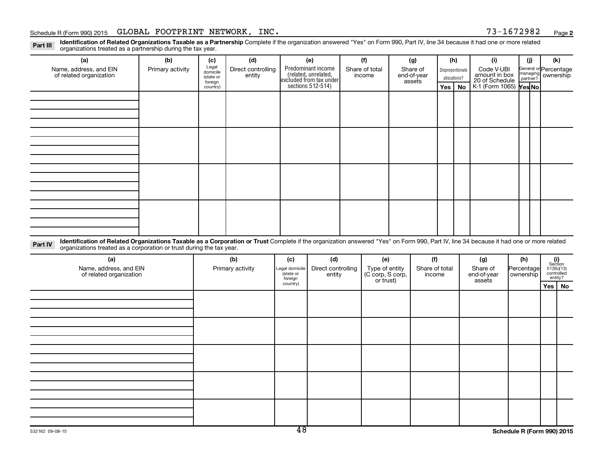## Schedule R (Form 990) 2015 Page GLOBAL FOOTPRINT NETWORK, INC. 73-1672982

**2**

Part III Identification of Related Organizations Taxable as a Partnership Complete if the organization answered "Yes" on Form 990, Part IV, line 34 because it had one or more related<br>Read to the organizations tracted as a organizations treated as a partnership during the tax year.

| (a)                                                                                                                                                                                                                                                                       | (b)              | (c)                                       | (d)                          | (e)                                                                   |               | (f)                      |               | (g)                               | (h)                              |           | (i)                                           | (i)    | (k)                                                     |
|---------------------------------------------------------------------------------------------------------------------------------------------------------------------------------------------------------------------------------------------------------------------------|------------------|-------------------------------------------|------------------------------|-----------------------------------------------------------------------|---------------|--------------------------|---------------|-----------------------------------|----------------------------------|-----------|-----------------------------------------------|--------|---------------------------------------------------------|
| Name, address, and EIN<br>of related organization                                                                                                                                                                                                                         | Primary activity | Legal<br>domicile<br>(state or<br>foreign | Direct controlling<br>entity | Predominant income<br>(related, unrelated,<br>excluded from tax under |               | Share of total<br>income |               | Share of<br>end-of-year<br>assets | Disproportionate<br>allocations? |           | Code V-UBI<br>amount in box<br>20 of Schedule |        | General or Percentage<br>managing<br>partner? ownership |
|                                                                                                                                                                                                                                                                           |                  | country)                                  |                              | sections 512-514)                                                     |               |                          |               |                                   | Yes                              | <b>No</b> | K-1 (Form 1065)<br>Mes No                     |        |                                                         |
|                                                                                                                                                                                                                                                                           |                  |                                           |                              |                                                                       |               |                          |               |                                   |                                  |           |                                               |        |                                                         |
|                                                                                                                                                                                                                                                                           |                  |                                           |                              |                                                                       |               |                          |               |                                   |                                  |           |                                               |        |                                                         |
|                                                                                                                                                                                                                                                                           |                  |                                           |                              |                                                                       |               |                          |               |                                   |                                  |           |                                               |        |                                                         |
|                                                                                                                                                                                                                                                                           |                  |                                           |                              |                                                                       |               |                          |               |                                   |                                  |           |                                               |        |                                                         |
|                                                                                                                                                                                                                                                                           |                  |                                           |                              |                                                                       |               |                          |               |                                   |                                  |           |                                               |        |                                                         |
|                                                                                                                                                                                                                                                                           |                  |                                           |                              |                                                                       |               |                          |               |                                   |                                  |           |                                               |        |                                                         |
|                                                                                                                                                                                                                                                                           |                  |                                           |                              |                                                                       |               |                          |               |                                   |                                  |           |                                               |        |                                                         |
|                                                                                                                                                                                                                                                                           |                  |                                           |                              |                                                                       |               |                          |               |                                   |                                  |           |                                               |        |                                                         |
|                                                                                                                                                                                                                                                                           |                  |                                           |                              |                                                                       |               |                          |               |                                   |                                  |           |                                               |        |                                                         |
|                                                                                                                                                                                                                                                                           |                  |                                           |                              |                                                                       |               |                          |               |                                   |                                  |           |                                               |        |                                                         |
|                                                                                                                                                                                                                                                                           |                  |                                           |                              |                                                                       |               |                          |               |                                   |                                  |           |                                               |        |                                                         |
|                                                                                                                                                                                                                                                                           |                  |                                           |                              |                                                                       |               |                          |               |                                   |                                  |           |                                               |        |                                                         |
|                                                                                                                                                                                                                                                                           |                  |                                           |                              |                                                                       |               |                          |               |                                   |                                  |           |                                               |        |                                                         |
|                                                                                                                                                                                                                                                                           |                  |                                           |                              |                                                                       |               |                          |               |                                   |                                  |           |                                               |        |                                                         |
|                                                                                                                                                                                                                                                                           |                  |                                           |                              |                                                                       |               |                          |               |                                   |                                  |           |                                               |        |                                                         |
|                                                                                                                                                                                                                                                                           |                  |                                           |                              |                                                                       |               |                          |               |                                   |                                  |           |                                               |        |                                                         |
| Identification of Related Organizations Taxable as a Corporation or Trust Complete if the organization answered "Yes" on Form 990, Part IV, line 34 because it had one or more related<br>Part IV<br>organizations treated as a corporation or trust during the tax year. |                  |                                           |                              |                                                                       |               |                          |               |                                   |                                  |           |                                               |        |                                                         |
| $\sim$                                                                                                                                                                                                                                                                    |                  |                                           | $\cdots$                     | $\sim$ $\sim$                                                         | $\sim$ $\sim$ |                          | $\sim$ $\sim$ | $\overline{a}$                    |                                  |           | $\sim$ $\sim$                                 | $\sim$ | $\cdots$                                                |

| (a)                                               | (b)              | (c)                                    | (d)                          | (e)                                             | (f)                      | (g)                               | (h)                       |                                                                                                                                   |  |
|---------------------------------------------------|------------------|----------------------------------------|------------------------------|-------------------------------------------------|--------------------------|-----------------------------------|---------------------------|-----------------------------------------------------------------------------------------------------------------------------------|--|
| Name, address, and EIN<br>of related organization | Primary activity | Legal domicile<br>(state or<br>foreign | Direct controlling<br>entity | Type of entity<br>(C corp, S corp,<br>or trust) | Share of total<br>income | Share of<br>end-of-year<br>assets | Percentage<br>  ownership | $\begin{array}{c} \textbf{(i)}\\ \text{Section}\\ 5\,12 \text{(b)} \text{(13)}\\ \text{controlled} \\ \text{entity?} \end{array}$ |  |
|                                                   |                  | country)                               |                              |                                                 |                          |                                   |                           | Yes   No                                                                                                                          |  |
|                                                   |                  |                                        |                              |                                                 |                          |                                   |                           |                                                                                                                                   |  |
|                                                   |                  |                                        |                              |                                                 |                          |                                   |                           |                                                                                                                                   |  |
|                                                   |                  |                                        |                              |                                                 |                          |                                   |                           |                                                                                                                                   |  |
|                                                   |                  |                                        |                              |                                                 |                          |                                   |                           |                                                                                                                                   |  |
|                                                   |                  |                                        |                              |                                                 |                          |                                   |                           |                                                                                                                                   |  |
|                                                   |                  |                                        |                              |                                                 |                          |                                   |                           |                                                                                                                                   |  |
|                                                   |                  |                                        |                              |                                                 |                          |                                   |                           |                                                                                                                                   |  |
|                                                   |                  |                                        |                              |                                                 |                          |                                   |                           |                                                                                                                                   |  |
|                                                   |                  |                                        |                              |                                                 |                          |                                   |                           |                                                                                                                                   |  |
|                                                   |                  |                                        |                              |                                                 |                          |                                   |                           |                                                                                                                                   |  |
|                                                   |                  |                                        |                              |                                                 |                          |                                   |                           |                                                                                                                                   |  |
|                                                   |                  |                                        |                              |                                                 |                          |                                   |                           |                                                                                                                                   |  |
|                                                   |                  |                                        |                              |                                                 |                          |                                   |                           |                                                                                                                                   |  |
|                                                   |                  |                                        |                              |                                                 |                          |                                   |                           |                                                                                                                                   |  |
|                                                   |                  |                                        |                              |                                                 |                          |                                   |                           |                                                                                                                                   |  |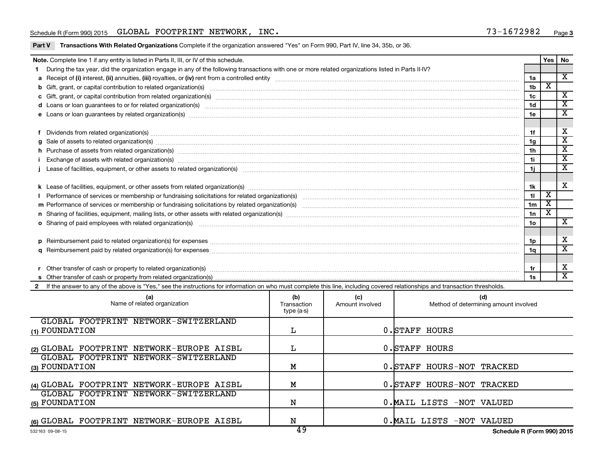## Schedule R (Form 990) 2015 Page GLOBAL FOOTPRINT NETWORK, INC. 73-1672982

| Part V Transactions With Related Organizations Complete if the organization answered "Yes" on Form 990, Part IV, line 34, 35b, or 36. |  |  |  |
|---------------------------------------------------------------------------------------------------------------------------------------|--|--|--|
|                                                                                                                                       |  |  |  |

|   | Note. Complete line 1 if any entity is listed in Parts II, III, or IV of this schedule.                                                                                                                                              |     |     |                                                       |                | Yes                     | l No                                    |  |  |
|---|--------------------------------------------------------------------------------------------------------------------------------------------------------------------------------------------------------------------------------------|-----|-----|-------------------------------------------------------|----------------|-------------------------|-----------------------------------------|--|--|
|   | During the tax year, did the organization engage in any of the following transactions with one or more related organizations listed in Parts II-IV?                                                                                  |     |     |                                                       |                |                         |                                         |  |  |
|   |                                                                                                                                                                                                                                      |     |     |                                                       | 1a             |                         | X                                       |  |  |
|   |                                                                                                                                                                                                                                      |     |     |                                                       | 1 <sub>b</sub> | х                       |                                         |  |  |
|   | c Gift, grant, or capital contribution from related organization(s) manufaction contains and content of the contribution from related organization(s) manufaction content and contribution from related organization(s) manufa       |     |     |                                                       | 1 <sub>c</sub> |                         | $\overline{\mathbf{x}}$                 |  |  |
|   |                                                                                                                                                                                                                                      |     |     |                                                       | 1 <sub>d</sub> |                         | $\mathbf{x}$                            |  |  |
|   | e Loans or loan guarantees by related organization(s) material contents and content to content the content of the content of the content of the content of the content of the content of the content of the content of the con       |     |     |                                                       | 1e             |                         | $\overline{\mathbf{x}}$                 |  |  |
|   |                                                                                                                                                                                                                                      |     |     |                                                       |                |                         |                                         |  |  |
|   | Dividends from related organization(s) machinesis and contract the contract of the contract of the contract of                                                                                                                       |     |     |                                                       | 1f             |                         | X                                       |  |  |
| a | Sale of assets to related organization(s) macrocommunically contained and contained and contained and contained and contained and contained and contained and contained and contained and contained and contained and containe       |     |     |                                                       | 1 <sub>q</sub> |                         | $\overline{\text{x}}$                   |  |  |
|   | h Purchase of assets from related organization(s) manufactured content to the content of the content of the content of the content of the content of the content of the content of the content of the content of the content o       |     |     |                                                       | 1 <sub>h</sub> |                         | $\mathbf{x}$<br>$\overline{\mathbf{x}}$ |  |  |
|   | 1i<br>Exchange of assets with related organization(s) macrocommutation control and account of the set of the control of the set of the set of the set of the set of the set of the set of the set of the set of the set of the set o |     |     |                                                       |                |                         |                                         |  |  |
|   | 1j                                                                                                                                                                                                                                   |     |     |                                                       |                |                         |                                         |  |  |
|   |                                                                                                                                                                                                                                      |     |     |                                                       |                |                         |                                         |  |  |
|   |                                                                                                                                                                                                                                      |     |     |                                                       | 1k             |                         | X                                       |  |  |
|   |                                                                                                                                                                                                                                      |     |     |                                                       | 11             | $\overline{\textbf{x}}$ |                                         |  |  |
|   |                                                                                                                                                                                                                                      |     |     |                                                       | 1 <sub>m</sub> | $\overline{\textbf{x}}$ |                                         |  |  |
|   |                                                                                                                                                                                                                                      |     |     |                                                       | 1n             | $\overline{\textbf{x}}$ |                                         |  |  |
|   | o Sharing of paid employees with related organization(s) manufactured content to the state of the state of the state organization(s) manufactured content of the state of the state organization(s) manufactured content of th       |     |     |                                                       | 1 <sub>0</sub> |                         | X                                       |  |  |
|   |                                                                                                                                                                                                                                      |     |     |                                                       |                |                         |                                         |  |  |
|   |                                                                                                                                                                                                                                      |     |     |                                                       | 1p             |                         | X                                       |  |  |
| a |                                                                                                                                                                                                                                      |     |     |                                                       | 1a             |                         | X                                       |  |  |
|   |                                                                                                                                                                                                                                      |     |     |                                                       |                |                         |                                         |  |  |
|   | Other transfer of cash or property to related organization(s) CONSERVIERD CONDUCTS CONSERVIER SERVIERS OF DETAILS                                                                                                                    |     |     |                                                       | 1r             |                         | $\overline{\mathbf{X}}$                 |  |  |
|   |                                                                                                                                                                                                                                      |     |     |                                                       | 1s             |                         | $\mathbf{x}$                            |  |  |
|   | 2 If the answer to any of the above is "Yes," see the instructions for information on who must complete this line, including covered relationships and transaction thresholds.                                                       |     |     |                                                       |                |                         |                                         |  |  |
|   | (a)                                                                                                                                                                                                                                  | (b) | (c) | (d)                                                   |                |                         |                                         |  |  |
|   | Nome of roloted organization                                                                                                                                                                                                         |     |     | $\begin{pmatrix} 1 & 1 & 1 \ 0 & 0 & 0 \end{pmatrix}$ |                |                         |                                         |  |  |

| Name of related organization              | נשן<br>Transaction<br>type (a-s) | ्⊽<br>Amount involved | la)<br>Method of determining amount involved |
|-------------------------------------------|----------------------------------|-----------------------|----------------------------------------------|
| GLOBAL FOOTPRINT NETWORK-SWITZERLAND      |                                  |                       |                                              |
| (1) FOUNDATION                            | L                                |                       | 0. STAFF HOURS                               |
| (2) GLOBAL FOOTPRINT NETWORK-EUROPE AISBL |                                  |                       | 0. STAFF HOURS                               |
| GLOBAL FOOTPRINT NETWORK-SWITZERLAND      |                                  |                       |                                              |
| (3) FOUNDATION                            | М                                |                       | 0. STAFF HOURS-NOT TRACKED                   |
| (4) GLOBAL FOOTPRINT NETWORK-EUROPE AISBL | М                                |                       | 0. STAFF HOURS-NOT TRACKED                   |
| GLOBAL FOOTPRINT NETWORK-SWITZERLAND      |                                  |                       |                                              |
| (5) FOUNDATION                            | N                                |                       | 0. MAIL LISTS -NOT VALUED                    |
| (6) GLOBAL FOOTPRINT NETWORK-EUROPE AISBL | N<br>$\sqrt{2}$                  |                       | 0. MAIL LISTS -NOT VALUED                    |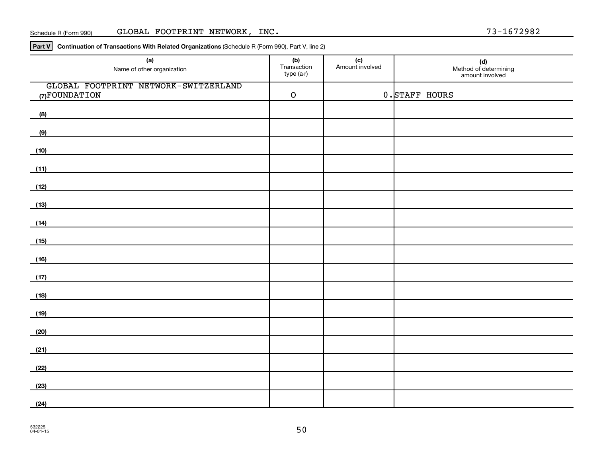#### Schedule R (Form 990) GLOBAL FOOTPRINT NETWORK, INC. 2008 2012 13-1672982

**Part V Continuation of Transactions With Related Organizations**  (Schedule R (Form 990), Part V, line 2)

| (a)<br>Name of other organization                                                                 | (b)<br>Transaction<br>type (a-r) | (c)<br>Amount involved | (d)<br>Method of determining<br>amount involved |
|---------------------------------------------------------------------------------------------------|----------------------------------|------------------------|-------------------------------------------------|
| GLOBAL FOOTPRINT NETWORK-SWITZERLAND<br>(7) FOUNDATION                                            | $\mathsf O$                      |                        | 0. STAFF HOURS                                  |
| (8)                                                                                               |                                  |                        |                                                 |
| (9)                                                                                               |                                  |                        |                                                 |
| (10)                                                                                              |                                  |                        |                                                 |
| (11)                                                                                              |                                  |                        |                                                 |
| (12)                                                                                              |                                  |                        |                                                 |
| (13)                                                                                              |                                  |                        |                                                 |
|                                                                                                   |                                  |                        |                                                 |
| (14)<br>the control of the control of the control of the control of the control of the control of |                                  |                        |                                                 |
| (15)                                                                                              |                                  |                        |                                                 |
| (16)                                                                                              |                                  |                        |                                                 |
| (17)                                                                                              |                                  |                        |                                                 |
| (18)                                                                                              |                                  |                        |                                                 |
| (19)                                                                                              |                                  |                        |                                                 |
| (20)                                                                                              |                                  |                        |                                                 |
| (21)                                                                                              |                                  |                        |                                                 |
| (22)                                                                                              |                                  |                        |                                                 |
| (23)                                                                                              |                                  |                        |                                                 |
| (24)                                                                                              |                                  |                        |                                                 |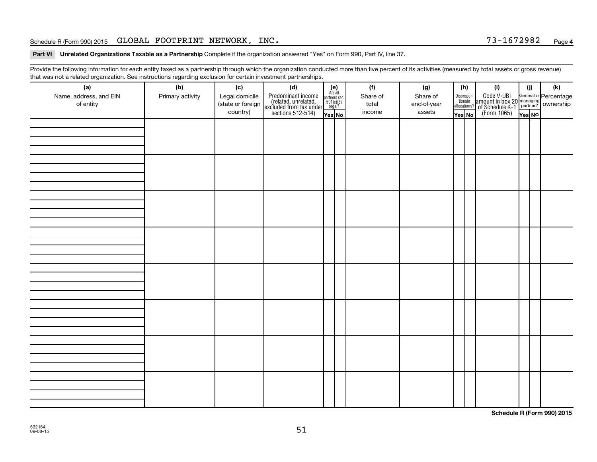## Schedule R (Form 990) 2015 Page GLOBAL FOOTPRINT NETWORK, INC. 73-1672982

Part VI Unrelated Organizations Taxable as a Partnership Complete if the organization answered "Yes" on Form 990, Part IV, line 37.

Provide the following information for each entity taxed as a partnership through which the organization conducted more than five percent of its activities (measured by total assets or gross revenue) that was not a related organization. See instructions regarding exclusion for certain investment partnerships.

| (a)<br>Name, address, and EIN<br>of entity | - -<br>(b)<br>Primary activity | (c)<br>Legal domicile<br>(state or foreign<br>country) | . . <b>. .</b> .<br>(d)<br>Predominant income<br>(related, unrelated,<br>excluded from tax under<br>sections 512-514) | $(e)$<br>Are all<br>partners sec.<br>$501(c)(3)$<br>orgs.?<br>Yes No | (f)<br>Share of<br>total<br>income | (g)<br>Share of<br>end-of-year<br>assets | (h)<br>Disproportionate<br>allocations?<br>Yes No | (i)<br>Code V-UBI<br>amount in box 20 managing<br>of Schedule K-1 partner?<br>(Form 1065)<br>ves No | (i)<br>Yes NO | (k) |
|--------------------------------------------|--------------------------------|--------------------------------------------------------|-----------------------------------------------------------------------------------------------------------------------|----------------------------------------------------------------------|------------------------------------|------------------------------------------|---------------------------------------------------|-----------------------------------------------------------------------------------------------------|---------------|-----|
|                                            |                                |                                                        |                                                                                                                       |                                                                      |                                    |                                          |                                                   |                                                                                                     |               |     |
|                                            |                                |                                                        |                                                                                                                       |                                                                      |                                    |                                          |                                                   |                                                                                                     |               |     |
|                                            |                                |                                                        |                                                                                                                       |                                                                      |                                    |                                          |                                                   |                                                                                                     |               |     |
|                                            |                                |                                                        |                                                                                                                       |                                                                      |                                    |                                          |                                                   |                                                                                                     |               |     |
|                                            |                                |                                                        |                                                                                                                       |                                                                      |                                    |                                          |                                                   |                                                                                                     |               |     |
|                                            |                                |                                                        |                                                                                                                       |                                                                      |                                    |                                          |                                                   |                                                                                                     |               |     |
|                                            |                                |                                                        |                                                                                                                       |                                                                      |                                    |                                          |                                                   |                                                                                                     |               |     |
|                                            |                                |                                                        |                                                                                                                       |                                                                      |                                    |                                          |                                                   |                                                                                                     |               |     |

**Schedule R (Form 990) 2015**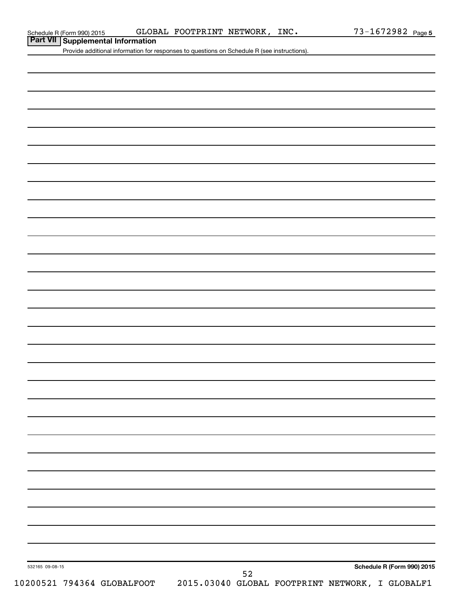**Part VII Schedule R (Form 990) 2015 CLOB**<br>**Part VII Supplemental Information** 

Provide additional information for responses to questions on Schedule R (see instructions).

| 532165 09-08-15 |                            |  |            |  | Schedule R (Form 990) 2015                      |
|-----------------|----------------------------|--|------------|--|-------------------------------------------------|
|                 | 10200521 794364 GLOBALFOOT |  | ${\bf 52}$ |  | 2015.03040 GLOBAL FOOTPRINT NETWORK, I GLOBALF1 |
|                 |                            |  |            |  |                                                 |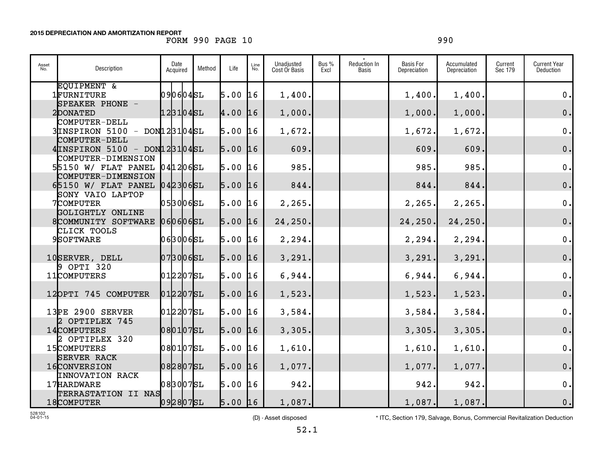## FORM 990 PAGE 10 990

| Asset<br>No. | Description                                      | Date<br>Acquired | Method | Life      | Line<br>No. | Unadjusted<br>Cost Or Basis | Bus %<br>Excl | Reduction In<br><b>Basis</b> | <b>Basis For</b><br>Depreciation | Accumulated<br>Depreciation | Current<br>Sec 179 | <b>Current Year</b><br>Deduction |
|--------------|--------------------------------------------------|------------------|--------|-----------|-------------|-----------------------------|---------------|------------------------------|----------------------------------|-----------------------------|--------------------|----------------------------------|
|              | EQUIPMENT &<br>1FURNITURE                        | 090604SL         |        | $5.00$ 16 |             | 1,400.                      |               |                              | 1,400.                           | 1,400.                      |                    | $0$ .                            |
|              | SPEAKER PHONE -                                  |                  |        |           |             |                             |               |                              |                                  |                             |                    |                                  |
|              | 2DONATED                                         | 123104SL         |        | 4.00 16   |             | 1,000.                      |               |                              | 1,000.                           | 1,000.                      |                    | 0.                               |
|              | COMPUTER-DELL<br>$3$ INSPIRON 5100 - DON123104SL |                  |        | $5.00$ 16 |             | 1,672.                      |               |                              | 1,672.                           | 1,672.                      |                    | $\mathbf 0$ .                    |
|              | COMPUTER-DELL                                    |                  |        |           |             |                             |               |                              |                                  |                             |                    |                                  |
|              | $4$ INSPIRON 5100 - DON123104SL                  |                  |        | $5.00$ 16 |             | 609.                        |               |                              | 609.                             | 609.                        |                    | 0.                               |
|              | COMPUTER-DIMENSION<br>55150 W/ FLAT PANEL        | 0412065L         |        | 5.00      | 16          | 985.                        |               |                              | 985.                             | 985                         |                    | $\mathbf 0$ .                    |
|              | COMPUTER-DIMENSION<br>65150 W / FLAT PANEL       | 0423065L         |        | $5.00$ 16 |             | 844.                        |               |                              | 844.                             | 844.                        |                    | $\mathbf 0$ .                    |
|              | SONY VAIO LAPTOP                                 |                  |        |           |             |                             |               |                              |                                  |                             |                    |                                  |
|              | 7COMPUTER                                        | 0530065L         |        | $5.00$ 16 |             | 2,265.                      |               |                              | 2, 265.                          | 2, 265.                     |                    | $\mathbf 0$ .                    |
|              | GOLIGHTLY ONLINE<br>8COMMUNITY SOFTWARE          | 060606           |        | $5.00$ 16 |             | 24,250.                     |               |                              | 24, 250.                         | 24,250.                     |                    | $\mathbf 0$ .                    |
|              | CLICK TOOLS                                      |                  |        |           |             |                             |               |                              |                                  |                             |                    |                                  |
|              | 9SOFTWARE                                        | 063006SL         |        | $5.00$ 16 |             | 2,294.                      |               |                              | 2, 294.                          | 2, 294.                     |                    | $\mathbf 0$ .                    |
|              | 10SERVER, DELL                                   | $073006$ SL      |        | $5.00$ 16 |             | 3,291.                      |               |                              | 3, 291.                          | 3,291.                      |                    | $\mathbf 0$ .                    |
|              | 9 OPTI 320                                       |                  |        |           |             |                             |               |                              |                                  |                             |                    |                                  |
|              | 11COMPUTERS                                      | 0122075L         |        | $5.00$ 16 |             | 6,944.                      |               |                              | 6,944.                           | 6,944.                      |                    | $\mathbf 0$ .                    |
|              | 12OPTI 745 COMPUTER                              | 0122075L         |        | $5.00$ 16 |             | 1,523.                      |               |                              | 1,523.                           | 1,523.                      |                    | $\mathbf 0$ .                    |
|              | 13PE 2900 SERVER                                 | 0122075L         |        | $5.00$ 16 |             | 3,584.                      |               |                              | 3,584.                           | 3,584.                      |                    | $0$ .                            |
|              | 2 OPTIPLEX 745                                   |                  |        |           |             |                             |               |                              |                                  |                             |                    |                                  |
|              | 14COMPUTERS                                      | 080107SL         |        | $5.00$ 16 |             | 3,305.                      |               |                              | 3,305.                           | 3,305.                      |                    | $\mathbf 0$ .                    |
|              | 2 OPTIPLEX 320<br>15COMPUTERS                    | 080107SL         |        | $5.00$ 16 |             | 1,610.                      |               |                              | 1,610.                           | 1,610.                      |                    | $\mathbf 0$ .                    |
|              | <b>SERVER RACK</b>                               |                  |        |           |             |                             |               |                              |                                  |                             |                    |                                  |
|              | 16CONVERSION                                     | 0828075L         |        | $5.00$ 16 |             | 1,077.                      |               |                              | 1,077.                           | 1,077.                      |                    | $\mathbf 0$ .                    |
|              | <b>INNOVATION RACK</b><br>17 HARDWARE            | 0830075L         |        | $5.00$ 16 |             | 942.                        |               |                              | 942.                             | 942.                        |                    | $\mathbf 0$ .                    |
|              | TERRASTATION II NAS                              |                  |        |           |             |                             |               |                              |                                  |                             |                    |                                  |
|              | 18COMPUTER                                       | 0928075L         |        | $5.00$ 16 |             | 1,087.                      |               |                              | 1,087.                           | 1,087.                      |                    | 0.                               |

528102 04-01-15

(D) - Asset disposed \* TTC, Section 179, Salvage, Bonus, Commercial Revitalization Deduction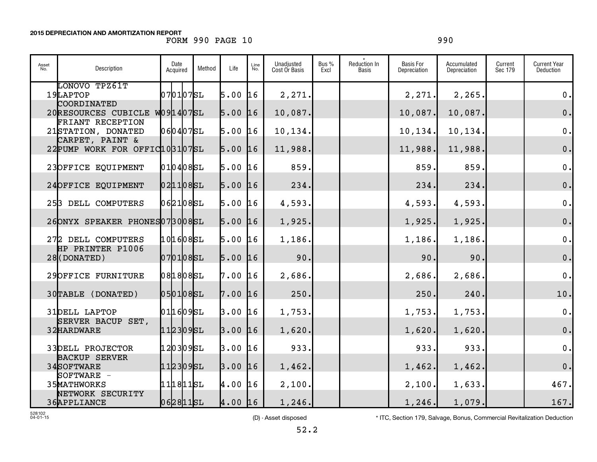## FORM 990 PAGE 10 990

| Asset<br>No. | Description                                       | Date<br>Acquired | Method | Life      | Line<br>No. | Unadjusted<br>Cost Or Basis | Bus %<br>Excl | Reduction In<br><b>Basis</b> | Basis For<br>Depreciation | Accumulated<br>Depreciation | Current<br>Sec 179 | <b>Current Year</b><br><b>Deduction</b> |
|--------------|---------------------------------------------------|------------------|--------|-----------|-------------|-----------------------------|---------------|------------------------------|---------------------------|-----------------------------|--------------------|-----------------------------------------|
|              | LONOVO TPZ61T<br>19LAPTOP                         | 070107SL         |        | 5.00      | 16          | 2,271.                      |               |                              | 2,271.                    | 2,265.                      |                    | 0.                                      |
|              | COORDINATED<br>20RESOURCES CUBICLE W09 14 07 SL   |                  |        | $5.00$ 16 |             | 10,087.                     |               |                              | 10,087.                   | 10,087.                     |                    | 0.                                      |
|              | FRIANT RECEPTION<br>21STATION, DONATED            | $060407$ SL      |        | $5.00$ 16 |             | 10,134.                     |               |                              | 10,134.                   | 10,134.                     |                    | $\mathbf 0$ .                           |
|              | CARPET, PAINT &<br>22 PUMP WORK FOR OFFIC103107SL |                  |        | 5.00      | 16          | 11,988.                     |               |                              | 11,988.                   | 11,988.                     |                    | 0.                                      |
|              | 23OFFICE EQUIPMENT                                | 0104085L         |        | 5.00      | 16          | 859.                        |               |                              | 859.                      | 859.                        |                    | $\mathbf 0$ .                           |
|              | 24OFFICE EQUIPMENT                                | 0211085L         |        | $5.00$ 16 |             | 234.                        |               |                              | 234.                      | 234.                        |                    | 0.                                      |
|              | 253 DELL COMPUTERS                                | 0621085L         |        | 5.00      | 16          | 4,593.                      |               |                              | 4,593.                    | 4,593.                      |                    | 0.                                      |
|              | 26ONYX SPEAKER PHONES073008SL                     |                  |        | $5.00$ 16 |             | 1,925.                      |               |                              | 1,925.                    | 1,925.                      |                    | 0.                                      |
|              | 272 DELL COMPUTERS                                | 1016085L         |        | $5.00$ 16 |             | 1,186.                      |               |                              | 1,186.                    | 1,186.                      |                    | $\mathbf 0$ .                           |
|              | HP PRINTER P1006<br>$28$ (DONATED)                | 0701085L         |        | 5.00      | 16          | 90.                         |               |                              | 90.                       | 90.                         |                    | 0.                                      |
|              | 29OFFICE FURNITURE                                | 081808SL         |        | 7.00      | 16          | 2,686.                      |               |                              | 2,686.                    | 2,686                       |                    | 0.                                      |
|              | 30TABLE (DONATED)                                 | 0501085L         |        | $7.00$ 16 |             | 250.                        |               |                              | 250.                      | 240.                        |                    | 10.                                     |
|              | 31DELL LAPTOP                                     | 011609SL         |        | 3.00      | 16          | 1,753.                      |               |                              | 1,753.                    | 1,753.                      |                    | 0.                                      |
|              | SERVER BACUP SET,<br>32HARDWARE                   | 112309SL         |        | $3.00$ 16 |             | 1,620.                      |               |                              | 1,620.                    | 1,620.                      |                    | 0.                                      |
|              | <b>33DELL PROJECTOR</b>                           | 120309SL         |        | $3.00$ 16 |             | 933.                        |               |                              | 933.                      | 933.                        |                    | $\mathbf 0$ .                           |
|              | <b>BACKUP SERVER</b><br>34SOFTWARE                | 112309SL         |        | 3.00      | 16          | 1,462.                      |               |                              | 1,462.                    | 1,462.                      |                    | 0.                                      |
|              | SOFTWARE -<br>35MATHWORKS                         | 1118115L         |        | 4.00 16   |             | 2,100.                      |               |                              | 2,100.                    | 1,633.                      |                    | 467.                                    |
|              | NETWORK SECURITY<br>36APPLIANCE                   | 062811sL         |        | $4.00$ 16 |             | 1,246.                      |               |                              | 1, 246.                   | 1,079.                      |                    | 167.                                    |

528102 04-01-15

(D) - Asset disposed \* ITC, Section 179, Salvage, Bonus, Commercial Revitalization Deduction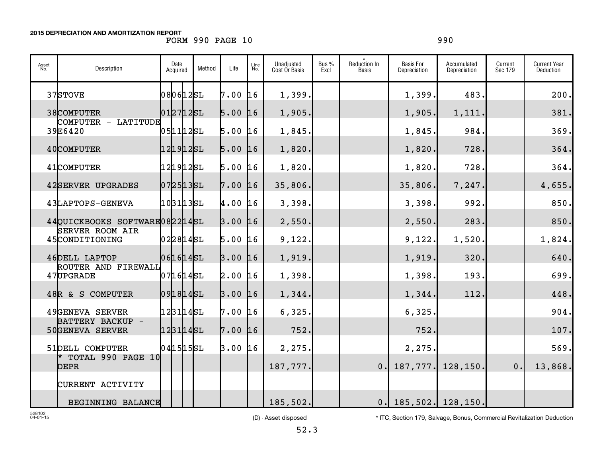## FORM 990 PAGE 10 990

| Asset<br>No. | Description                              | Date<br>Acquired | Method | Life      | Line<br>No. | Unadjusted<br>Cost Or Basis | Bus%<br>Excl | Reduction In<br><b>Basis</b> | <b>Basis For</b><br>Depreciation | Accumulated<br>Depreciation | Current<br>Sec 179 | <b>Current Year</b><br>Deduction |
|--------------|------------------------------------------|------------------|--------|-----------|-------------|-----------------------------|--------------|------------------------------|----------------------------------|-----------------------------|--------------------|----------------------------------|
|              | 37STOVE                                  | 0806125L         |        | 7.00      | 16          | 1,399.                      |              |                              | 1,399.                           | 483.                        |                    | 200.                             |
|              | 38COMPUTER                               | 0127125L         |        | $5.00$ 16 |             | 1,905.                      |              |                              | 1,905.                           | 1,111.                      |                    | 381.                             |
|              | COMPUTER - LATITUDE<br>39E6420           | $051112$ SL      |        | $5.00$ 16 |             | 1,845                       |              |                              | 1,845.                           | 984                         |                    | 369.                             |
|              | 40COMPUTER                               | 121912sL         |        | $5.00$ 16 |             | 1,820.                      |              |                              | 1,820.                           | 728.                        |                    | 364.                             |
|              | 41COMPUTER                               | 121912sL         |        | $5.00$ 16 |             | 1,820.                      |              |                              | 1,820.                           | 728.                        |                    | 364.                             |
|              | 42SERVER UPGRADES                        | 07 25 13 SL      |        | $7.00$ 16 |             | 35,806.                     |              |                              | 35,806.                          | 7,247                       |                    | 4,655.                           |
|              | 43LAPTOPS-GENEVA                         | 1031135L         |        | 4.00      | 16          | 3,398.                      |              |                              | 3,398.                           | 992.                        |                    | 850.                             |
|              | 44QUICKBOOKS SOFTWARE082214SL            |                  |        | $3.00$ 16 |             | 2,550.                      |              |                              | 2,550.                           | 283.                        |                    | 850.                             |
|              | <b>SERVER ROOM AIR</b><br>45CONDITIONING | 022814SL         |        | $5.00$ 16 |             | 9,122.                      |              |                              | 9,122.                           | 1,520.                      |                    | 1,824.                           |
|              | 46DELL LAPTOP                            | 061614SL         |        | $3.00$ 16 |             | 1,919.                      |              |                              | 1,919.                           | 320.                        |                    | 640.                             |
|              | ROUTER AND FIREWALL<br>47UPGRADE         | 0716145L         |        | $2.00$ 16 |             | 1,398.                      |              |                              | 1,398.                           | 193.                        |                    | 699.                             |
|              | 48R & S COMPUTER                         | 0918145L         |        | $3.00$ 16 |             | 1,344.                      |              |                              | 1,344.                           | 112.                        |                    | 448.                             |
|              | 49GENEVA SERVER                          | 123114SL         |        | 7.00      | 16          | 6,325.                      |              |                              | 6,325.                           |                             |                    | 904.                             |
|              | BATTERY BACKUP -<br>50GENEVA SERVER      | 1231145L         |        | $7.00$ 16 |             | 752.                        |              |                              | 752                              |                             |                    | 107.                             |
|              | 51DELL COMPUTER                          | $041515$ SL      |        | 3.00      | 16          | 2,275.                      |              |                              | 2,275                            |                             |                    | 569.                             |
|              | TOTAL 990 PAGE 10<br><b>DEPR</b>         |                  |        |           |             | 187,777.                    |              | 0.1                          | 187,777.                         | 128,150.                    | 0.                 | 13,868.                          |
|              | CURRENT ACTIVITY                         |                  |        |           |             |                             |              |                              |                                  |                             |                    |                                  |
|              | BEGINNING BALANCE                        |                  |        |           |             | 185,502.                    |              |                              | $0.\vert 185,502.\vert 128,150.$ |                             |                    |                                  |

## 528102 04-01-15

(D) - Asset disposed \* 1TC, Section 179, Salvage, Bonus, Commercial Revitalization Deduction